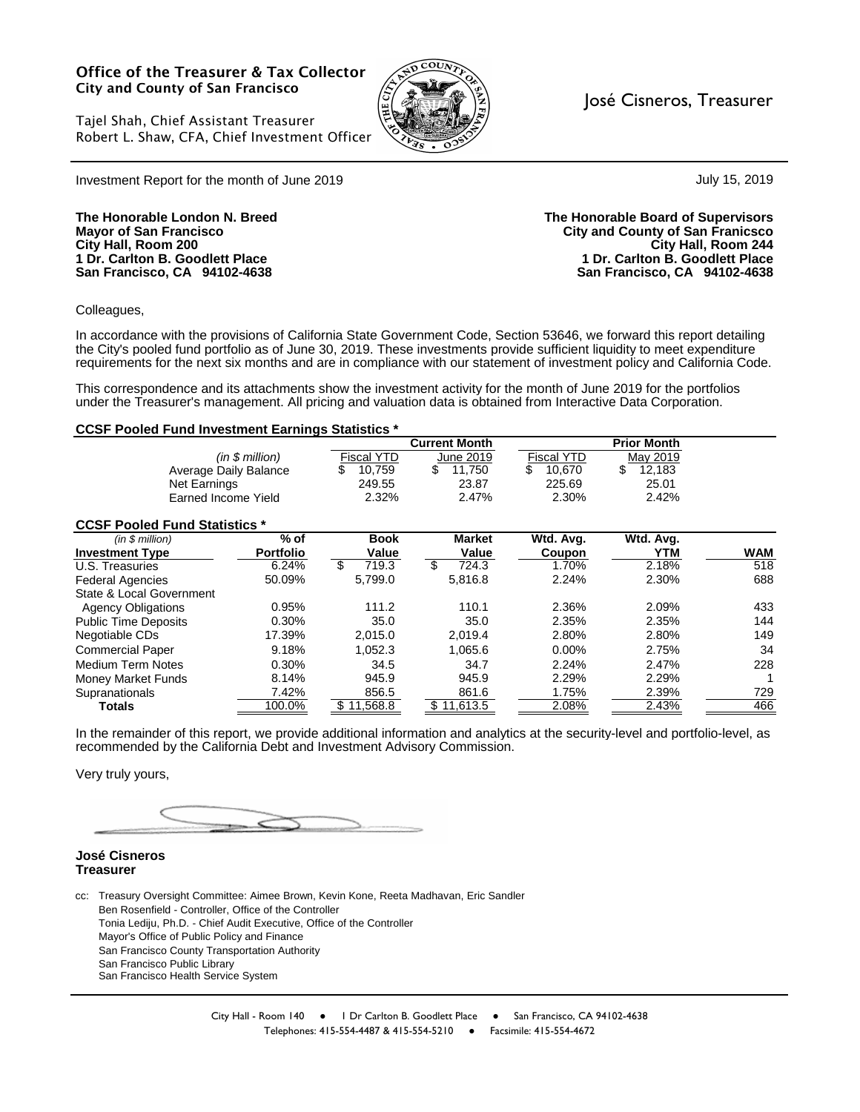#### **Office of the Treasurer & Tax Collector City and County of San Francisco**



#### José Cisneros, Treasurer

July 15, 2019

Tajel Shah, Chief Assistant Treasurer Robert L. Shaw, CFA, Chief Investment Officer

Investment Report for the month of June 2019

**1 Dr. Carlton B. Goodlett Place 1 Dr. Carlton B. Goodlett Place**

**The Honorable London N. Breed The Honorable Board of Supervisors Mayor of San Francisco City and County of San Franicsco City Hall, Room 200 City Hall, Room 244 San Francisco, CA 94102-4638 San Francisco, CA 94102-4638**

Colleagues,

In accordance with the provisions of California State Government Code, Section 53646, we forward this report detailing the City's pooled fund portfolio as of June 30, 2019. These investments provide sufficient liquidity to meet expenditure requirements for the next six months and are in compliance with our statement of investment policy and California Code.

This correspondence and its attachments show the investment activity for the month of June 2019 for the portfolios under the Treasurer's management. All pricing and valuation data is obtained from Interactive Data Corporation.

#### **CCSF Pooled Fund Investment Earnings Statistics \***

|                                      |                  |             | <b>Current Month</b> |                   | <b>Prior Month</b> |            |
|--------------------------------------|------------------|-------------|----------------------|-------------------|--------------------|------------|
|                                      | (in \$ million)  | Fiscal YTD  | June 2019            | <b>Fiscal YTD</b> | May 2019           |            |
| Average Daily Balance                |                  | 10,759<br>S | \$<br>11,750         | 10,670<br>\$      | \$<br>12,183       |            |
| Net Earnings                         |                  | 249.55      | 23.87                | 225.69            | 25.01              |            |
| Earned Income Yield                  |                  | 2.32%       | 2.47%                | 2.30%             | 2.42%              |            |
| <b>CCSF Pooled Fund Statistics *</b> |                  |             |                      |                   |                    |            |
| (in \$ million)                      | $%$ of           | <b>Book</b> | <b>Market</b>        | Wtd. Avg.         | Wtd. Avg.          |            |
| <b>Investment Type</b>               | <b>Portfolio</b> | Value       | Value                | Coupon            | YTM                | <b>WAM</b> |
| U.S. Treasuries                      | 6.24%            | 719.3<br>\$ | \$<br>724.3          | 1.70%             | 2.18%              | 518        |
| <b>Federal Agencies</b>              | 50.09%           | 5,799.0     | 5,816.8              | 2.24%             | 2.30%              | 688        |
| State & Local Government             |                  |             |                      |                   |                    |            |
| <b>Agency Obligations</b>            | 0.95%            | 111.2       | 110.1                | 2.36%             | 2.09%              | 433        |
| <b>Public Time Deposits</b>          | 0.30%            | 35.0        | 35.0                 | 2.35%             | 2.35%              | 144        |
| Negotiable CDs                       | 17.39%           | 2,015.0     | 2,019.4              | 2.80%             | 2.80%              | 149        |
| <b>Commercial Paper</b>              | 9.18%            | 1,052.3     | 1,065.6              | $0.00\%$          | 2.75%              | 34         |
| Medium Term Notes                    | 0.30%            | 34.5        | 34.7                 | 2.24%             | 2.47%              | 228        |
| Money Market Funds                   | 8.14%            | 945.9       | 945.9                | 2.29%             | 2.29%              |            |
| Supranationals                       | 7.42%            | 856.5       | 861.6                | 1.75%             | 2.39%              | 729        |
| <b>Totals</b>                        | 100.0%           | \$11,568.8  | \$11,613.5           | 2.08%             | 2.43%              | 466        |

In the remainder of this report, we provide additional information and analytics at the security-level and portfolio-level, as recommended by the California Debt and Investment Advisory Commission.

Very truly yours,

#### **José Cisneros Treasurer**

cc: Treasury Oversight Committee: Aimee Brown, Kevin Kone, Reeta Madhavan, Eric Sandler Ben Rosenfield - Controller, Office of the Controller Tonia Lediju, Ph.D. - Chief Audit Executive, Office of the Controller Mayor's Office of Public Policy and Finance San Francisco County Transportation Authority San Francisco Public Library San Francisco Health Service System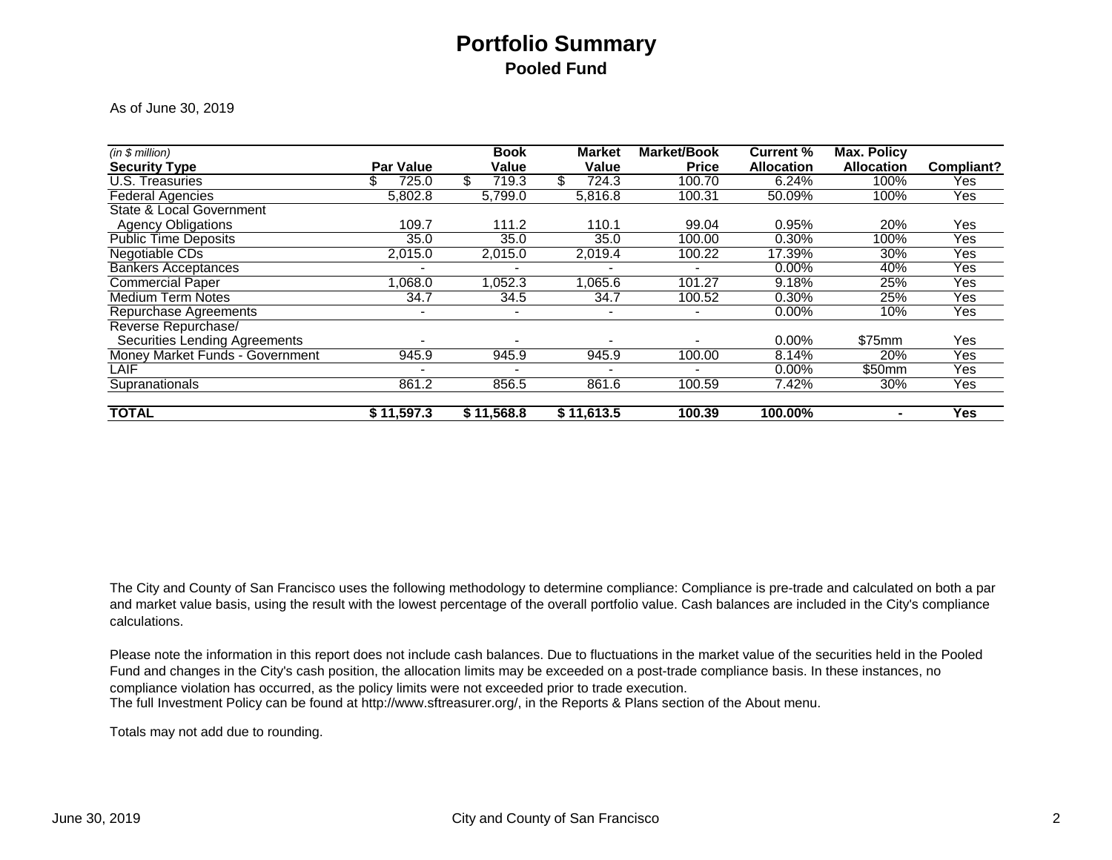### **Portfolio SummaryPooled Fund**

As of June 30, 2019

| (in \$ million)                      |                          | <b>Book</b>              | <b>Market</b>            | <b>Market/Book</b>       | <b>Current %</b>  | <b>Max. Policy</b> |            |
|--------------------------------------|--------------------------|--------------------------|--------------------------|--------------------------|-------------------|--------------------|------------|
| <b>Security Type</b>                 | <b>Par Value</b>         | Value                    | Value                    | <b>Price</b>             | <b>Allocation</b> | <b>Allocation</b>  | Compliant? |
| <b>U.S. Treasuries</b>               | \$.<br>725.0             | \$<br>719.3              | 724.3                    | 100.70                   | 6.24%             | 100%               | Yes        |
| <b>Federal Agencies</b>              | 5,802.8                  | 5.799.0                  | 5.816.8                  | 100.31                   | 50.09%            | 100%               | Yes        |
| <b>State &amp; Local Government</b>  |                          |                          |                          |                          |                   |                    |            |
| <b>Agency Obligations</b>            | 109.7                    | 111.2                    | 110.1                    | 99.04                    | 0.95%             | 20%                | Yes        |
| <b>Public Time Deposits</b>          | 35.0                     | 35.0                     | 35.0                     | 100.00                   | 0.30%             | 100%               | Yes        |
| Negotiable CDs                       | 2,015.0                  | 2,015.0                  | 2,019.4                  | 100.22                   | 17.39%            | 30%                | Yes        |
| <b>Bankers Acceptances</b>           |                          |                          |                          |                          | $0.00\%$          | 40%                | Yes        |
| <b>Commercial Paper</b>              | .068.0                   | 1,052.3                  | 1,065.6                  | 101.27                   | 9.18%             | 25%                | Yes        |
| <b>Medium Term Notes</b>             | 34.7                     | 34.5                     | 34.7                     | 100.52                   | 0.30%             | 25%                | Yes        |
| <b>Repurchase Agreements</b>         | $\blacksquare$           | $\overline{\phantom{a}}$ | $\overline{\phantom{0}}$ | $\overline{\phantom{a}}$ | $0.00\%$          | 10%                | Yes        |
| Reverse Repurchase/                  |                          |                          |                          |                          |                   |                    |            |
| <b>Securities Lending Agreements</b> |                          |                          |                          |                          | $0.00\%$          | \$75mm             | Yes        |
| Money Market Funds - Government      | 945.9                    | 945.9                    | 945.9                    | 100.00                   | 8.14%             | 20%                | Yes        |
| LAIF                                 | $\overline{\phantom{0}}$ | $\overline{\phantom{0}}$ |                          |                          | 0.00%             | \$50mm             | Yes        |
| Supranationals                       | 861.2                    | 856.5                    | 861.6                    | 100.59                   | 7.42%             | 30%                | Yes        |
| <b>TOTAL</b>                         | \$11,597.3               | \$11,568.8               | \$11,613.5               | 100.39                   | 100.00%           | ۰.                 | Yes        |

The City and County of San Francisco uses the following methodology to determine compliance: Compliance is pre-trade and calculated on both a par and market value basis, using the result with the lowest percentage of the overall portfolio value. Cash balances are included in the City's compliance calculations.

The full Investment Policy can be found at http://www.sftreasurer.org/, in the Reports & Plans section of the About menu. Please note the information in this report does not include cash balances. Due to fluctuations in the market value of the securities held in the Pooled Fund and changes in the City's cash position, the allocation limits may be exceeded on a post-trade compliance basis. In these instances, no compliance violation has occurred, as the policy limits were not exceeded prior to trade execution.

Totals may not add due to rounding.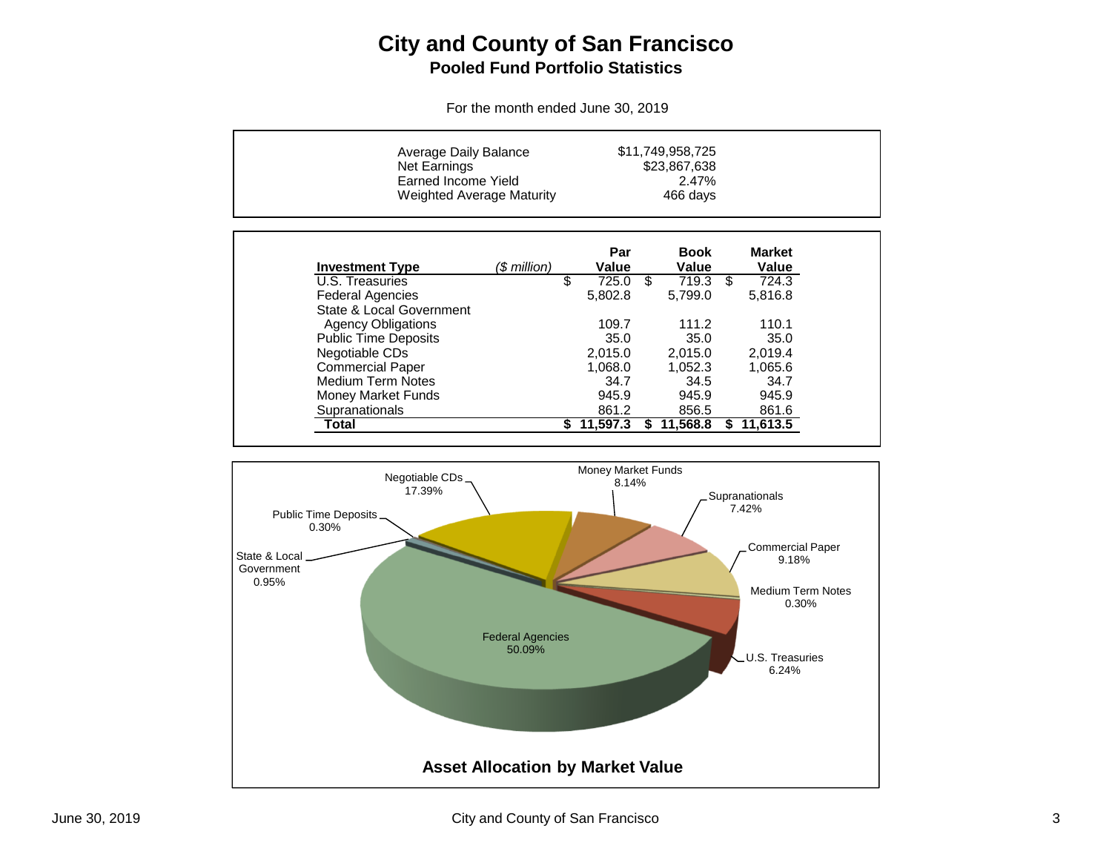### **City and County of San FranciscoPooled Fund Portfolio Statistics**

For the month ended June 30, 2019

| Average Daily Balance<br><b>Net Earnings</b><br>Earned Income Yield | <b>Weighted Average Maturity</b> |    |              |     | \$11,749,958,725<br>\$23,867,638<br>2.47%<br>466 days |     |                        |
|---------------------------------------------------------------------|----------------------------------|----|--------------|-----|-------------------------------------------------------|-----|------------------------|
| <b>Investment Type</b>                                              | (\$ million)                     |    | Par<br>Value |     | <b>Book</b><br>Value                                  |     | <b>Market</b><br>Value |
| U.S. Treasuries                                                     |                                  | \$ | 725.0        | \$  | 719.3                                                 | \$. | 724.3                  |
| <b>Federal Agencies</b>                                             |                                  |    | 5,802.8      |     | 5.799.0                                               |     | 5,816.8                |
| State & Local Government                                            |                                  |    |              |     |                                                       |     |                        |
| <b>Agency Obligations</b>                                           |                                  |    | 109.7        |     | 111.2                                                 |     | 110.1                  |
| <b>Public Time Deposits</b>                                         |                                  |    | 35.0         |     | 35.0                                                  |     | 35.0                   |
| Negotiable CDs                                                      |                                  |    | 2,015.0      |     | 2,015.0                                               |     | 2,019.4                |
| <b>Commercial Paper</b>                                             |                                  |    | 1.068.0      |     | 1.052.3                                               |     | 1,065.6                |
| <b>Medium Term Notes</b>                                            |                                  |    | 34.7         |     | 34.5                                                  |     | 34.7                   |
| <b>Money Market Funds</b>                                           |                                  |    | 945.9        |     | 945.9                                                 |     | 945.9                  |
| Supranationals                                                      |                                  |    | 861.2        |     | 856.5                                                 |     | 861.6                  |
| Total                                                               |                                  | S. | 11,597.3     | SS. | 11,568.8                                              | S.  | 11.613.5               |

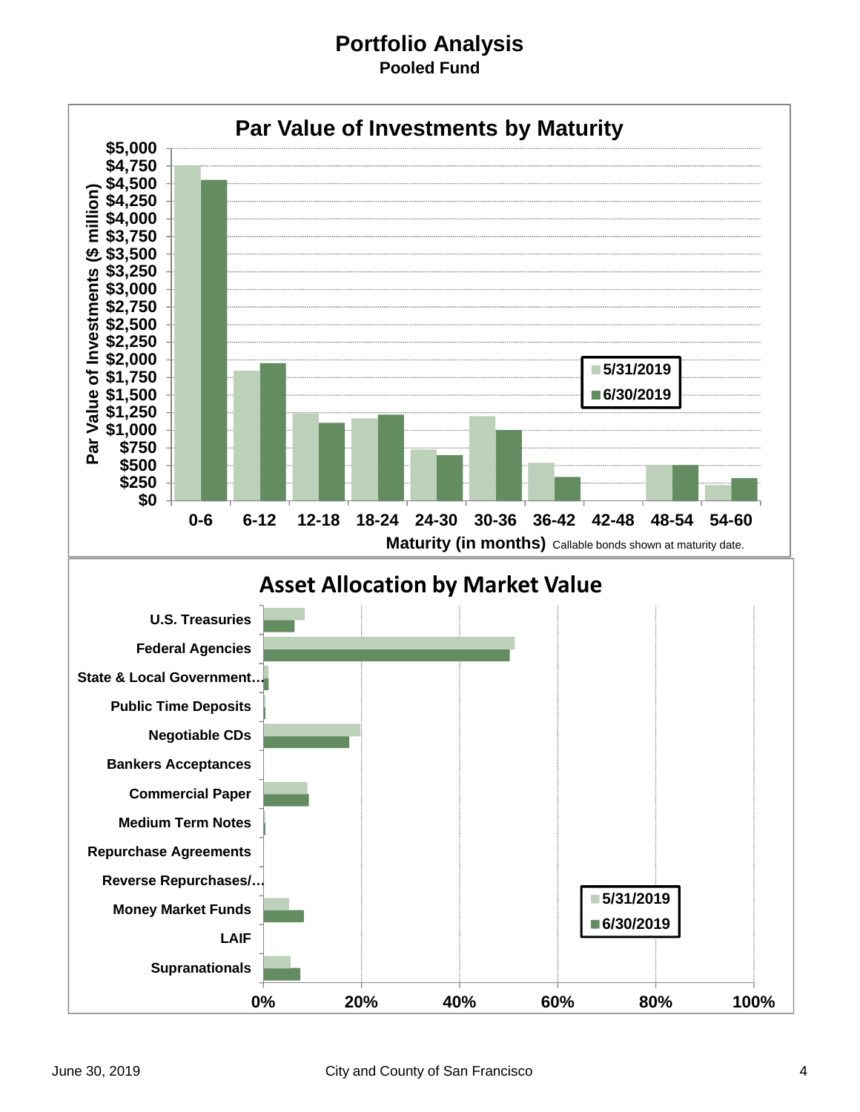#### **Portfolio Analysis Pooled Fund**

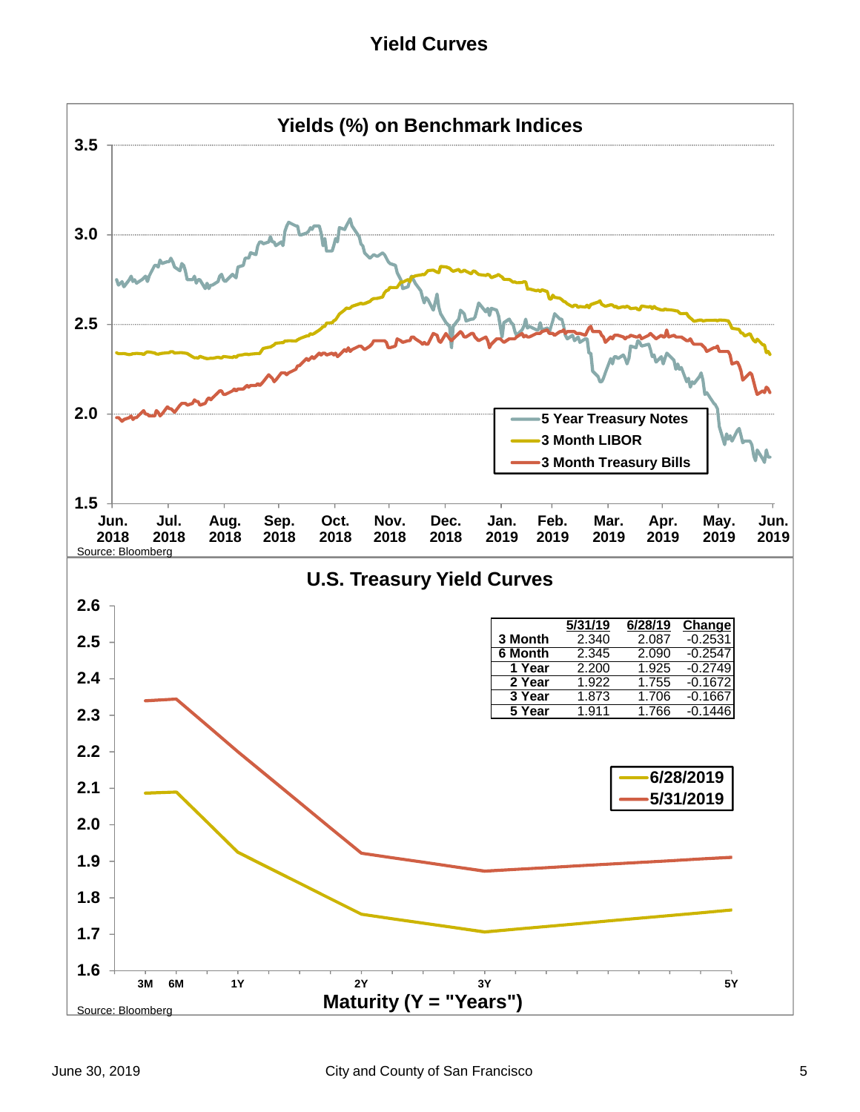**Yield Curves**

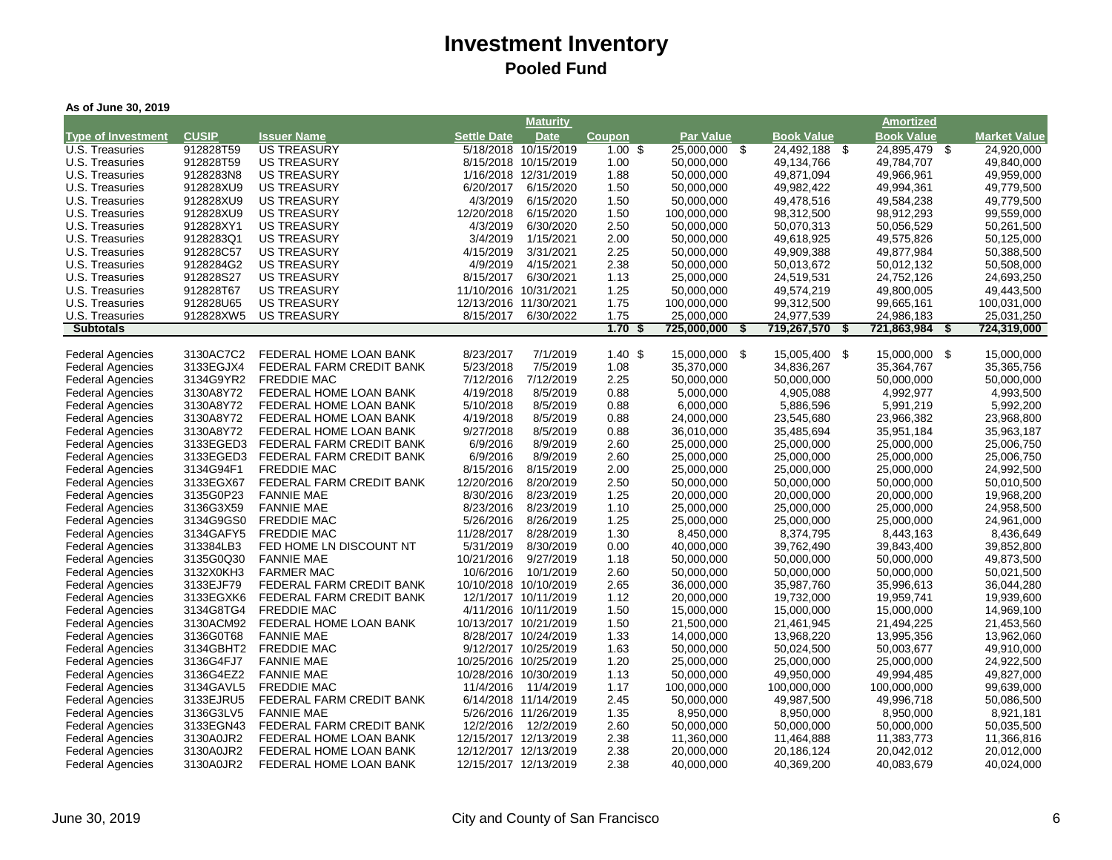| As of June 30, 2019                                |                        |                                               |                         |                        |                    |                          |                         |                         |                         |
|----------------------------------------------------|------------------------|-----------------------------------------------|-------------------------|------------------------|--------------------|--------------------------|-------------------------|-------------------------|-------------------------|
|                                                    |                        |                                               |                         | <b>Maturity</b>        |                    |                          |                         | <b>Amortized</b>        |                         |
| <b>Type of Investment</b>                          | <b>CUSIP</b>           | <b>Issuer Name</b>                            | <b>Settle Date</b>      | <b>Date</b>            | Coupon             | Par Value                | <b>Book Value</b>       | <b>Book Value</b>       | <b>Market Value</b>     |
| U.S. Treasuries                                    | 912828T59              | <b>US TREASURY</b>                            |                         | 5/18/2018 10/15/2019   | $1.00 \text{ }$ \$ | - \$<br>25,000,000       | 24,492,188<br>\$        | 24,895,479<br>- \$      | 24,920,000              |
| U.S. Treasuries                                    | 912828T59              | <b>US TREASURY</b>                            |                         | 8/15/2018 10/15/2019   | 1.00               | 50,000,000               | 49,134,766              | 49,784,707              | 49,840,000              |
| U.S. Treasuries                                    | 9128283N8              | <b>US TREASURY</b>                            |                         | 1/16/2018 12/31/2019   | 1.88               | 50,000,000               | 49,871,094              | 49,966,961              | 49,959,000              |
| U.S. Treasuries                                    | 912828XU9              | <b>US TREASURY</b>                            | 6/20/2017               | 6/15/2020              | 1.50               | 50,000,000               | 49,982,422              | 49,994,361              | 49,779,500              |
| U.S. Treasuries                                    | 912828XU9              | <b>US TREASURY</b>                            | 4/3/2019                | 6/15/2020              | 1.50               | 50,000,000               | 49,478,516              | 49,584,238              | 49,779,500              |
| U.S. Treasuries                                    | 912828XU9              | <b>US TREASURY</b>                            | 12/20/2018              | 6/15/2020              | 1.50               | 100,000,000              | 98,312,500              | 98,912,293              | 99,559,000              |
| U.S. Treasuries                                    | 912828XY1              | <b>US TREASURY</b>                            | 4/3/2019                | 6/30/2020              | 2.50               | 50,000,000               | 50,070,313              | 50,056,529              | 50,261,500              |
| U.S. Treasuries                                    | 9128283Q1              | <b>US TREASURY</b>                            | 3/4/2019                | 1/15/2021              | 2.00               | 50,000,000               | 49,618,925              | 49,575,826              | 50,125,000              |
| U.S. Treasuries                                    | 912828C57              | <b>US TREASURY</b>                            | 4/15/2019               | 3/31/2021              | 2.25               | 50,000,000               | 49,909,388              | 49,877,984              | 50,388,500              |
| U.S. Treasuries                                    | 9128284G2              | <b>US TREASURY</b>                            | 4/9/2019                | 4/15/2021              | 2.38               | 50,000,000               | 50,013,672              | 50,012,132              | 50,508,000              |
| U.S. Treasuries                                    | 912828S27              | <b>US TREASURY</b>                            | 8/15/2017               | 6/30/2021              | 1.13               | 25,000,000               | 24,519,531              | 24,752,126              | 24,693,250              |
| U.S. Treasuries                                    | 912828T67              | <b>US TREASURY</b>                            |                         | 11/10/2016 10/31/2021  | 1.25               | 50,000,000               | 49,574,219              | 49,800,005              | 49,443,500              |
| U.S. Treasuries                                    | 912828U65              | <b>US TREASURY</b>                            | 12/13/2016 11/30/2021   |                        | 1.75               | 100,000,000              | 99,312,500              | 99,665,161              | 100,031,000             |
| U.S. Treasuries                                    | 912828XW5              | <b>US TREASURY</b>                            | 8/15/2017               | 6/30/2022              | 1.75               | 25,000,000               | 24,977,539              | 24,986,183              | 25,031,250              |
| <b>Subtotals</b>                                   |                        |                                               |                         |                        | 1.70<br>\$         | 725,000,000<br>\$        | 719,267,570<br>\$       | 721,863,984<br>\$       | 724,319,000             |
|                                                    |                        |                                               |                         |                        |                    |                          |                         |                         |                         |
| <b>Federal Agencies</b>                            | 3130AC7C2              | FEDERAL HOME LOAN BANK                        | 8/23/2017               | 7/1/2019               | 1.40S              | 15,000,000 \$            | - \$<br>15,005,400      | 15,000,000 \$           | 15,000,000              |
| <b>Federal Agencies</b>                            | 3133EGJX4              | FEDERAL FARM CREDIT BANK                      | 5/23/2018               | 7/5/2019               | 1.08               | 35,370,000               | 34,836,267              | 35,364,767              | 35,365,756              |
| <b>Federal Agencies</b>                            | 3134G9YR2              | <b>FREDDIE MAC</b>                            | 7/12/2016               | 7/12/2019              | 2.25               | 50,000,000               | 50,000,000              | 50,000,000              | 50,000,000              |
| <b>Federal Agencies</b>                            | 3130A8Y72              | FEDERAL HOME LOAN BANK                        | 4/19/2018               | 8/5/2019               | 0.88               | 5,000,000                | 4,905,088               | 4,992,977               | 4,993,500               |
| <b>Federal Agencies</b>                            | 3130A8Y72              | FEDERAL HOME LOAN BANK                        | 5/10/2018               | 8/5/2019               | 0.88               | 6,000,000                | 5,886,596               | 5,991,219               | 5,992,200               |
| <b>Federal Agencies</b>                            | 3130A8Y72              | FEDERAL HOME LOAN BANK                        | 4/19/2018               | 8/5/2019               | 0.88               | 24,000,000               | 23,545,680              | 23,966,382              | 23,968,800              |
| <b>Federal Agencies</b>                            | 3130A8Y72              | FEDERAL HOME LOAN BANK                        | 9/27/2018               | 8/5/2019               | 0.88               | 36,010,000               | 35,485,694              | 35,951,184              | 35,963,187              |
| <b>Federal Agencies</b>                            | 3133EGED3              | FEDERAL FARM CREDIT BANK                      | 6/9/2016                | 8/9/2019               | 2.60               | 25,000,000               | 25,000,000              | 25,000,000              | 25,006,750              |
| <b>Federal Agencies</b>                            | 3133EGED3              | FEDERAL FARM CREDIT BANK                      | 6/9/2016                | 8/9/2019               | 2.60               | 25,000,000               | 25,000,000              | 25,000,000              | 25,006,750              |
| <b>Federal Agencies</b>                            | 3134G94F1              | <b>FREDDIE MAC</b>                            | 8/15/2016<br>12/20/2016 | 8/15/2019              | 2.00               | 25,000,000               | 25,000,000              | 25,000,000              | 24,992,500              |
| <b>Federal Agencies</b>                            | 3133EGX67<br>3135G0P23 | FEDERAL FARM CREDIT BANK<br><b>FANNIE MAE</b> | 8/30/2016               | 8/20/2019<br>8/23/2019 | 2.50<br>1.25       | 50,000,000<br>20,000,000 | 50,000,000              | 50,000,000              | 50,010,500              |
| <b>Federal Agencies</b>                            | 3136G3X59              | <b>FANNIE MAE</b>                             | 8/23/2016               | 8/23/2019              | 1.10               |                          | 20,000,000              | 20,000,000              | 19,968,200              |
| <b>Federal Agencies</b>                            |                        |                                               | 5/26/2016               |                        |                    | 25,000,000               | 25,000,000              | 25,000,000              | 24,958,500              |
| <b>Federal Agencies</b><br><b>Federal Agencies</b> | 3134G9GS0<br>3134GAFY5 | <b>FREDDIE MAC</b><br><b>FREDDIE MAC</b>      | 11/28/2017              | 8/26/2019<br>8/28/2019 | 1.25<br>1.30       | 25,000,000<br>8,450,000  | 25,000,000<br>8,374,795 | 25,000,000<br>8,443,163 | 24,961,000<br>8,436,649 |
| <b>Federal Agencies</b>                            | 313384LB3              | FED HOME LN DISCOUNT NT                       | 5/31/2019               | 8/30/2019              | 0.00               | 40,000,000               | 39,762,490              | 39,843,400              | 39,852,800              |
| <b>Federal Agencies</b>                            | 3135G0Q30              | <b>FANNIE MAE</b>                             | 10/21/2016              | 9/27/2019              | 1.18               | 50,000,000               | 50,000,000              | 50,000,000              | 49,873,500              |
| <b>Federal Agencies</b>                            | 3132X0KH3              | <b>FARMER MAC</b>                             | 10/6/2016               | 10/1/2019              | 2.60               | 50,000,000               | 50,000,000              | 50,000,000              | 50,021,500              |
| <b>Federal Agencies</b>                            | 3133EJF79              | FEDERAL FARM CREDIT BANK                      |                         | 10/10/2018 10/10/2019  | 2.65               | 36,000,000               | 35,987,760              | 35,996,613              | 36,044,280              |
| <b>Federal Agencies</b>                            | 3133EGXK6              | FEDERAL FARM CREDIT BANK                      |                         | 12/1/2017 10/11/2019   | 1.12               | 20,000,000               | 19,732,000              | 19,959,741              | 19,939,600              |
| <b>Federal Agencies</b>                            | 3134G8TG4              | <b>FREDDIE MAC</b>                            |                         | 4/11/2016 10/11/2019   | 1.50               | 15,000,000               | 15,000,000              | 15,000,000              | 14,969,100              |
| <b>Federal Agencies</b>                            | 3130ACM92              | FEDERAL HOME LOAN BANK                        |                         | 10/13/2017 10/21/2019  | 1.50               | 21,500,000               | 21,461,945              | 21,494,225              | 21,453,560              |
| <b>Federal Agencies</b>                            | 3136G0T68              | <b>FANNIE MAE</b>                             |                         | 8/28/2017 10/24/2019   | 1.33               | 14,000,000               | 13,968,220              | 13,995,356              | 13,962,060              |
| <b>Federal Agencies</b>                            | 3134GBHT2              | <b>FREDDIE MAC</b>                            |                         | 9/12/2017 10/25/2019   | 1.63               | 50,000,000               | 50,024,500              | 50,003,677              | 49,910,000              |
| <b>Federal Agencies</b>                            | 3136G4FJ7              | <b>FANNIE MAE</b>                             |                         | 10/25/2016 10/25/2019  | 1.20               | 25,000,000               | 25,000,000              | 25,000,000              | 24,922,500              |
| <b>Federal Agencies</b>                            | 3136G4EZ2              | <b>FANNIE MAE</b>                             |                         | 10/28/2016 10/30/2019  | 1.13               | 50,000,000               | 49,950,000              | 49,994,485              | 49,827,000              |
| <b>Federal Agencies</b>                            | 3134GAVL5              | <b>FREDDIE MAC</b>                            | 11/4/2016               | 11/4/2019              | 1.17               | 100,000,000              | 100,000,000             | 100,000,000             | 99,639,000              |
| <b>Federal Agencies</b>                            | 3133EJRU5              | FEDERAL FARM CREDIT BANK                      |                         | 6/14/2018 11/14/2019   | 2.45               | 50,000,000               | 49,987,500              | 49,996,718              | 50,086,500              |
| <b>Federal Agencies</b>                            | 3136G3LV5              | <b>FANNIE MAE</b>                             |                         | 5/26/2016 11/26/2019   | 1.35               | 8,950,000                | 8,950,000               | 8,950,000               | 8,921,181               |
| <b>Federal Agencies</b>                            | 3133EGN43              | FEDERAL FARM CREDIT BANK                      |                         | 12/2/2016 12/2/2019    | 2.60               | 50,000,000               | 50,000,000              | 50,000,000              | 50,035,500              |
| <b>Federal Agencies</b>                            | 3130A0JR2              | FEDERAL HOME LOAN BANK                        |                         | 12/15/2017 12/13/2019  | 2.38               | 11,360,000               | 11,464,888              | 11,383,773              | 11,366,816              |
| <b>Federal Agencies</b>                            | 3130A0JR2              | FEDERAL HOME LOAN BANK                        |                         | 12/12/2017 12/13/2019  | 2.38               | 20,000,000               | 20,186,124              | 20,042,012              | 20,012,000              |
| <b>Federal Agencies</b>                            | 3130A0JR2              | FEDERAL HOME LOAN BANK                        |                         | 12/15/2017 12/13/2019  | 2.38               | 40,000,000               | 40,369,200              | 40,083,679              | 40,024,000              |
|                                                    |                        |                                               |                         |                        |                    |                          |                         |                         |                         |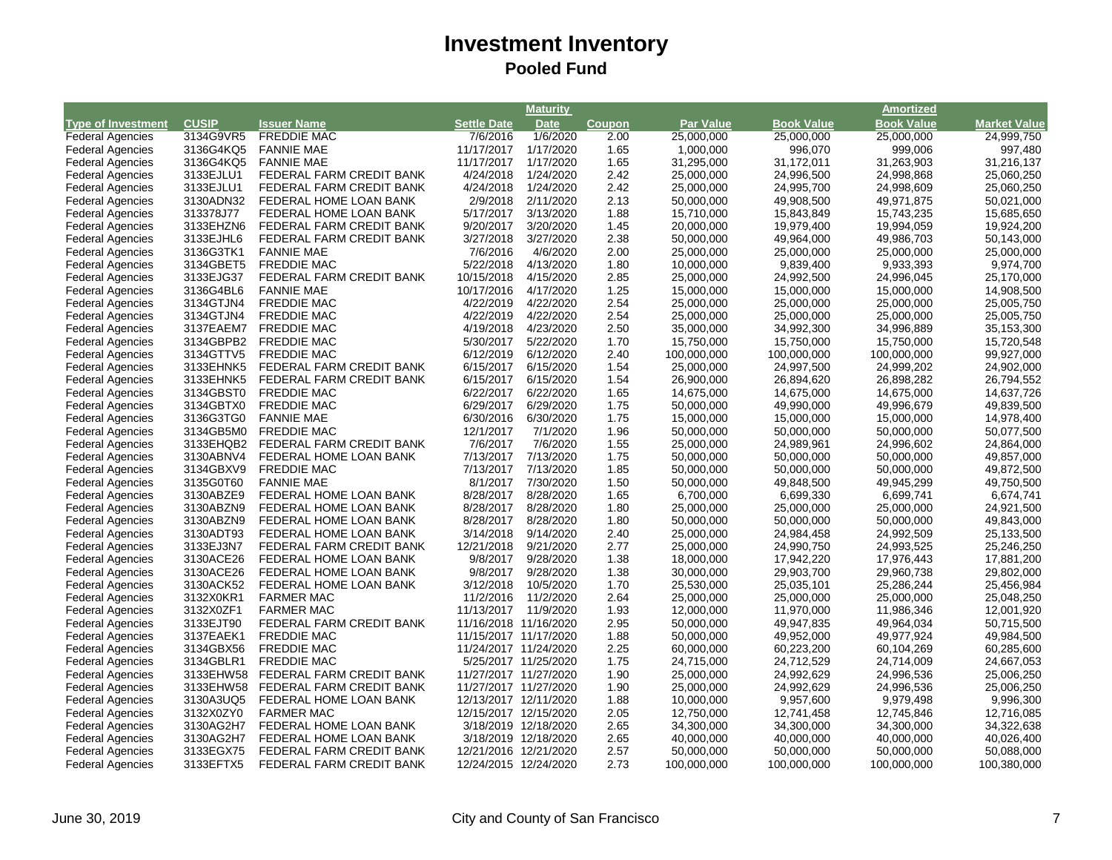|                           |              |                          |                       | <b>Maturity</b> |               |                  |                   | <b>Amortized</b>  |                     |
|---------------------------|--------------|--------------------------|-----------------------|-----------------|---------------|------------------|-------------------|-------------------|---------------------|
| <b>Type of Investment</b> | <b>CUSIP</b> | <b>Issuer Name</b>       | <b>Settle Date</b>    | <b>Date</b>     | <b>Coupon</b> | <b>Par Value</b> | <b>Book Value</b> | <b>Book Value</b> | <b>Market Value</b> |
| <b>Federal Agencies</b>   | 3134G9VR5    | <b>FREDDIE MAC</b>       | 7/6/2016              | 1/6/2020        | 2.00          | 25,000,000       | 25,000,000        | 25,000,000        | 24,999,750          |
| <b>Federal Agencies</b>   | 3136G4KQ5    | <b>FANNIE MAE</b>        | 11/17/2017            | 1/17/2020       | 1.65          | 1,000,000        | 996,070           | 999,006           | 997,480             |
| <b>Federal Agencies</b>   | 3136G4KQ5    | <b>FANNIE MAE</b>        | 11/17/2017            | 1/17/2020       | 1.65          | 31,295,000       | 31,172,011        | 31,263,903        | 31,216,137          |
| <b>Federal Agencies</b>   | 3133EJLU1    | FEDERAL FARM CREDIT BANK | 4/24/2018             | 1/24/2020       | 2.42          | 25,000,000       | 24,996,500        | 24,998,868        | 25,060,250          |
| <b>Federal Agencies</b>   | 3133EJLU1    | FEDERAL FARM CREDIT BANK | 4/24/2018             | 1/24/2020       | 2.42          | 25,000,000       | 24,995,700        | 24,998,609        | 25,060,250          |
| <b>Federal Agencies</b>   | 3130ADN32    | FEDERAL HOME LOAN BANK   | 2/9/2018              | 2/11/2020       | 2.13          | 50,000,000       | 49,908,500        | 49,971,875        | 50,021,000          |
| <b>Federal Agencies</b>   | 313378J77    | FEDERAL HOME LOAN BANK   | 5/17/2017             | 3/13/2020       | 1.88          | 15,710,000       | 15,843,849        | 15,743,235        | 15,685,650          |
| <b>Federal Agencies</b>   | 3133EHZN6    | FEDERAL FARM CREDIT BANK | 9/20/2017             | 3/20/2020       | 1.45          | 20,000,000       | 19,979,400        | 19,994,059        | 19,924,200          |
| <b>Federal Agencies</b>   | 3133EJHL6    | FEDERAL FARM CREDIT BANK | 3/27/2018             | 3/27/2020       | 2.38          | 50,000,000       | 49,964,000        | 49,986,703        | 50,143,000          |
| <b>Federal Agencies</b>   | 3136G3TK1    | <b>FANNIE MAE</b>        | 7/6/2016              | 4/6/2020        | 2.00          | 25,000,000       | 25,000,000        | 25,000,000        | 25,000,000          |
| <b>Federal Agencies</b>   | 3134GBET5    | <b>FREDDIE MAC</b>       | 5/22/2018             | 4/13/2020       | 1.80          | 10,000,000       | 9,839,400         | 9,933,393         | 9,974,700           |
| <b>Federal Agencies</b>   | 3133EJG37    | FEDERAL FARM CREDIT BANK | 10/15/2018            | 4/15/2020       | 2.85          | 25,000,000       | 24,992,500        | 24,996,045        | 25,170,000          |
| <b>Federal Agencies</b>   | 3136G4BL6    | <b>FANNIE MAE</b>        | 10/17/2016            | 4/17/2020       | 1.25          | 15,000,000       | 15,000,000        | 15,000,000        | 14,908,500          |
| <b>Federal Agencies</b>   | 3134GTJN4    | <b>FREDDIE MAC</b>       | 4/22/2019             | 4/22/2020       | 2.54          | 25,000,000       | 25,000,000        | 25,000,000        | 25,005,750          |
| <b>Federal Agencies</b>   | 3134GTJN4    | <b>FREDDIE MAC</b>       | 4/22/2019             | 4/22/2020       | 2.54          | 25,000,000       | 25,000,000        | 25,000,000        | 25,005,750          |
| <b>Federal Agencies</b>   | 3137EAEM7    | <b>FREDDIE MAC</b>       | 4/19/2018             | 4/23/2020       | 2.50          | 35,000,000       | 34,992,300        | 34,996,889        | 35,153,300          |
| <b>Federal Agencies</b>   | 3134GBPB2    | <b>FREDDIE MAC</b>       | 5/30/2017             | 5/22/2020       | 1.70          | 15,750,000       | 15,750,000        | 15,750,000        | 15,720,548          |
| <b>Federal Agencies</b>   | 3134GTTV5    | <b>FREDDIE MAC</b>       | 6/12/2019             | 6/12/2020       | 2.40          | 100,000,000      | 100,000,000       | 100,000,000       | 99,927,000          |
| <b>Federal Agencies</b>   | 3133EHNK5    | FEDERAL FARM CREDIT BANK | 6/15/2017             | 6/15/2020       | 1.54          | 25,000,000       | 24,997,500        | 24,999,202        | 24,902,000          |
| <b>Federal Agencies</b>   | 3133EHNK5    | FEDERAL FARM CREDIT BANK | 6/15/2017             | 6/15/2020       | 1.54          | 26,900,000       | 26,894,620        | 26,898,282        | 26,794,552          |
| <b>Federal Agencies</b>   | 3134GBST0    | <b>FREDDIE MAC</b>       | 6/22/2017             | 6/22/2020       | 1.65          | 14,675,000       | 14,675,000        | 14,675,000        | 14,637,726          |
| <b>Federal Agencies</b>   | 3134GBTX0    | <b>FREDDIE MAC</b>       | 6/29/2017             | 6/29/2020       | 1.75          | 50,000,000       | 49,990,000        | 49,996,679        | 49,839,500          |
| <b>Federal Agencies</b>   | 3136G3TG0    | <b>FANNIE MAE</b>        | 6/30/2016             | 6/30/2020       | 1.75          | 15,000,000       | 15,000,000        | 15,000,000        | 14,978,400          |
| <b>Federal Agencies</b>   | 3134GB5M0    | <b>FREDDIE MAC</b>       | 12/1/2017             | 7/1/2020        | 1.96          | 50,000,000       | 50,000,000        | 50,000,000        | 50,077,500          |
| <b>Federal Agencies</b>   | 3133EHQB2    | FEDERAL FARM CREDIT BANK | 7/6/2017              | 7/6/2020        | 1.55          | 25,000,000       | 24,989,961        | 24,996,602        | 24,864,000          |
| <b>Federal Agencies</b>   | 3130ABNV4    | FEDERAL HOME LOAN BANK   | 7/13/2017             | 7/13/2020       | 1.75          | 50,000,000       | 50,000,000        | 50,000,000        | 49,857,000          |
| <b>Federal Agencies</b>   | 3134GBXV9    | <b>FREDDIE MAC</b>       | 7/13/2017             | 7/13/2020       | 1.85          | 50,000,000       | 50,000,000        | 50,000,000        | 49,872,500          |
| <b>Federal Agencies</b>   | 3135G0T60    | <b>FANNIE MAE</b>        | 8/1/2017              | 7/30/2020       | 1.50          | 50,000,000       | 49,848,500        | 49,945,299        | 49,750,500          |
| <b>Federal Agencies</b>   | 3130ABZE9    | FEDERAL HOME LOAN BANK   | 8/28/2017             | 8/28/2020       | 1.65          | 6,700,000        | 6,699,330         | 6,699,741         | 6,674,741           |
| <b>Federal Agencies</b>   | 3130ABZN9    | FEDERAL HOME LOAN BANK   | 8/28/2017             | 8/28/2020       | 1.80          | 25,000,000       | 25,000,000        | 25,000,000        | 24,921,500          |
| <b>Federal Agencies</b>   | 3130ABZN9    | FEDERAL HOME LOAN BANK   | 8/28/2017             | 8/28/2020       | 1.80          | 50,000,000       | 50,000,000        | 50,000,000        | 49,843,000          |
| <b>Federal Agencies</b>   | 3130ADT93    | FEDERAL HOME LOAN BANK   | 3/14/2018             | 9/14/2020       | 2.40          | 25,000,000       | 24,984,458        | 24,992,509        | 25,133,500          |
| <b>Federal Agencies</b>   | 3133EJ3N7    | FEDERAL FARM CREDIT BANK | 12/21/2018            | 9/21/2020       | 2.77          | 25,000,000       | 24,990,750        | 24,993,525        | 25,246,250          |
| <b>Federal Agencies</b>   | 3130ACE26    | FEDERAL HOME LOAN BANK   | 9/8/2017              | 9/28/2020       | 1.38          | 18,000,000       | 17,942,220        | 17,976,443        | 17,881,200          |
| <b>Federal Agencies</b>   | 3130ACE26    | FEDERAL HOME LOAN BANK   | 9/8/2017              | 9/28/2020       | 1.38          | 30,000,000       | 29,903,700        | 29,960,738        | 29,802,000          |
| <b>Federal Agencies</b>   | 3130ACK52    | FEDERAL HOME LOAN BANK   | 3/12/2018             | 10/5/2020       | 1.70          | 25,530,000       | 25,035,101        | 25,286,244        | 25,456,984          |
| <b>Federal Agencies</b>   | 3132X0KR1    | <b>FARMER MAC</b>        | 11/2/2016             | 11/2/2020       | 2.64          | 25,000,000       | 25,000,000        | 25,000,000        | 25,048,250          |
| <b>Federal Agencies</b>   | 3132X0ZF1    | <b>FARMER MAC</b>        | 11/13/2017            | 11/9/2020       | 1.93          | 12,000,000       | 11,970,000        | 11,986,346        | 12,001,920          |
| <b>Federal Agencies</b>   | 3133EJT90    | FEDERAL FARM CREDIT BANK | 11/16/2018 11/16/2020 |                 | 2.95          | 50,000,000       | 49,947,835        | 49,964,034        | 50,715,500          |
| <b>Federal Agencies</b>   | 3137EAEK1    | <b>FREDDIE MAC</b>       | 11/15/2017 11/17/2020 |                 | 1.88          | 50,000,000       | 49,952,000        | 49,977,924        | 49,984,500          |
| <b>Federal Agencies</b>   | 3134GBX56    | <b>FREDDIE MAC</b>       | 11/24/2017 11/24/2020 |                 | 2.25          | 60,000,000       | 60,223,200        | 60,104,269        | 60,285,600          |
| <b>Federal Agencies</b>   | 3134GBLR1    | <b>FREDDIE MAC</b>       | 5/25/2017 11/25/2020  |                 | 1.75          | 24,715,000       | 24,712,529        | 24,714,009        | 24,667,053          |
| <b>Federal Agencies</b>   | 3133EHW58    | FEDERAL FARM CREDIT BANK | 11/27/2017 11/27/2020 |                 | 1.90          | 25,000,000       | 24,992,629        | 24,996,536        | 25,006,250          |
| <b>Federal Agencies</b>   | 3133EHW58    | FEDERAL FARM CREDIT BANK | 11/27/2017 11/27/2020 |                 | 1.90          | 25,000,000       | 24,992,629        | 24,996,536        | 25,006,250          |
| <b>Federal Agencies</b>   | 3130A3UQ5    | FEDERAL HOME LOAN BANK   | 12/13/2017 12/11/2020 |                 | 1.88          | 10,000,000       | 9,957,600         | 9,979,498         | 9,996,300           |
| <b>Federal Agencies</b>   | 3132X0ZY0    | <b>FARMER MAC</b>        | 12/15/2017 12/15/2020 |                 | 2.05          | 12,750,000       | 12,741,458        | 12,745,846        | 12,716,085          |
| <b>Federal Agencies</b>   | 3130AG2H7    | FEDERAL HOME LOAN BANK   | 3/18/2019 12/18/2020  |                 | 2.65          | 34,300,000       | 34,300,000        | 34,300,000        | 34,322,638          |
| <b>Federal Agencies</b>   | 3130AG2H7    | FEDERAL HOME LOAN BANK   | 3/18/2019 12/18/2020  |                 | 2.65          | 40,000,000       | 40,000,000        | 40,000,000        | 40,026,400          |
| <b>Federal Agencies</b>   | 3133EGX75    | FEDERAL FARM CREDIT BANK | 12/21/2016 12/21/2020 |                 | 2.57          | 50,000,000       | 50,000,000        | 50,000,000        | 50,088,000          |
| <b>Federal Agencies</b>   | 3133EFTX5    | FEDERAL FARM CREDIT BANK | 12/24/2015 12/24/2020 |                 | 2.73          | 100,000,000      | 100,000,000       | 100,000,000       | 100,380,000         |
|                           |              |                          |                       |                 |               |                  |                   |                   |                     |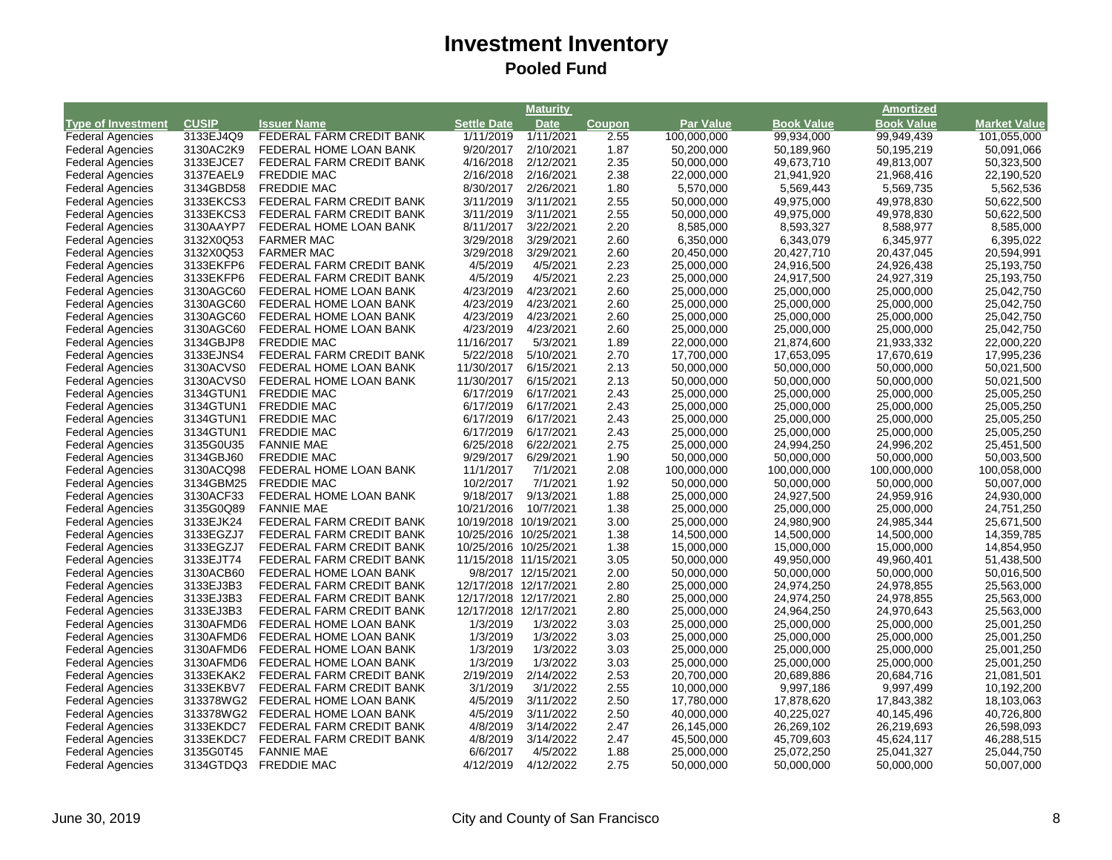| <b>Book Value</b><br><b>Type of Investment</b><br><b>CUSIP</b><br><b>Settle Date</b><br><b>Par Value</b><br><b>Book Value</b><br><b>Market Value</b><br><b>Issuer Name</b><br><b>Date</b><br><b>Coupon</b><br>FEDERAL FARM CREDIT BANK<br>1/11/2021<br><b>Federal Agencies</b><br>3133EJ4Q9<br>1/11/2019<br>2.55<br>100,000,000<br>99,934,000<br>99,949,439<br>101,055,000<br>3130AC2K9<br>9/20/2017<br>2/10/2021<br>1.87<br>50,200,000<br><b>Federal Agencies</b><br>FEDERAL HOME LOAN BANK<br>50,189,960<br>50,195,219<br>50,091,066<br>3133EJCE7<br>4/16/2018<br>2.35<br><b>Federal Agencies</b><br>FEDERAL FARM CREDIT BANK<br>2/12/2021<br>50,000,000<br>49,673,710<br>49,813,007<br>50,323,500<br>2/16/2018<br><b>Federal Agencies</b><br>3137EAEL9<br><b>FREDDIE MAC</b><br>2/16/2021<br>2.38<br>22,000,000<br>21,941,920<br>21,968,416<br>22,190,520<br>8/30/2017<br><b>Federal Agencies</b><br>3134GBD58<br><b>FREDDIE MAC</b><br>2/26/2021<br>1.80<br>5,570,000<br>5,569,443<br>5,569,735<br>5,562,536<br>FEDERAL FARM CREDIT BANK<br><b>Federal Agencies</b><br>3133EKCS3<br>3/11/2019<br>3/11/2021<br>2.55<br>50,000,000<br>49,975,000<br>49,978,830<br>50,622,500<br>3133EKCS3<br>2.55<br><b>Federal Agencies</b><br>FEDERAL FARM CREDIT BANK<br>3/11/2019<br>3/11/2021<br>50,000,000<br>49,975,000<br>49,978,830<br>50,622,500<br><b>Federal Agencies</b><br>3130AAYP7<br>FEDERAL HOME LOAN BANK<br>8/11/2017<br>3/22/2021<br>2.20<br>8,585,000<br>8,593,327<br>8,588,977<br>8,585,000<br>3/29/2018<br>2.60<br><b>Federal Agencies</b><br>3132X0Q53<br><b>FARMER MAC</b><br>3/29/2021<br>6,350,000<br>6,343,079<br>6,345,977<br>6,395,022<br>3132X0Q53<br><b>FARMER MAC</b><br>3/29/2018<br>3/29/2021<br>2.60<br><b>Federal Agencies</b><br>20,450,000<br>20,427,710<br>20,437,045<br>20,594,991<br>FEDERAL FARM CREDIT BANK<br><b>Federal Agencies</b><br>3133EKFP6<br>4/5/2019<br>4/5/2021<br>2.23<br>25,000,000<br>24,916,500<br>24,926,438<br>25,193,750<br>4/5/2019<br><b>Federal Agencies</b><br>3133EKFP6<br>FEDERAL FARM CREDIT BANK<br>4/5/2021<br>2.23<br>25,000,000<br>24,917,500<br>24,927,319<br>25,193,750<br><b>Federal Agencies</b><br>4/23/2019<br>4/23/2021<br>2.60<br>25,000,000<br>25,042,750<br>3130AGC60<br>FEDERAL HOME LOAN BANK<br>25,000,000<br>25,000,000<br>3130AGC60<br>FEDERAL HOME LOAN BANK<br>4/23/2019<br>4/23/2021<br>2.60<br>25,000,000<br>25,000,000<br>25,000,000<br>25,042,750<br><b>Federal Agencies</b><br>4/23/2019<br>2.60<br><b>Federal Agencies</b><br>3130AGC60<br>FEDERAL HOME LOAN BANK<br>4/23/2021<br>25,000,000<br>25,000,000<br>25,000,000<br>25,042,750<br>4/23/2019<br><b>Federal Agencies</b><br>3130AGC60<br>FEDERAL HOME LOAN BANK<br>4/23/2021<br>2.60<br>25,000,000<br>25,000,000<br>25,000,000<br>25,042,750<br>11/16/2017<br>3134GBJP8<br><b>FREDDIE MAC</b><br>5/3/2021<br>1.89<br>22,000,000<br>21,874,600<br>21,933,332<br>22,000,220<br><b>Federal Agencies</b><br>FEDERAL FARM CREDIT BANK<br>2.70<br><b>Federal Agencies</b><br>3133EJNS4<br>5/22/2018<br>5/10/2021<br>17,700,000<br>17,653,095<br>17,670,619<br>17,995,236<br>2.13<br><b>Federal Agencies</b><br>3130ACVS0<br>11/30/2017<br>6/15/2021<br>50,000,000<br>50,021,500<br>FEDERAL HOME LOAN BANK<br>50,000,000<br>50,000,000<br>3130ACVS0<br>FEDERAL HOME LOAN BANK<br>11/30/2017<br>6/15/2021<br>2.13<br>50,000,000<br>50,000,000<br>50,021,500<br><b>Federal Agencies</b><br>50,000,000<br>6/17/2019<br><b>Federal Agencies</b><br>3134GTUN1<br><b>FREDDIE MAC</b><br>6/17/2021<br>2.43<br>25,000,000<br>25,000,000<br>25,000,000<br>25,005,250<br>6/17/2019<br>2.43<br><b>Federal Agencies</b><br>3134GTUN1<br><b>FREDDIE MAC</b><br>6/17/2021<br>25,000,000<br>25,000,000<br>25,000,000<br>25,005,250<br><b>Federal Agencies</b><br>3134GTUN1<br><b>FREDDIE MAC</b><br>6/17/2019<br>6/17/2021<br>2.43<br>25,000,000<br>25,000,000<br>25,000,000<br>25,005,250<br>2.43<br><b>Federal Agencies</b><br>3134GTUN1<br><b>FREDDIE MAC</b><br>6/17/2019<br>6/17/2021<br>25,000,000<br>25,000,000<br>25,000,000<br>25,005,250<br>2.75<br><b>Federal Agencies</b><br>3135G0U35<br>6/25/2018<br>6/22/2021<br>25,000,000<br>24,994,250<br>24,996,202<br>25,451,500<br><b>FANNIE MAE</b><br><b>Federal Agencies</b><br>3134GBJ60<br><b>FREDDIE MAC</b><br>9/29/2017<br>6/29/2021<br>1.90<br>50,000,000<br>50,000,000<br>50,000,000<br>50,003,500<br>3130ACQ98<br>2.08<br><b>Federal Agencies</b><br>FEDERAL HOME LOAN BANK<br>11/1/2017<br>7/1/2021<br>100,000,000<br>100,000,000<br>100,000,000<br>100,058,000<br>3134GBM25<br>10/2/2017<br><b>Federal Agencies</b><br><b>FREDDIE MAC</b><br>7/1/2021<br>1.92<br>50,000,000<br>50,000,000<br>50,007,000<br>50,000,000<br><b>Federal Agencies</b><br>3130ACF33<br>FEDERAL HOME LOAN BANK<br>9/18/2017<br>9/13/2021<br>1.88<br>25,000,000<br>24,927,500<br>24,959,916<br>24,930,000<br><b>Federal Agencies</b><br>3135G0Q89<br><b>FANNIE MAE</b><br>10/21/2016<br>10/7/2021<br>1.38<br>25,000,000<br>25,000,000<br>25,000,000<br>24,751,250<br>FEDERAL FARM CREDIT BANK<br><b>Federal Agencies</b><br>3133EJK24<br>10/19/2018 10/19/2021<br>3.00<br>25,000,000<br>24,980,900<br>24,985,344<br>25,671,500<br><b>Federal Agencies</b><br>3133EGZJ7<br>FEDERAL FARM CREDIT BANK<br>10/25/2016 10/25/2021<br>1.38<br>14,500,000<br>14,500,000<br>14,500,000<br>14,359,785<br>3133EGZJ7<br><b>Federal Agencies</b><br>FEDERAL FARM CREDIT BANK<br>10/25/2016 10/25/2021<br>1.38<br>15,000,000<br>15,000,000<br>15,000,000<br>14,854,950<br>3133EJT74<br>3.05<br><b>Federal Agencies</b><br>FEDERAL FARM CREDIT BANK<br>11/15/2018 11/15/2021<br>50,000,000<br>49,950,000<br>49,960,401<br>51,438,500<br><b>Federal Agencies</b><br>3130ACB60<br>FEDERAL HOME LOAN BANK<br>9/8/2017 12/15/2021<br>2.00<br>50,000,000<br>50,000,000<br>50,000,000<br>50,016,500<br><b>Federal Agencies</b><br>3133EJ3B3<br>FEDERAL FARM CREDIT BANK<br>12/17/2018 12/17/2021<br>2.80<br>25,000,000<br>24,974,250<br>24,978,855<br>25,563,000<br>3133EJ3B3<br>2.80<br><b>Federal Agencies</b><br>FEDERAL FARM CREDIT BANK<br>12/17/2018 12/17/2021<br>25,000,000<br>24,974,250<br>24,978,855<br>25,563,000<br><b>Federal Agencies</b><br>3133EJ3B3<br>FEDERAL FARM CREDIT BANK<br>12/17/2018 12/17/2021<br>2.80<br>25,000,000<br>24,964,250<br>24,970,643<br>25,563,000<br>3.03<br><b>Federal Agencies</b><br>3130AFMD6<br>FEDERAL HOME LOAN BANK<br>1/3/2019<br>1/3/2022<br>25,000,000<br>25,000,000<br>25,000,000<br>25,001,250<br>1/3/2019<br>1/3/2022<br><b>Federal Agencies</b><br>3130AFMD6<br>FEDERAL HOME LOAN BANK<br>3.03<br>25,000,000<br>25,000,000<br>25,001,250<br>25,000,000<br>1/3/2019<br><b>Federal Agencies</b><br>3130AFMD6<br>FEDERAL HOME LOAN BANK<br>1/3/2022<br>3.03<br>25,000,000<br>25,000,000<br>25,000,000<br>25,001,250<br><b>Federal Agencies</b><br>3130AFMD6<br>FEDERAL HOME LOAN BANK<br>1/3/2019<br>1/3/2022<br>3.03<br>25,000,000<br>25,000,000<br>25,000,000<br>25,001,250<br>2.53<br>3133EKAK2<br>2/19/2019<br>2/14/2022<br>20,689,886<br>20,684,716<br>21,081,501<br><b>Federal Agencies</b><br>FEDERAL FARM CREDIT BANK<br>20,700,000<br><b>Federal Agencies</b><br>3133EKBV7<br>3/1/2019<br>3/1/2022<br>2.55<br>10,000,000<br>9,997,186<br>9,997,499<br>10,192,200<br>FEDERAL FARM CREDIT BANK |                         |           |                        |          | Maturity  |      |            |            | <b>Amortized</b> |            |
|-----------------------------------------------------------------------------------------------------------------------------------------------------------------------------------------------------------------------------------------------------------------------------------------------------------------------------------------------------------------------------------------------------------------------------------------------------------------------------------------------------------------------------------------------------------------------------------------------------------------------------------------------------------------------------------------------------------------------------------------------------------------------------------------------------------------------------------------------------------------------------------------------------------------------------------------------------------------------------------------------------------------------------------------------------------------------------------------------------------------------------------------------------------------------------------------------------------------------------------------------------------------------------------------------------------------------------------------------------------------------------------------------------------------------------------------------------------------------------------------------------------------------------------------------------------------------------------------------------------------------------------------------------------------------------------------------------------------------------------------------------------------------------------------------------------------------------------------------------------------------------------------------------------------------------------------------------------------------------------------------------------------------------------------------------------------------------------------------------------------------------------------------------------------------------------------------------------------------------------------------------------------------------------------------------------------------------------------------------------------------------------------------------------------------------------------------------------------------------------------------------------------------------------------------------------------------------------------------------------------------------------------------------------------------------------------------------------------------------------------------------------------------------------------------------------------------------------------------------------------------------------------------------------------------------------------------------------------------------------------------------------------------------------------------------------------------------------------------------------------------------------------------------------------------------------------------------------------------------------------------------------------------------------------------------------------------------------------------------------------------------------------------------------------------------------------------------------------------------------------------------------------------------------------------------------------------------------------------------------------------------------------------------------------------------------------------------------------------------------------------------------------------------------------------------------------------------------------------------------------------------------------------------------------------------------------------------------------------------------------------------------------------------------------------------------------------------------------------------------------------------------------------------------------------------------------------------------------------------------------------------------------------------------------------------------------------------------------------------------------------------------------------------------------------------------------------------------------------------------------------------------------------------------------------------------------------------------------------------------------------------------------------------------------------------------------------------------------------------------------------------------------------------------------------------------------------------------------------------------------------------------------------------------------------------------------------------------------------------------------------------------------------------------------------------------------------------------------------------------------------------------------------------------------------------------------------------------------------------------------------------------------------------------------------------------------------------------------------------------------------------------------------------------------------------------------------------------------------------------------------------------------------------------------------------------------------------------------------------------------------------------------------------------------------------------------------------------------------------------------------------------------------------------------------------------------------------------------------------------------------------------------------------------------------------------------------------------------------------------------------------------------------------------------------------------------------------------------------------------------------------------------------------------------------------------------------------------------------------------------------------------------------------------------------------------------------------------------------------------------------------------------------------------------------------------------------------------------------------------------------------------------------------------------------------------------------------------------------------------------------------------------------------------------------------------------------------------------------------------------------------------------------------------------------------------------------------------------------------------------------------------------------------------------------------------------------------------------------------------------------------------------------------------------------------------------------------------------------------------------------------------------------------------------------------------------------------------------------------------------------------------------------------------------------------|-------------------------|-----------|------------------------|----------|-----------|------|------------|------------|------------------|------------|
|                                                                                                                                                                                                                                                                                                                                                                                                                                                                                                                                                                                                                                                                                                                                                                                                                                                                                                                                                                                                                                                                                                                                                                                                                                                                                                                                                                                                                                                                                                                                                                                                                                                                                                                                                                                                                                                                                                                                                                                                                                                                                                                                                                                                                                                                                                                                                                                                                                                                                                                                                                                                                                                                                                                                                                                                                                                                                                                                                                                                                                                                                                                                                                                                                                                                                                                                                                                                                                                                                                                                                                                                                                                                                                                                                                                                                                                                                                                                                                                                                                                                                                                                                                                                                                                                                                                                                                                                                                                                                                                                                                                                                                                                                                                                                                                                                                                                                                                                                                                                                                                                                                                                                                                                                                                                                                                                                                                                                                                                                                                                                                                                                                                                                                                                                                                                                                                                                                                                                                                                                                                                                                                                                                                                                                                                                                                                                                                                                                                                                                                                                                                                                                                                                                                                                                                                                                                                                                                                                                                                                                                                                                                                                                                                                                                                                                     |                         |           |                        |          |           |      |            |            |                  |            |
|                                                                                                                                                                                                                                                                                                                                                                                                                                                                                                                                                                                                                                                                                                                                                                                                                                                                                                                                                                                                                                                                                                                                                                                                                                                                                                                                                                                                                                                                                                                                                                                                                                                                                                                                                                                                                                                                                                                                                                                                                                                                                                                                                                                                                                                                                                                                                                                                                                                                                                                                                                                                                                                                                                                                                                                                                                                                                                                                                                                                                                                                                                                                                                                                                                                                                                                                                                                                                                                                                                                                                                                                                                                                                                                                                                                                                                                                                                                                                                                                                                                                                                                                                                                                                                                                                                                                                                                                                                                                                                                                                                                                                                                                                                                                                                                                                                                                                                                                                                                                                                                                                                                                                                                                                                                                                                                                                                                                                                                                                                                                                                                                                                                                                                                                                                                                                                                                                                                                                                                                                                                                                                                                                                                                                                                                                                                                                                                                                                                                                                                                                                                                                                                                                                                                                                                                                                                                                                                                                                                                                                                                                                                                                                                                                                                                                                     |                         |           |                        |          |           |      |            |            |                  |            |
|                                                                                                                                                                                                                                                                                                                                                                                                                                                                                                                                                                                                                                                                                                                                                                                                                                                                                                                                                                                                                                                                                                                                                                                                                                                                                                                                                                                                                                                                                                                                                                                                                                                                                                                                                                                                                                                                                                                                                                                                                                                                                                                                                                                                                                                                                                                                                                                                                                                                                                                                                                                                                                                                                                                                                                                                                                                                                                                                                                                                                                                                                                                                                                                                                                                                                                                                                                                                                                                                                                                                                                                                                                                                                                                                                                                                                                                                                                                                                                                                                                                                                                                                                                                                                                                                                                                                                                                                                                                                                                                                                                                                                                                                                                                                                                                                                                                                                                                                                                                                                                                                                                                                                                                                                                                                                                                                                                                                                                                                                                                                                                                                                                                                                                                                                                                                                                                                                                                                                                                                                                                                                                                                                                                                                                                                                                                                                                                                                                                                                                                                                                                                                                                                                                                                                                                                                                                                                                                                                                                                                                                                                                                                                                                                                                                                                                     |                         |           |                        |          |           |      |            |            |                  |            |
|                                                                                                                                                                                                                                                                                                                                                                                                                                                                                                                                                                                                                                                                                                                                                                                                                                                                                                                                                                                                                                                                                                                                                                                                                                                                                                                                                                                                                                                                                                                                                                                                                                                                                                                                                                                                                                                                                                                                                                                                                                                                                                                                                                                                                                                                                                                                                                                                                                                                                                                                                                                                                                                                                                                                                                                                                                                                                                                                                                                                                                                                                                                                                                                                                                                                                                                                                                                                                                                                                                                                                                                                                                                                                                                                                                                                                                                                                                                                                                                                                                                                                                                                                                                                                                                                                                                                                                                                                                                                                                                                                                                                                                                                                                                                                                                                                                                                                                                                                                                                                                                                                                                                                                                                                                                                                                                                                                                                                                                                                                                                                                                                                                                                                                                                                                                                                                                                                                                                                                                                                                                                                                                                                                                                                                                                                                                                                                                                                                                                                                                                                                                                                                                                                                                                                                                                                                                                                                                                                                                                                                                                                                                                                                                                                                                                                                     |                         |           |                        |          |           |      |            |            |                  |            |
|                                                                                                                                                                                                                                                                                                                                                                                                                                                                                                                                                                                                                                                                                                                                                                                                                                                                                                                                                                                                                                                                                                                                                                                                                                                                                                                                                                                                                                                                                                                                                                                                                                                                                                                                                                                                                                                                                                                                                                                                                                                                                                                                                                                                                                                                                                                                                                                                                                                                                                                                                                                                                                                                                                                                                                                                                                                                                                                                                                                                                                                                                                                                                                                                                                                                                                                                                                                                                                                                                                                                                                                                                                                                                                                                                                                                                                                                                                                                                                                                                                                                                                                                                                                                                                                                                                                                                                                                                                                                                                                                                                                                                                                                                                                                                                                                                                                                                                                                                                                                                                                                                                                                                                                                                                                                                                                                                                                                                                                                                                                                                                                                                                                                                                                                                                                                                                                                                                                                                                                                                                                                                                                                                                                                                                                                                                                                                                                                                                                                                                                                                                                                                                                                                                                                                                                                                                                                                                                                                                                                                                                                                                                                                                                                                                                                                                     |                         |           |                        |          |           |      |            |            |                  |            |
|                                                                                                                                                                                                                                                                                                                                                                                                                                                                                                                                                                                                                                                                                                                                                                                                                                                                                                                                                                                                                                                                                                                                                                                                                                                                                                                                                                                                                                                                                                                                                                                                                                                                                                                                                                                                                                                                                                                                                                                                                                                                                                                                                                                                                                                                                                                                                                                                                                                                                                                                                                                                                                                                                                                                                                                                                                                                                                                                                                                                                                                                                                                                                                                                                                                                                                                                                                                                                                                                                                                                                                                                                                                                                                                                                                                                                                                                                                                                                                                                                                                                                                                                                                                                                                                                                                                                                                                                                                                                                                                                                                                                                                                                                                                                                                                                                                                                                                                                                                                                                                                                                                                                                                                                                                                                                                                                                                                                                                                                                                                                                                                                                                                                                                                                                                                                                                                                                                                                                                                                                                                                                                                                                                                                                                                                                                                                                                                                                                                                                                                                                                                                                                                                                                                                                                                                                                                                                                                                                                                                                                                                                                                                                                                                                                                                                                     |                         |           |                        |          |           |      |            |            |                  |            |
|                                                                                                                                                                                                                                                                                                                                                                                                                                                                                                                                                                                                                                                                                                                                                                                                                                                                                                                                                                                                                                                                                                                                                                                                                                                                                                                                                                                                                                                                                                                                                                                                                                                                                                                                                                                                                                                                                                                                                                                                                                                                                                                                                                                                                                                                                                                                                                                                                                                                                                                                                                                                                                                                                                                                                                                                                                                                                                                                                                                                                                                                                                                                                                                                                                                                                                                                                                                                                                                                                                                                                                                                                                                                                                                                                                                                                                                                                                                                                                                                                                                                                                                                                                                                                                                                                                                                                                                                                                                                                                                                                                                                                                                                                                                                                                                                                                                                                                                                                                                                                                                                                                                                                                                                                                                                                                                                                                                                                                                                                                                                                                                                                                                                                                                                                                                                                                                                                                                                                                                                                                                                                                                                                                                                                                                                                                                                                                                                                                                                                                                                                                                                                                                                                                                                                                                                                                                                                                                                                                                                                                                                                                                                                                                                                                                                                                     |                         |           |                        |          |           |      |            |            |                  |            |
|                                                                                                                                                                                                                                                                                                                                                                                                                                                                                                                                                                                                                                                                                                                                                                                                                                                                                                                                                                                                                                                                                                                                                                                                                                                                                                                                                                                                                                                                                                                                                                                                                                                                                                                                                                                                                                                                                                                                                                                                                                                                                                                                                                                                                                                                                                                                                                                                                                                                                                                                                                                                                                                                                                                                                                                                                                                                                                                                                                                                                                                                                                                                                                                                                                                                                                                                                                                                                                                                                                                                                                                                                                                                                                                                                                                                                                                                                                                                                                                                                                                                                                                                                                                                                                                                                                                                                                                                                                                                                                                                                                                                                                                                                                                                                                                                                                                                                                                                                                                                                                                                                                                                                                                                                                                                                                                                                                                                                                                                                                                                                                                                                                                                                                                                                                                                                                                                                                                                                                                                                                                                                                                                                                                                                                                                                                                                                                                                                                                                                                                                                                                                                                                                                                                                                                                                                                                                                                                                                                                                                                                                                                                                                                                                                                                                                                     |                         |           |                        |          |           |      |            |            |                  |            |
|                                                                                                                                                                                                                                                                                                                                                                                                                                                                                                                                                                                                                                                                                                                                                                                                                                                                                                                                                                                                                                                                                                                                                                                                                                                                                                                                                                                                                                                                                                                                                                                                                                                                                                                                                                                                                                                                                                                                                                                                                                                                                                                                                                                                                                                                                                                                                                                                                                                                                                                                                                                                                                                                                                                                                                                                                                                                                                                                                                                                                                                                                                                                                                                                                                                                                                                                                                                                                                                                                                                                                                                                                                                                                                                                                                                                                                                                                                                                                                                                                                                                                                                                                                                                                                                                                                                                                                                                                                                                                                                                                                                                                                                                                                                                                                                                                                                                                                                                                                                                                                                                                                                                                                                                                                                                                                                                                                                                                                                                                                                                                                                                                                                                                                                                                                                                                                                                                                                                                                                                                                                                                                                                                                                                                                                                                                                                                                                                                                                                                                                                                                                                                                                                                                                                                                                                                                                                                                                                                                                                                                                                                                                                                                                                                                                                                                     |                         |           |                        |          |           |      |            |            |                  |            |
|                                                                                                                                                                                                                                                                                                                                                                                                                                                                                                                                                                                                                                                                                                                                                                                                                                                                                                                                                                                                                                                                                                                                                                                                                                                                                                                                                                                                                                                                                                                                                                                                                                                                                                                                                                                                                                                                                                                                                                                                                                                                                                                                                                                                                                                                                                                                                                                                                                                                                                                                                                                                                                                                                                                                                                                                                                                                                                                                                                                                                                                                                                                                                                                                                                                                                                                                                                                                                                                                                                                                                                                                                                                                                                                                                                                                                                                                                                                                                                                                                                                                                                                                                                                                                                                                                                                                                                                                                                                                                                                                                                                                                                                                                                                                                                                                                                                                                                                                                                                                                                                                                                                                                                                                                                                                                                                                                                                                                                                                                                                                                                                                                                                                                                                                                                                                                                                                                                                                                                                                                                                                                                                                                                                                                                                                                                                                                                                                                                                                                                                                                                                                                                                                                                                                                                                                                                                                                                                                                                                                                                                                                                                                                                                                                                                                                                     |                         |           |                        |          |           |      |            |            |                  |            |
|                                                                                                                                                                                                                                                                                                                                                                                                                                                                                                                                                                                                                                                                                                                                                                                                                                                                                                                                                                                                                                                                                                                                                                                                                                                                                                                                                                                                                                                                                                                                                                                                                                                                                                                                                                                                                                                                                                                                                                                                                                                                                                                                                                                                                                                                                                                                                                                                                                                                                                                                                                                                                                                                                                                                                                                                                                                                                                                                                                                                                                                                                                                                                                                                                                                                                                                                                                                                                                                                                                                                                                                                                                                                                                                                                                                                                                                                                                                                                                                                                                                                                                                                                                                                                                                                                                                                                                                                                                                                                                                                                                                                                                                                                                                                                                                                                                                                                                                                                                                                                                                                                                                                                                                                                                                                                                                                                                                                                                                                                                                                                                                                                                                                                                                                                                                                                                                                                                                                                                                                                                                                                                                                                                                                                                                                                                                                                                                                                                                                                                                                                                                                                                                                                                                                                                                                                                                                                                                                                                                                                                                                                                                                                                                                                                                                                                     |                         |           |                        |          |           |      |            |            |                  |            |
|                                                                                                                                                                                                                                                                                                                                                                                                                                                                                                                                                                                                                                                                                                                                                                                                                                                                                                                                                                                                                                                                                                                                                                                                                                                                                                                                                                                                                                                                                                                                                                                                                                                                                                                                                                                                                                                                                                                                                                                                                                                                                                                                                                                                                                                                                                                                                                                                                                                                                                                                                                                                                                                                                                                                                                                                                                                                                                                                                                                                                                                                                                                                                                                                                                                                                                                                                                                                                                                                                                                                                                                                                                                                                                                                                                                                                                                                                                                                                                                                                                                                                                                                                                                                                                                                                                                                                                                                                                                                                                                                                                                                                                                                                                                                                                                                                                                                                                                                                                                                                                                                                                                                                                                                                                                                                                                                                                                                                                                                                                                                                                                                                                                                                                                                                                                                                                                                                                                                                                                                                                                                                                                                                                                                                                                                                                                                                                                                                                                                                                                                                                                                                                                                                                                                                                                                                                                                                                                                                                                                                                                                                                                                                                                                                                                                                                     |                         |           |                        |          |           |      |            |            |                  |            |
|                                                                                                                                                                                                                                                                                                                                                                                                                                                                                                                                                                                                                                                                                                                                                                                                                                                                                                                                                                                                                                                                                                                                                                                                                                                                                                                                                                                                                                                                                                                                                                                                                                                                                                                                                                                                                                                                                                                                                                                                                                                                                                                                                                                                                                                                                                                                                                                                                                                                                                                                                                                                                                                                                                                                                                                                                                                                                                                                                                                                                                                                                                                                                                                                                                                                                                                                                                                                                                                                                                                                                                                                                                                                                                                                                                                                                                                                                                                                                                                                                                                                                                                                                                                                                                                                                                                                                                                                                                                                                                                                                                                                                                                                                                                                                                                                                                                                                                                                                                                                                                                                                                                                                                                                                                                                                                                                                                                                                                                                                                                                                                                                                                                                                                                                                                                                                                                                                                                                                                                                                                                                                                                                                                                                                                                                                                                                                                                                                                                                                                                                                                                                                                                                                                                                                                                                                                                                                                                                                                                                                                                                                                                                                                                                                                                                                                     |                         |           |                        |          |           |      |            |            |                  |            |
|                                                                                                                                                                                                                                                                                                                                                                                                                                                                                                                                                                                                                                                                                                                                                                                                                                                                                                                                                                                                                                                                                                                                                                                                                                                                                                                                                                                                                                                                                                                                                                                                                                                                                                                                                                                                                                                                                                                                                                                                                                                                                                                                                                                                                                                                                                                                                                                                                                                                                                                                                                                                                                                                                                                                                                                                                                                                                                                                                                                                                                                                                                                                                                                                                                                                                                                                                                                                                                                                                                                                                                                                                                                                                                                                                                                                                                                                                                                                                                                                                                                                                                                                                                                                                                                                                                                                                                                                                                                                                                                                                                                                                                                                                                                                                                                                                                                                                                                                                                                                                                                                                                                                                                                                                                                                                                                                                                                                                                                                                                                                                                                                                                                                                                                                                                                                                                                                                                                                                                                                                                                                                                                                                                                                                                                                                                                                                                                                                                                                                                                                                                                                                                                                                                                                                                                                                                                                                                                                                                                                                                                                                                                                                                                                                                                                                                     |                         |           |                        |          |           |      |            |            |                  |            |
|                                                                                                                                                                                                                                                                                                                                                                                                                                                                                                                                                                                                                                                                                                                                                                                                                                                                                                                                                                                                                                                                                                                                                                                                                                                                                                                                                                                                                                                                                                                                                                                                                                                                                                                                                                                                                                                                                                                                                                                                                                                                                                                                                                                                                                                                                                                                                                                                                                                                                                                                                                                                                                                                                                                                                                                                                                                                                                                                                                                                                                                                                                                                                                                                                                                                                                                                                                                                                                                                                                                                                                                                                                                                                                                                                                                                                                                                                                                                                                                                                                                                                                                                                                                                                                                                                                                                                                                                                                                                                                                                                                                                                                                                                                                                                                                                                                                                                                                                                                                                                                                                                                                                                                                                                                                                                                                                                                                                                                                                                                                                                                                                                                                                                                                                                                                                                                                                                                                                                                                                                                                                                                                                                                                                                                                                                                                                                                                                                                                                                                                                                                                                                                                                                                                                                                                                                                                                                                                                                                                                                                                                                                                                                                                                                                                                                                     |                         |           |                        |          |           |      |            |            |                  |            |
|                                                                                                                                                                                                                                                                                                                                                                                                                                                                                                                                                                                                                                                                                                                                                                                                                                                                                                                                                                                                                                                                                                                                                                                                                                                                                                                                                                                                                                                                                                                                                                                                                                                                                                                                                                                                                                                                                                                                                                                                                                                                                                                                                                                                                                                                                                                                                                                                                                                                                                                                                                                                                                                                                                                                                                                                                                                                                                                                                                                                                                                                                                                                                                                                                                                                                                                                                                                                                                                                                                                                                                                                                                                                                                                                                                                                                                                                                                                                                                                                                                                                                                                                                                                                                                                                                                                                                                                                                                                                                                                                                                                                                                                                                                                                                                                                                                                                                                                                                                                                                                                                                                                                                                                                                                                                                                                                                                                                                                                                                                                                                                                                                                                                                                                                                                                                                                                                                                                                                                                                                                                                                                                                                                                                                                                                                                                                                                                                                                                                                                                                                                                                                                                                                                                                                                                                                                                                                                                                                                                                                                                                                                                                                                                                                                                                                                     |                         |           |                        |          |           |      |            |            |                  |            |
|                                                                                                                                                                                                                                                                                                                                                                                                                                                                                                                                                                                                                                                                                                                                                                                                                                                                                                                                                                                                                                                                                                                                                                                                                                                                                                                                                                                                                                                                                                                                                                                                                                                                                                                                                                                                                                                                                                                                                                                                                                                                                                                                                                                                                                                                                                                                                                                                                                                                                                                                                                                                                                                                                                                                                                                                                                                                                                                                                                                                                                                                                                                                                                                                                                                                                                                                                                                                                                                                                                                                                                                                                                                                                                                                                                                                                                                                                                                                                                                                                                                                                                                                                                                                                                                                                                                                                                                                                                                                                                                                                                                                                                                                                                                                                                                                                                                                                                                                                                                                                                                                                                                                                                                                                                                                                                                                                                                                                                                                                                                                                                                                                                                                                                                                                                                                                                                                                                                                                                                                                                                                                                                                                                                                                                                                                                                                                                                                                                                                                                                                                                                                                                                                                                                                                                                                                                                                                                                                                                                                                                                                                                                                                                                                                                                                                                     |                         |           |                        |          |           |      |            |            |                  |            |
|                                                                                                                                                                                                                                                                                                                                                                                                                                                                                                                                                                                                                                                                                                                                                                                                                                                                                                                                                                                                                                                                                                                                                                                                                                                                                                                                                                                                                                                                                                                                                                                                                                                                                                                                                                                                                                                                                                                                                                                                                                                                                                                                                                                                                                                                                                                                                                                                                                                                                                                                                                                                                                                                                                                                                                                                                                                                                                                                                                                                                                                                                                                                                                                                                                                                                                                                                                                                                                                                                                                                                                                                                                                                                                                                                                                                                                                                                                                                                                                                                                                                                                                                                                                                                                                                                                                                                                                                                                                                                                                                                                                                                                                                                                                                                                                                                                                                                                                                                                                                                                                                                                                                                                                                                                                                                                                                                                                                                                                                                                                                                                                                                                                                                                                                                                                                                                                                                                                                                                                                                                                                                                                                                                                                                                                                                                                                                                                                                                                                                                                                                                                                                                                                                                                                                                                                                                                                                                                                                                                                                                                                                                                                                                                                                                                                                                     |                         |           |                        |          |           |      |            |            |                  |            |
|                                                                                                                                                                                                                                                                                                                                                                                                                                                                                                                                                                                                                                                                                                                                                                                                                                                                                                                                                                                                                                                                                                                                                                                                                                                                                                                                                                                                                                                                                                                                                                                                                                                                                                                                                                                                                                                                                                                                                                                                                                                                                                                                                                                                                                                                                                                                                                                                                                                                                                                                                                                                                                                                                                                                                                                                                                                                                                                                                                                                                                                                                                                                                                                                                                                                                                                                                                                                                                                                                                                                                                                                                                                                                                                                                                                                                                                                                                                                                                                                                                                                                                                                                                                                                                                                                                                                                                                                                                                                                                                                                                                                                                                                                                                                                                                                                                                                                                                                                                                                                                                                                                                                                                                                                                                                                                                                                                                                                                                                                                                                                                                                                                                                                                                                                                                                                                                                                                                                                                                                                                                                                                                                                                                                                                                                                                                                                                                                                                                                                                                                                                                                                                                                                                                                                                                                                                                                                                                                                                                                                                                                                                                                                                                                                                                                                                     |                         |           |                        |          |           |      |            |            |                  |            |
|                                                                                                                                                                                                                                                                                                                                                                                                                                                                                                                                                                                                                                                                                                                                                                                                                                                                                                                                                                                                                                                                                                                                                                                                                                                                                                                                                                                                                                                                                                                                                                                                                                                                                                                                                                                                                                                                                                                                                                                                                                                                                                                                                                                                                                                                                                                                                                                                                                                                                                                                                                                                                                                                                                                                                                                                                                                                                                                                                                                                                                                                                                                                                                                                                                                                                                                                                                                                                                                                                                                                                                                                                                                                                                                                                                                                                                                                                                                                                                                                                                                                                                                                                                                                                                                                                                                                                                                                                                                                                                                                                                                                                                                                                                                                                                                                                                                                                                                                                                                                                                                                                                                                                                                                                                                                                                                                                                                                                                                                                                                                                                                                                                                                                                                                                                                                                                                                                                                                                                                                                                                                                                                                                                                                                                                                                                                                                                                                                                                                                                                                                                                                                                                                                                                                                                                                                                                                                                                                                                                                                                                                                                                                                                                                                                                                                                     |                         |           |                        |          |           |      |            |            |                  |            |
|                                                                                                                                                                                                                                                                                                                                                                                                                                                                                                                                                                                                                                                                                                                                                                                                                                                                                                                                                                                                                                                                                                                                                                                                                                                                                                                                                                                                                                                                                                                                                                                                                                                                                                                                                                                                                                                                                                                                                                                                                                                                                                                                                                                                                                                                                                                                                                                                                                                                                                                                                                                                                                                                                                                                                                                                                                                                                                                                                                                                                                                                                                                                                                                                                                                                                                                                                                                                                                                                                                                                                                                                                                                                                                                                                                                                                                                                                                                                                                                                                                                                                                                                                                                                                                                                                                                                                                                                                                                                                                                                                                                                                                                                                                                                                                                                                                                                                                                                                                                                                                                                                                                                                                                                                                                                                                                                                                                                                                                                                                                                                                                                                                                                                                                                                                                                                                                                                                                                                                                                                                                                                                                                                                                                                                                                                                                                                                                                                                                                                                                                                                                                                                                                                                                                                                                                                                                                                                                                                                                                                                                                                                                                                                                                                                                                                                     |                         |           |                        |          |           |      |            |            |                  |            |
|                                                                                                                                                                                                                                                                                                                                                                                                                                                                                                                                                                                                                                                                                                                                                                                                                                                                                                                                                                                                                                                                                                                                                                                                                                                                                                                                                                                                                                                                                                                                                                                                                                                                                                                                                                                                                                                                                                                                                                                                                                                                                                                                                                                                                                                                                                                                                                                                                                                                                                                                                                                                                                                                                                                                                                                                                                                                                                                                                                                                                                                                                                                                                                                                                                                                                                                                                                                                                                                                                                                                                                                                                                                                                                                                                                                                                                                                                                                                                                                                                                                                                                                                                                                                                                                                                                                                                                                                                                                                                                                                                                                                                                                                                                                                                                                                                                                                                                                                                                                                                                                                                                                                                                                                                                                                                                                                                                                                                                                                                                                                                                                                                                                                                                                                                                                                                                                                                                                                                                                                                                                                                                                                                                                                                                                                                                                                                                                                                                                                                                                                                                                                                                                                                                                                                                                                                                                                                                                                                                                                                                                                                                                                                                                                                                                                                                     |                         |           |                        |          |           |      |            |            |                  |            |
|                                                                                                                                                                                                                                                                                                                                                                                                                                                                                                                                                                                                                                                                                                                                                                                                                                                                                                                                                                                                                                                                                                                                                                                                                                                                                                                                                                                                                                                                                                                                                                                                                                                                                                                                                                                                                                                                                                                                                                                                                                                                                                                                                                                                                                                                                                                                                                                                                                                                                                                                                                                                                                                                                                                                                                                                                                                                                                                                                                                                                                                                                                                                                                                                                                                                                                                                                                                                                                                                                                                                                                                                                                                                                                                                                                                                                                                                                                                                                                                                                                                                                                                                                                                                                                                                                                                                                                                                                                                                                                                                                                                                                                                                                                                                                                                                                                                                                                                                                                                                                                                                                                                                                                                                                                                                                                                                                                                                                                                                                                                                                                                                                                                                                                                                                                                                                                                                                                                                                                                                                                                                                                                                                                                                                                                                                                                                                                                                                                                                                                                                                                                                                                                                                                                                                                                                                                                                                                                                                                                                                                                                                                                                                                                                                                                                                                     |                         |           |                        |          |           |      |            |            |                  |            |
|                                                                                                                                                                                                                                                                                                                                                                                                                                                                                                                                                                                                                                                                                                                                                                                                                                                                                                                                                                                                                                                                                                                                                                                                                                                                                                                                                                                                                                                                                                                                                                                                                                                                                                                                                                                                                                                                                                                                                                                                                                                                                                                                                                                                                                                                                                                                                                                                                                                                                                                                                                                                                                                                                                                                                                                                                                                                                                                                                                                                                                                                                                                                                                                                                                                                                                                                                                                                                                                                                                                                                                                                                                                                                                                                                                                                                                                                                                                                                                                                                                                                                                                                                                                                                                                                                                                                                                                                                                                                                                                                                                                                                                                                                                                                                                                                                                                                                                                                                                                                                                                                                                                                                                                                                                                                                                                                                                                                                                                                                                                                                                                                                                                                                                                                                                                                                                                                                                                                                                                                                                                                                                                                                                                                                                                                                                                                                                                                                                                                                                                                                                                                                                                                                                                                                                                                                                                                                                                                                                                                                                                                                                                                                                                                                                                                                                     |                         |           |                        |          |           |      |            |            |                  |            |
|                                                                                                                                                                                                                                                                                                                                                                                                                                                                                                                                                                                                                                                                                                                                                                                                                                                                                                                                                                                                                                                                                                                                                                                                                                                                                                                                                                                                                                                                                                                                                                                                                                                                                                                                                                                                                                                                                                                                                                                                                                                                                                                                                                                                                                                                                                                                                                                                                                                                                                                                                                                                                                                                                                                                                                                                                                                                                                                                                                                                                                                                                                                                                                                                                                                                                                                                                                                                                                                                                                                                                                                                                                                                                                                                                                                                                                                                                                                                                                                                                                                                                                                                                                                                                                                                                                                                                                                                                                                                                                                                                                                                                                                                                                                                                                                                                                                                                                                                                                                                                                                                                                                                                                                                                                                                                                                                                                                                                                                                                                                                                                                                                                                                                                                                                                                                                                                                                                                                                                                                                                                                                                                                                                                                                                                                                                                                                                                                                                                                                                                                                                                                                                                                                                                                                                                                                                                                                                                                                                                                                                                                                                                                                                                                                                                                                                     |                         |           |                        |          |           |      |            |            |                  |            |
|                                                                                                                                                                                                                                                                                                                                                                                                                                                                                                                                                                                                                                                                                                                                                                                                                                                                                                                                                                                                                                                                                                                                                                                                                                                                                                                                                                                                                                                                                                                                                                                                                                                                                                                                                                                                                                                                                                                                                                                                                                                                                                                                                                                                                                                                                                                                                                                                                                                                                                                                                                                                                                                                                                                                                                                                                                                                                                                                                                                                                                                                                                                                                                                                                                                                                                                                                                                                                                                                                                                                                                                                                                                                                                                                                                                                                                                                                                                                                                                                                                                                                                                                                                                                                                                                                                                                                                                                                                                                                                                                                                                                                                                                                                                                                                                                                                                                                                                                                                                                                                                                                                                                                                                                                                                                                                                                                                                                                                                                                                                                                                                                                                                                                                                                                                                                                                                                                                                                                                                                                                                                                                                                                                                                                                                                                                                                                                                                                                                                                                                                                                                                                                                                                                                                                                                                                                                                                                                                                                                                                                                                                                                                                                                                                                                                                                     |                         |           |                        |          |           |      |            |            |                  |            |
|                                                                                                                                                                                                                                                                                                                                                                                                                                                                                                                                                                                                                                                                                                                                                                                                                                                                                                                                                                                                                                                                                                                                                                                                                                                                                                                                                                                                                                                                                                                                                                                                                                                                                                                                                                                                                                                                                                                                                                                                                                                                                                                                                                                                                                                                                                                                                                                                                                                                                                                                                                                                                                                                                                                                                                                                                                                                                                                                                                                                                                                                                                                                                                                                                                                                                                                                                                                                                                                                                                                                                                                                                                                                                                                                                                                                                                                                                                                                                                                                                                                                                                                                                                                                                                                                                                                                                                                                                                                                                                                                                                                                                                                                                                                                                                                                                                                                                                                                                                                                                                                                                                                                                                                                                                                                                                                                                                                                                                                                                                                                                                                                                                                                                                                                                                                                                                                                                                                                                                                                                                                                                                                                                                                                                                                                                                                                                                                                                                                                                                                                                                                                                                                                                                                                                                                                                                                                                                                                                                                                                                                                                                                                                                                                                                                                                                     |                         |           |                        |          |           |      |            |            |                  |            |
|                                                                                                                                                                                                                                                                                                                                                                                                                                                                                                                                                                                                                                                                                                                                                                                                                                                                                                                                                                                                                                                                                                                                                                                                                                                                                                                                                                                                                                                                                                                                                                                                                                                                                                                                                                                                                                                                                                                                                                                                                                                                                                                                                                                                                                                                                                                                                                                                                                                                                                                                                                                                                                                                                                                                                                                                                                                                                                                                                                                                                                                                                                                                                                                                                                                                                                                                                                                                                                                                                                                                                                                                                                                                                                                                                                                                                                                                                                                                                                                                                                                                                                                                                                                                                                                                                                                                                                                                                                                                                                                                                                                                                                                                                                                                                                                                                                                                                                                                                                                                                                                                                                                                                                                                                                                                                                                                                                                                                                                                                                                                                                                                                                                                                                                                                                                                                                                                                                                                                                                                                                                                                                                                                                                                                                                                                                                                                                                                                                                                                                                                                                                                                                                                                                                                                                                                                                                                                                                                                                                                                                                                                                                                                                                                                                                                                                     |                         |           |                        |          |           |      |            |            |                  |            |
|                                                                                                                                                                                                                                                                                                                                                                                                                                                                                                                                                                                                                                                                                                                                                                                                                                                                                                                                                                                                                                                                                                                                                                                                                                                                                                                                                                                                                                                                                                                                                                                                                                                                                                                                                                                                                                                                                                                                                                                                                                                                                                                                                                                                                                                                                                                                                                                                                                                                                                                                                                                                                                                                                                                                                                                                                                                                                                                                                                                                                                                                                                                                                                                                                                                                                                                                                                                                                                                                                                                                                                                                                                                                                                                                                                                                                                                                                                                                                                                                                                                                                                                                                                                                                                                                                                                                                                                                                                                                                                                                                                                                                                                                                                                                                                                                                                                                                                                                                                                                                                                                                                                                                                                                                                                                                                                                                                                                                                                                                                                                                                                                                                                                                                                                                                                                                                                                                                                                                                                                                                                                                                                                                                                                                                                                                                                                                                                                                                                                                                                                                                                                                                                                                                                                                                                                                                                                                                                                                                                                                                                                                                                                                                                                                                                                                                     |                         |           |                        |          |           |      |            |            |                  |            |
|                                                                                                                                                                                                                                                                                                                                                                                                                                                                                                                                                                                                                                                                                                                                                                                                                                                                                                                                                                                                                                                                                                                                                                                                                                                                                                                                                                                                                                                                                                                                                                                                                                                                                                                                                                                                                                                                                                                                                                                                                                                                                                                                                                                                                                                                                                                                                                                                                                                                                                                                                                                                                                                                                                                                                                                                                                                                                                                                                                                                                                                                                                                                                                                                                                                                                                                                                                                                                                                                                                                                                                                                                                                                                                                                                                                                                                                                                                                                                                                                                                                                                                                                                                                                                                                                                                                                                                                                                                                                                                                                                                                                                                                                                                                                                                                                                                                                                                                                                                                                                                                                                                                                                                                                                                                                                                                                                                                                                                                                                                                                                                                                                                                                                                                                                                                                                                                                                                                                                                                                                                                                                                                                                                                                                                                                                                                                                                                                                                                                                                                                                                                                                                                                                                                                                                                                                                                                                                                                                                                                                                                                                                                                                                                                                                                                                                     |                         |           |                        |          |           |      |            |            |                  |            |
|                                                                                                                                                                                                                                                                                                                                                                                                                                                                                                                                                                                                                                                                                                                                                                                                                                                                                                                                                                                                                                                                                                                                                                                                                                                                                                                                                                                                                                                                                                                                                                                                                                                                                                                                                                                                                                                                                                                                                                                                                                                                                                                                                                                                                                                                                                                                                                                                                                                                                                                                                                                                                                                                                                                                                                                                                                                                                                                                                                                                                                                                                                                                                                                                                                                                                                                                                                                                                                                                                                                                                                                                                                                                                                                                                                                                                                                                                                                                                                                                                                                                                                                                                                                                                                                                                                                                                                                                                                                                                                                                                                                                                                                                                                                                                                                                                                                                                                                                                                                                                                                                                                                                                                                                                                                                                                                                                                                                                                                                                                                                                                                                                                                                                                                                                                                                                                                                                                                                                                                                                                                                                                                                                                                                                                                                                                                                                                                                                                                                                                                                                                                                                                                                                                                                                                                                                                                                                                                                                                                                                                                                                                                                                                                                                                                                                                     |                         |           |                        |          |           |      |            |            |                  |            |
|                                                                                                                                                                                                                                                                                                                                                                                                                                                                                                                                                                                                                                                                                                                                                                                                                                                                                                                                                                                                                                                                                                                                                                                                                                                                                                                                                                                                                                                                                                                                                                                                                                                                                                                                                                                                                                                                                                                                                                                                                                                                                                                                                                                                                                                                                                                                                                                                                                                                                                                                                                                                                                                                                                                                                                                                                                                                                                                                                                                                                                                                                                                                                                                                                                                                                                                                                                                                                                                                                                                                                                                                                                                                                                                                                                                                                                                                                                                                                                                                                                                                                                                                                                                                                                                                                                                                                                                                                                                                                                                                                                                                                                                                                                                                                                                                                                                                                                                                                                                                                                                                                                                                                                                                                                                                                                                                                                                                                                                                                                                                                                                                                                                                                                                                                                                                                                                                                                                                                                                                                                                                                                                                                                                                                                                                                                                                                                                                                                                                                                                                                                                                                                                                                                                                                                                                                                                                                                                                                                                                                                                                                                                                                                                                                                                                                                     |                         |           |                        |          |           |      |            |            |                  |            |
|                                                                                                                                                                                                                                                                                                                                                                                                                                                                                                                                                                                                                                                                                                                                                                                                                                                                                                                                                                                                                                                                                                                                                                                                                                                                                                                                                                                                                                                                                                                                                                                                                                                                                                                                                                                                                                                                                                                                                                                                                                                                                                                                                                                                                                                                                                                                                                                                                                                                                                                                                                                                                                                                                                                                                                                                                                                                                                                                                                                                                                                                                                                                                                                                                                                                                                                                                                                                                                                                                                                                                                                                                                                                                                                                                                                                                                                                                                                                                                                                                                                                                                                                                                                                                                                                                                                                                                                                                                                                                                                                                                                                                                                                                                                                                                                                                                                                                                                                                                                                                                                                                                                                                                                                                                                                                                                                                                                                                                                                                                                                                                                                                                                                                                                                                                                                                                                                                                                                                                                                                                                                                                                                                                                                                                                                                                                                                                                                                                                                                                                                                                                                                                                                                                                                                                                                                                                                                                                                                                                                                                                                                                                                                                                                                                                                                                     |                         |           |                        |          |           |      |            |            |                  |            |
|                                                                                                                                                                                                                                                                                                                                                                                                                                                                                                                                                                                                                                                                                                                                                                                                                                                                                                                                                                                                                                                                                                                                                                                                                                                                                                                                                                                                                                                                                                                                                                                                                                                                                                                                                                                                                                                                                                                                                                                                                                                                                                                                                                                                                                                                                                                                                                                                                                                                                                                                                                                                                                                                                                                                                                                                                                                                                                                                                                                                                                                                                                                                                                                                                                                                                                                                                                                                                                                                                                                                                                                                                                                                                                                                                                                                                                                                                                                                                                                                                                                                                                                                                                                                                                                                                                                                                                                                                                                                                                                                                                                                                                                                                                                                                                                                                                                                                                                                                                                                                                                                                                                                                                                                                                                                                                                                                                                                                                                                                                                                                                                                                                                                                                                                                                                                                                                                                                                                                                                                                                                                                                                                                                                                                                                                                                                                                                                                                                                                                                                                                                                                                                                                                                                                                                                                                                                                                                                                                                                                                                                                                                                                                                                                                                                                                                     |                         |           |                        |          |           |      |            |            |                  |            |
|                                                                                                                                                                                                                                                                                                                                                                                                                                                                                                                                                                                                                                                                                                                                                                                                                                                                                                                                                                                                                                                                                                                                                                                                                                                                                                                                                                                                                                                                                                                                                                                                                                                                                                                                                                                                                                                                                                                                                                                                                                                                                                                                                                                                                                                                                                                                                                                                                                                                                                                                                                                                                                                                                                                                                                                                                                                                                                                                                                                                                                                                                                                                                                                                                                                                                                                                                                                                                                                                                                                                                                                                                                                                                                                                                                                                                                                                                                                                                                                                                                                                                                                                                                                                                                                                                                                                                                                                                                                                                                                                                                                                                                                                                                                                                                                                                                                                                                                                                                                                                                                                                                                                                                                                                                                                                                                                                                                                                                                                                                                                                                                                                                                                                                                                                                                                                                                                                                                                                                                                                                                                                                                                                                                                                                                                                                                                                                                                                                                                                                                                                                                                                                                                                                                                                                                                                                                                                                                                                                                                                                                                                                                                                                                                                                                                                                     |                         |           |                        |          |           |      |            |            |                  |            |
|                                                                                                                                                                                                                                                                                                                                                                                                                                                                                                                                                                                                                                                                                                                                                                                                                                                                                                                                                                                                                                                                                                                                                                                                                                                                                                                                                                                                                                                                                                                                                                                                                                                                                                                                                                                                                                                                                                                                                                                                                                                                                                                                                                                                                                                                                                                                                                                                                                                                                                                                                                                                                                                                                                                                                                                                                                                                                                                                                                                                                                                                                                                                                                                                                                                                                                                                                                                                                                                                                                                                                                                                                                                                                                                                                                                                                                                                                                                                                                                                                                                                                                                                                                                                                                                                                                                                                                                                                                                                                                                                                                                                                                                                                                                                                                                                                                                                                                                                                                                                                                                                                                                                                                                                                                                                                                                                                                                                                                                                                                                                                                                                                                                                                                                                                                                                                                                                                                                                                                                                                                                                                                                                                                                                                                                                                                                                                                                                                                                                                                                                                                                                                                                                                                                                                                                                                                                                                                                                                                                                                                                                                                                                                                                                                                                                                                     |                         |           |                        |          |           |      |            |            |                  |            |
|                                                                                                                                                                                                                                                                                                                                                                                                                                                                                                                                                                                                                                                                                                                                                                                                                                                                                                                                                                                                                                                                                                                                                                                                                                                                                                                                                                                                                                                                                                                                                                                                                                                                                                                                                                                                                                                                                                                                                                                                                                                                                                                                                                                                                                                                                                                                                                                                                                                                                                                                                                                                                                                                                                                                                                                                                                                                                                                                                                                                                                                                                                                                                                                                                                                                                                                                                                                                                                                                                                                                                                                                                                                                                                                                                                                                                                                                                                                                                                                                                                                                                                                                                                                                                                                                                                                                                                                                                                                                                                                                                                                                                                                                                                                                                                                                                                                                                                                                                                                                                                                                                                                                                                                                                                                                                                                                                                                                                                                                                                                                                                                                                                                                                                                                                                                                                                                                                                                                                                                                                                                                                                                                                                                                                                                                                                                                                                                                                                                                                                                                                                                                                                                                                                                                                                                                                                                                                                                                                                                                                                                                                                                                                                                                                                                                                                     |                         |           |                        |          |           |      |            |            |                  |            |
|                                                                                                                                                                                                                                                                                                                                                                                                                                                                                                                                                                                                                                                                                                                                                                                                                                                                                                                                                                                                                                                                                                                                                                                                                                                                                                                                                                                                                                                                                                                                                                                                                                                                                                                                                                                                                                                                                                                                                                                                                                                                                                                                                                                                                                                                                                                                                                                                                                                                                                                                                                                                                                                                                                                                                                                                                                                                                                                                                                                                                                                                                                                                                                                                                                                                                                                                                                                                                                                                                                                                                                                                                                                                                                                                                                                                                                                                                                                                                                                                                                                                                                                                                                                                                                                                                                                                                                                                                                                                                                                                                                                                                                                                                                                                                                                                                                                                                                                                                                                                                                                                                                                                                                                                                                                                                                                                                                                                                                                                                                                                                                                                                                                                                                                                                                                                                                                                                                                                                                                                                                                                                                                                                                                                                                                                                                                                                                                                                                                                                                                                                                                                                                                                                                                                                                                                                                                                                                                                                                                                                                                                                                                                                                                                                                                                                                     |                         |           |                        |          |           |      |            |            |                  |            |
|                                                                                                                                                                                                                                                                                                                                                                                                                                                                                                                                                                                                                                                                                                                                                                                                                                                                                                                                                                                                                                                                                                                                                                                                                                                                                                                                                                                                                                                                                                                                                                                                                                                                                                                                                                                                                                                                                                                                                                                                                                                                                                                                                                                                                                                                                                                                                                                                                                                                                                                                                                                                                                                                                                                                                                                                                                                                                                                                                                                                                                                                                                                                                                                                                                                                                                                                                                                                                                                                                                                                                                                                                                                                                                                                                                                                                                                                                                                                                                                                                                                                                                                                                                                                                                                                                                                                                                                                                                                                                                                                                                                                                                                                                                                                                                                                                                                                                                                                                                                                                                                                                                                                                                                                                                                                                                                                                                                                                                                                                                                                                                                                                                                                                                                                                                                                                                                                                                                                                                                                                                                                                                                                                                                                                                                                                                                                                                                                                                                                                                                                                                                                                                                                                                                                                                                                                                                                                                                                                                                                                                                                                                                                                                                                                                                                                                     |                         |           |                        |          |           |      |            |            |                  |            |
|                                                                                                                                                                                                                                                                                                                                                                                                                                                                                                                                                                                                                                                                                                                                                                                                                                                                                                                                                                                                                                                                                                                                                                                                                                                                                                                                                                                                                                                                                                                                                                                                                                                                                                                                                                                                                                                                                                                                                                                                                                                                                                                                                                                                                                                                                                                                                                                                                                                                                                                                                                                                                                                                                                                                                                                                                                                                                                                                                                                                                                                                                                                                                                                                                                                                                                                                                                                                                                                                                                                                                                                                                                                                                                                                                                                                                                                                                                                                                                                                                                                                                                                                                                                                                                                                                                                                                                                                                                                                                                                                                                                                                                                                                                                                                                                                                                                                                                                                                                                                                                                                                                                                                                                                                                                                                                                                                                                                                                                                                                                                                                                                                                                                                                                                                                                                                                                                                                                                                                                                                                                                                                                                                                                                                                                                                                                                                                                                                                                                                                                                                                                                                                                                                                                                                                                                                                                                                                                                                                                                                                                                                                                                                                                                                                                                                                     |                         |           |                        |          |           |      |            |            |                  |            |
|                                                                                                                                                                                                                                                                                                                                                                                                                                                                                                                                                                                                                                                                                                                                                                                                                                                                                                                                                                                                                                                                                                                                                                                                                                                                                                                                                                                                                                                                                                                                                                                                                                                                                                                                                                                                                                                                                                                                                                                                                                                                                                                                                                                                                                                                                                                                                                                                                                                                                                                                                                                                                                                                                                                                                                                                                                                                                                                                                                                                                                                                                                                                                                                                                                                                                                                                                                                                                                                                                                                                                                                                                                                                                                                                                                                                                                                                                                                                                                                                                                                                                                                                                                                                                                                                                                                                                                                                                                                                                                                                                                                                                                                                                                                                                                                                                                                                                                                                                                                                                                                                                                                                                                                                                                                                                                                                                                                                                                                                                                                                                                                                                                                                                                                                                                                                                                                                                                                                                                                                                                                                                                                                                                                                                                                                                                                                                                                                                                                                                                                                                                                                                                                                                                                                                                                                                                                                                                                                                                                                                                                                                                                                                                                                                                                                                                     |                         |           |                        |          |           |      |            |            |                  |            |
|                                                                                                                                                                                                                                                                                                                                                                                                                                                                                                                                                                                                                                                                                                                                                                                                                                                                                                                                                                                                                                                                                                                                                                                                                                                                                                                                                                                                                                                                                                                                                                                                                                                                                                                                                                                                                                                                                                                                                                                                                                                                                                                                                                                                                                                                                                                                                                                                                                                                                                                                                                                                                                                                                                                                                                                                                                                                                                                                                                                                                                                                                                                                                                                                                                                                                                                                                                                                                                                                                                                                                                                                                                                                                                                                                                                                                                                                                                                                                                                                                                                                                                                                                                                                                                                                                                                                                                                                                                                                                                                                                                                                                                                                                                                                                                                                                                                                                                                                                                                                                                                                                                                                                                                                                                                                                                                                                                                                                                                                                                                                                                                                                                                                                                                                                                                                                                                                                                                                                                                                                                                                                                                                                                                                                                                                                                                                                                                                                                                                                                                                                                                                                                                                                                                                                                                                                                                                                                                                                                                                                                                                                                                                                                                                                                                                                                     |                         |           |                        |          |           |      |            |            |                  |            |
|                                                                                                                                                                                                                                                                                                                                                                                                                                                                                                                                                                                                                                                                                                                                                                                                                                                                                                                                                                                                                                                                                                                                                                                                                                                                                                                                                                                                                                                                                                                                                                                                                                                                                                                                                                                                                                                                                                                                                                                                                                                                                                                                                                                                                                                                                                                                                                                                                                                                                                                                                                                                                                                                                                                                                                                                                                                                                                                                                                                                                                                                                                                                                                                                                                                                                                                                                                                                                                                                                                                                                                                                                                                                                                                                                                                                                                                                                                                                                                                                                                                                                                                                                                                                                                                                                                                                                                                                                                                                                                                                                                                                                                                                                                                                                                                                                                                                                                                                                                                                                                                                                                                                                                                                                                                                                                                                                                                                                                                                                                                                                                                                                                                                                                                                                                                                                                                                                                                                                                                                                                                                                                                                                                                                                                                                                                                                                                                                                                                                                                                                                                                                                                                                                                                                                                                                                                                                                                                                                                                                                                                                                                                                                                                                                                                                                                     |                         |           |                        |          |           |      |            |            |                  |            |
|                                                                                                                                                                                                                                                                                                                                                                                                                                                                                                                                                                                                                                                                                                                                                                                                                                                                                                                                                                                                                                                                                                                                                                                                                                                                                                                                                                                                                                                                                                                                                                                                                                                                                                                                                                                                                                                                                                                                                                                                                                                                                                                                                                                                                                                                                                                                                                                                                                                                                                                                                                                                                                                                                                                                                                                                                                                                                                                                                                                                                                                                                                                                                                                                                                                                                                                                                                                                                                                                                                                                                                                                                                                                                                                                                                                                                                                                                                                                                                                                                                                                                                                                                                                                                                                                                                                                                                                                                                                                                                                                                                                                                                                                                                                                                                                                                                                                                                                                                                                                                                                                                                                                                                                                                                                                                                                                                                                                                                                                                                                                                                                                                                                                                                                                                                                                                                                                                                                                                                                                                                                                                                                                                                                                                                                                                                                                                                                                                                                                                                                                                                                                                                                                                                                                                                                                                                                                                                                                                                                                                                                                                                                                                                                                                                                                                                     |                         |           |                        |          |           |      |            |            |                  |            |
|                                                                                                                                                                                                                                                                                                                                                                                                                                                                                                                                                                                                                                                                                                                                                                                                                                                                                                                                                                                                                                                                                                                                                                                                                                                                                                                                                                                                                                                                                                                                                                                                                                                                                                                                                                                                                                                                                                                                                                                                                                                                                                                                                                                                                                                                                                                                                                                                                                                                                                                                                                                                                                                                                                                                                                                                                                                                                                                                                                                                                                                                                                                                                                                                                                                                                                                                                                                                                                                                                                                                                                                                                                                                                                                                                                                                                                                                                                                                                                                                                                                                                                                                                                                                                                                                                                                                                                                                                                                                                                                                                                                                                                                                                                                                                                                                                                                                                                                                                                                                                                                                                                                                                                                                                                                                                                                                                                                                                                                                                                                                                                                                                                                                                                                                                                                                                                                                                                                                                                                                                                                                                                                                                                                                                                                                                                                                                                                                                                                                                                                                                                                                                                                                                                                                                                                                                                                                                                                                                                                                                                                                                                                                                                                                                                                                                                     |                         |           |                        |          |           |      |            |            |                  |            |
|                                                                                                                                                                                                                                                                                                                                                                                                                                                                                                                                                                                                                                                                                                                                                                                                                                                                                                                                                                                                                                                                                                                                                                                                                                                                                                                                                                                                                                                                                                                                                                                                                                                                                                                                                                                                                                                                                                                                                                                                                                                                                                                                                                                                                                                                                                                                                                                                                                                                                                                                                                                                                                                                                                                                                                                                                                                                                                                                                                                                                                                                                                                                                                                                                                                                                                                                                                                                                                                                                                                                                                                                                                                                                                                                                                                                                                                                                                                                                                                                                                                                                                                                                                                                                                                                                                                                                                                                                                                                                                                                                                                                                                                                                                                                                                                                                                                                                                                                                                                                                                                                                                                                                                                                                                                                                                                                                                                                                                                                                                                                                                                                                                                                                                                                                                                                                                                                                                                                                                                                                                                                                                                                                                                                                                                                                                                                                                                                                                                                                                                                                                                                                                                                                                                                                                                                                                                                                                                                                                                                                                                                                                                                                                                                                                                                                                     | <b>Federal Agencies</b> | 313378WG2 | FEDERAL HOME LOAN BANK | 4/5/2019 | 3/11/2022 | 2.50 | 17,780,000 | 17,878,620 | 17,843,382       | 18,103,063 |
| 4/5/2019<br>2.50<br><b>Federal Agencies</b><br>313378WG2<br>3/11/2022<br>40,225,027<br>40,726,800<br>FEDERAL HOME LOAN BANK<br>40,000,000<br>40,145,496                                                                                                                                                                                                                                                                                                                                                                                                                                                                                                                                                                                                                                                                                                                                                                                                                                                                                                                                                                                                                                                                                                                                                                                                                                                                                                                                                                                                                                                                                                                                                                                                                                                                                                                                                                                                                                                                                                                                                                                                                                                                                                                                                                                                                                                                                                                                                                                                                                                                                                                                                                                                                                                                                                                                                                                                                                                                                                                                                                                                                                                                                                                                                                                                                                                                                                                                                                                                                                                                                                                                                                                                                                                                                                                                                                                                                                                                                                                                                                                                                                                                                                                                                                                                                                                                                                                                                                                                                                                                                                                                                                                                                                                                                                                                                                                                                                                                                                                                                                                                                                                                                                                                                                                                                                                                                                                                                                                                                                                                                                                                                                                                                                                                                                                                                                                                                                                                                                                                                                                                                                                                                                                                                                                                                                                                                                                                                                                                                                                                                                                                                                                                                                                                                                                                                                                                                                                                                                                                                                                                                                                                                                                                             |                         |           |                        |          |           |      |            |            |                  |            |
| <b>Federal Agencies</b><br>3133EKDC7<br>4/8/2019<br>3/14/2022<br>2.47<br>26,269,102<br>26,598,093<br>FEDERAL FARM CREDIT BANK<br>26,145,000<br>26,219,693                                                                                                                                                                                                                                                                                                                                                                                                                                                                                                                                                                                                                                                                                                                                                                                                                                                                                                                                                                                                                                                                                                                                                                                                                                                                                                                                                                                                                                                                                                                                                                                                                                                                                                                                                                                                                                                                                                                                                                                                                                                                                                                                                                                                                                                                                                                                                                                                                                                                                                                                                                                                                                                                                                                                                                                                                                                                                                                                                                                                                                                                                                                                                                                                                                                                                                                                                                                                                                                                                                                                                                                                                                                                                                                                                                                                                                                                                                                                                                                                                                                                                                                                                                                                                                                                                                                                                                                                                                                                                                                                                                                                                                                                                                                                                                                                                                                                                                                                                                                                                                                                                                                                                                                                                                                                                                                                                                                                                                                                                                                                                                                                                                                                                                                                                                                                                                                                                                                                                                                                                                                                                                                                                                                                                                                                                                                                                                                                                                                                                                                                                                                                                                                                                                                                                                                                                                                                                                                                                                                                                                                                                                                                           |                         |           |                        |          |           |      |            |            |                  |            |
| <b>Federal Agencies</b><br>3133EKDC7<br>FEDERAL FARM CREDIT BANK<br>4/8/2019<br>3/14/2022<br>2.47<br>45,500,000<br>45,709,603<br>45,624,117<br>46,288,515                                                                                                                                                                                                                                                                                                                                                                                                                                                                                                                                                                                                                                                                                                                                                                                                                                                                                                                                                                                                                                                                                                                                                                                                                                                                                                                                                                                                                                                                                                                                                                                                                                                                                                                                                                                                                                                                                                                                                                                                                                                                                                                                                                                                                                                                                                                                                                                                                                                                                                                                                                                                                                                                                                                                                                                                                                                                                                                                                                                                                                                                                                                                                                                                                                                                                                                                                                                                                                                                                                                                                                                                                                                                                                                                                                                                                                                                                                                                                                                                                                                                                                                                                                                                                                                                                                                                                                                                                                                                                                                                                                                                                                                                                                                                                                                                                                                                                                                                                                                                                                                                                                                                                                                                                                                                                                                                                                                                                                                                                                                                                                                                                                                                                                                                                                                                                                                                                                                                                                                                                                                                                                                                                                                                                                                                                                                                                                                                                                                                                                                                                                                                                                                                                                                                                                                                                                                                                                                                                                                                                                                                                                                                           |                         |           |                        |          |           |      |            |            |                  |            |
| <b>Federal Agencies</b><br><b>FANNIE MAE</b><br>4/5/2022<br>1.88<br>3135G0T45<br>6/6/2017<br>25,000,000<br>25,072,250<br>25,041,327<br>25,044,750                                                                                                                                                                                                                                                                                                                                                                                                                                                                                                                                                                                                                                                                                                                                                                                                                                                                                                                                                                                                                                                                                                                                                                                                                                                                                                                                                                                                                                                                                                                                                                                                                                                                                                                                                                                                                                                                                                                                                                                                                                                                                                                                                                                                                                                                                                                                                                                                                                                                                                                                                                                                                                                                                                                                                                                                                                                                                                                                                                                                                                                                                                                                                                                                                                                                                                                                                                                                                                                                                                                                                                                                                                                                                                                                                                                                                                                                                                                                                                                                                                                                                                                                                                                                                                                                                                                                                                                                                                                                                                                                                                                                                                                                                                                                                                                                                                                                                                                                                                                                                                                                                                                                                                                                                                                                                                                                                                                                                                                                                                                                                                                                                                                                                                                                                                                                                                                                                                                                                                                                                                                                                                                                                                                                                                                                                                                                                                                                                                                                                                                                                                                                                                                                                                                                                                                                                                                                                                                                                                                                                                                                                                                                                   |                         |           |                        |          |           |      |            |            |                  |            |
| 3134GTDQ3<br>4/12/2019<br>4/12/2022<br>2.75<br><b>Federal Agencies</b><br><b>FREDDIE MAC</b><br>50,000,000<br>50,000,000<br>50,000,000<br>50,007,000                                                                                                                                                                                                                                                                                                                                                                                                                                                                                                                                                                                                                                                                                                                                                                                                                                                                                                                                                                                                                                                                                                                                                                                                                                                                                                                                                                                                                                                                                                                                                                                                                                                                                                                                                                                                                                                                                                                                                                                                                                                                                                                                                                                                                                                                                                                                                                                                                                                                                                                                                                                                                                                                                                                                                                                                                                                                                                                                                                                                                                                                                                                                                                                                                                                                                                                                                                                                                                                                                                                                                                                                                                                                                                                                                                                                                                                                                                                                                                                                                                                                                                                                                                                                                                                                                                                                                                                                                                                                                                                                                                                                                                                                                                                                                                                                                                                                                                                                                                                                                                                                                                                                                                                                                                                                                                                                                                                                                                                                                                                                                                                                                                                                                                                                                                                                                                                                                                                                                                                                                                                                                                                                                                                                                                                                                                                                                                                                                                                                                                                                                                                                                                                                                                                                                                                                                                                                                                                                                                                                                                                                                                                                                |                         |           |                        |          |           |      |            |            |                  |            |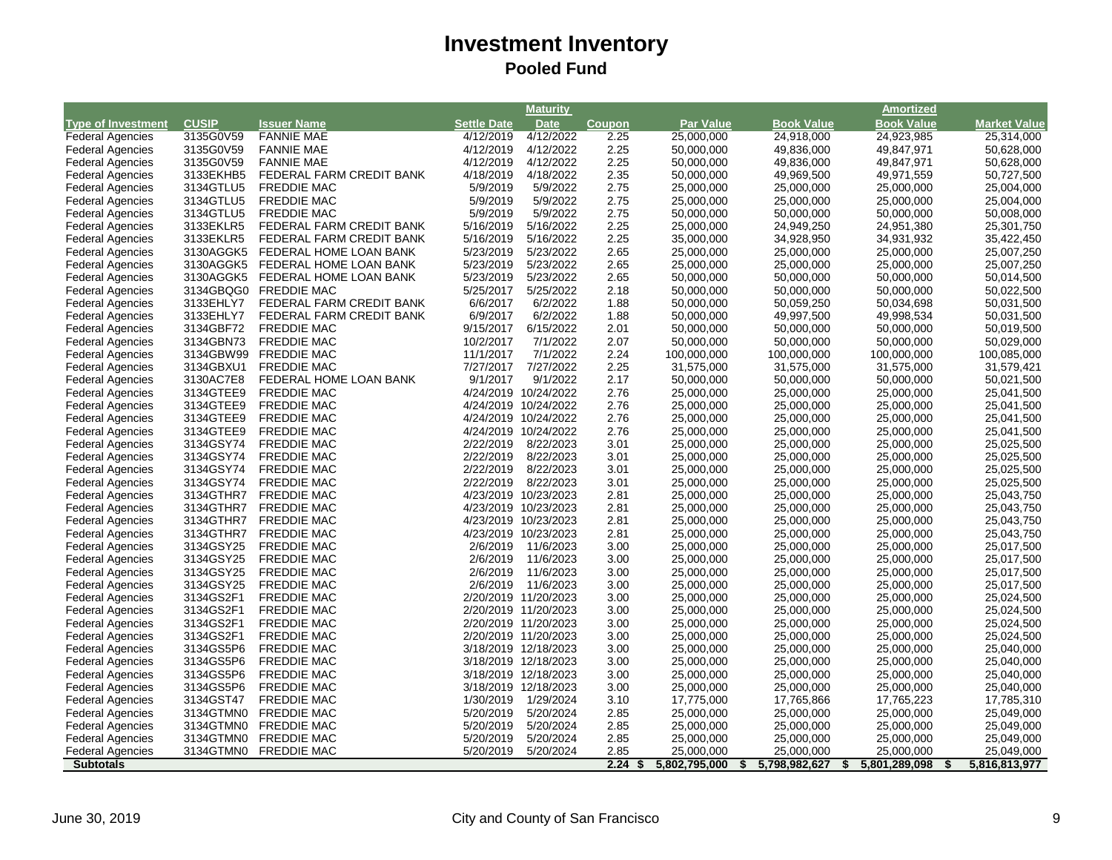|                                                    |                        |                                          |                        | <b>Maturity</b>                              |              |                          |                     | <b>Amortized</b>         |                             |
|----------------------------------------------------|------------------------|------------------------------------------|------------------------|----------------------------------------------|--------------|--------------------------|---------------------|--------------------------|-----------------------------|
| <b>Type of Investment</b>                          | <b>CUSIP</b>           | <b>Issuer Name</b>                       | <b>Settle Date</b>     | <b>Date</b>                                  | Coupon       | <b>Par Value</b>         | <b>Book Value</b>   | <b>Book Value</b>        | <b>Market Value</b>         |
| <b>Federal Agencies</b>                            | 3135G0V59              | <b>FANNIE MAE</b>                        | 4/12/2019              | 4/12/2022                                    | 2.25         | 25,000,000               | 24,918,000          | 24,923,985               | 25,314,000                  |
| <b>Federal Agencies</b>                            | 3135G0V59              | <b>FANNIE MAE</b>                        | 4/12/2019              | 4/12/2022                                    | 2.25         | 50,000,000               | 49,836,000          | 49,847,971               | 50,628,000                  |
| <b>Federal Agencies</b>                            | 3135G0V59              | <b>FANNIE MAE</b>                        | 4/12/2019              | 4/12/2022                                    | 2.25         | 50,000,000               | 49,836,000          | 49,847,971               | 50,628,000                  |
| <b>Federal Agencies</b>                            | 3133EKHB5              | FEDERAL FARM CREDIT BANK                 | 4/18/2019              | 4/18/2022                                    | 2.35         | 50,000,000               | 49,969,500          | 49,971,559               | 50,727,500                  |
| <b>Federal Agencies</b>                            | 3134GTLU5              | <b>FREDDIE MAC</b>                       | 5/9/2019               | 5/9/2022                                     | 2.75         | 25,000,000               | 25,000,000          | 25,000,000               | 25,004,000                  |
| <b>Federal Agencies</b>                            | 3134GTLU5              | <b>FREDDIE MAC</b>                       | 5/9/2019               | 5/9/2022                                     | 2.75         | 25,000,000               | 25,000,000          | 25,000,000               | 25,004,000                  |
| <b>Federal Agencies</b>                            | 3134GTLU5              | <b>FREDDIE MAC</b>                       | 5/9/2019               | 5/9/2022                                     | 2.75         | 50,000,000               | 50,000,000          | 50,000,000               | 50,008,000                  |
| <b>Federal Agencies</b>                            | 3133EKLR5              | FEDERAL FARM CREDIT BANK                 | 5/16/2019              | 5/16/2022                                    | 2.25         | 25,000,000               | 24,949,250          | 24,951,380               | 25,301,750                  |
| <b>Federal Agencies</b>                            | 3133EKLR5              | FEDERAL FARM CREDIT BANK                 | 5/16/2019              | 5/16/2022                                    | 2.25         | 35,000,000               | 34,928,950          | 34,931,932               | 35,422,450                  |
| <b>Federal Agencies</b>                            | 3130AGGK5              | FEDERAL HOME LOAN BANK                   | 5/23/2019              | 5/23/2022                                    | 2.65         | 25,000,000               | 25,000,000          | 25,000,000               | 25,007,250                  |
| <b>Federal Agencies</b>                            | 3130AGGK5              | FEDERAL HOME LOAN BANK                   | 5/23/2019              | 5/23/2022                                    | 2.65         | 25,000,000               | 25,000,000          | 25,000,000               | 25,007,250                  |
| <b>Federal Agencies</b>                            | 3130AGGK5              | FEDERAL HOME LOAN BANK                   | 5/23/2019              | 5/23/2022                                    | 2.65         | 50,000,000               | 50,000,000          | 50,000,000               | 50,014,500                  |
| <b>Federal Agencies</b>                            | 3134GBQG0              | <b>FREDDIE MAC</b>                       | 5/25/2017              | 5/25/2022                                    | 2.18         | 50,000,000               | 50,000,000          | 50,000,000               | 50,022,500                  |
| <b>Federal Agencies</b>                            | 3133EHLY7              | FEDERAL FARM CREDIT BANK                 | 6/6/2017               | 6/2/2022                                     | 1.88         | 50,000,000               | 50,059,250          | 50,034,698               | 50,031,500                  |
| <b>Federal Agencies</b>                            | 3133EHLY7              | FEDERAL FARM CREDIT BANK                 | 6/9/2017               | 6/2/2022                                     | 1.88         | 50,000,000               | 49,997,500          | 49,998,534               | 50,031,500                  |
| <b>Federal Agencies</b>                            | 3134GBF72              | <b>FREDDIE MAC</b>                       | 9/15/2017              | 6/15/2022                                    | 2.01         | 50,000,000               | 50,000,000          | 50,000,000               | 50,019,500                  |
| <b>Federal Agencies</b>                            | 3134GBN73              | <b>FREDDIE MAC</b>                       | 10/2/2017              | 7/1/2022                                     | 2.07         | 50,000,000               | 50,000,000          | 50,000,000               | 50,029,000                  |
| <b>Federal Agencies</b>                            | 3134GBW99              | <b>FREDDIE MAC</b>                       | 11/1/2017              | 7/1/2022                                     | 2.24         | 100,000,000              | 100,000,000         | 100,000,000              | 100,085,000                 |
| <b>Federal Agencies</b>                            | 3134GBXU1              | <b>FREDDIE MAC</b>                       | 7/27/2017              | 7/27/2022                                    | 2.25         | 31,575,000               | 31,575,000          | 31,575,000               | 31,579,421                  |
| <b>Federal Agencies</b>                            | 3130AC7E8              | FEDERAL HOME LOAN BANK                   | 9/1/2017               | 9/1/2022                                     | 2.17         | 50,000,000               | 50,000,000          | 50,000,000               | 50,021,500                  |
| <b>Federal Agencies</b>                            | 3134GTEE9              | <b>FREDDIE MAC</b>                       |                        | 4/24/2019 10/24/2022                         | 2.76         | 25,000,000               | 25,000,000          | 25,000,000               | 25,041,500                  |
| <b>Federal Agencies</b>                            | 3134GTEE9              | <b>FREDDIE MAC</b>                       |                        | 4/24/2019 10/24/2022                         | 2.76         | 25,000,000               | 25,000,000          | 25,000,000               | 25,041,500                  |
| <b>Federal Agencies</b>                            | 3134GTEE9              | <b>FREDDIE MAC</b>                       |                        | 4/24/2019 10/24/2022                         | 2.76         | 25,000,000               | 25,000,000          | 25,000,000               | 25,041,500                  |
| <b>Federal Agencies</b>                            | 3134GTEE9              | <b>FREDDIE MAC</b>                       |                        | 4/24/2019 10/24/2022                         | 2.76         | 25,000,000               | 25,000,000          | 25,000,000               | 25,041,500                  |
| <b>Federal Agencies</b>                            | 3134GSY74              | <b>FREDDIE MAC</b>                       | 2/22/2019              | 8/22/2023                                    | 3.01         | 25,000,000               | 25,000,000          | 25,000,000               | 25,025,500                  |
| <b>Federal Agencies</b>                            | 3134GSY74              | <b>FREDDIE MAC</b>                       | 2/22/2019              | 8/22/2023                                    | 3.01         | 25,000,000               | 25,000,000          | 25,000,000               | 25,025,500                  |
| <b>Federal Agencies</b>                            | 3134GSY74              | <b>FREDDIE MAC</b>                       | 2/22/2019              | 8/22/2023                                    | 3.01         | 25,000,000               | 25,000,000          | 25,000,000               | 25,025,500                  |
| <b>Federal Agencies</b>                            | 3134GSY74              | <b>FREDDIE MAC</b>                       | 2/22/2019              | 8/22/2023                                    | 3.01         | 25,000,000               | 25,000,000          | 25,000,000               | 25,025,500                  |
| <b>Federal Agencies</b>                            | 3134GTHR7              | <b>FREDDIE MAC</b>                       |                        | 4/23/2019 10/23/2023                         | 2.81         | 25,000,000               | 25,000,000          | 25,000,000               | 25,043,750                  |
| <b>Federal Agencies</b>                            | 3134GTHR7              | <b>FREDDIE MAC</b>                       |                        | 4/23/2019 10/23/2023                         | 2.81         | 25,000,000               | 25,000,000          | 25,000,000               | 25,043,750                  |
| <b>Federal Agencies</b>                            | 3134GTHR7              | <b>FREDDIE MAC</b>                       |                        | 4/23/2019 10/23/2023                         | 2.81         | 25,000,000               | 25,000,000          | 25,000,000               | 25,043,750                  |
| <b>Federal Agencies</b>                            | 3134GTHR7              | <b>FREDDIE MAC</b>                       |                        | 4/23/2019 10/23/2023                         | 2.81         | 25,000,000               | 25,000,000          | 25,000,000               | 25,043,750                  |
| <b>Federal Agencies</b>                            | 3134GSY25              | <b>FREDDIE MAC</b>                       | 2/6/2019               | 11/6/2023                                    | 3.00         | 25,000,000               | 25,000,000          | 25,000,000               | 25,017,500                  |
| <b>Federal Agencies</b>                            | 3134GSY25              | <b>FREDDIE MAC</b>                       | 2/6/2019               | 11/6/2023                                    | 3.00         | 25,000,000               | 25,000,000          | 25,000,000               | 25,017,500                  |
| <b>Federal Agencies</b>                            | 3134GSY25              | <b>FREDDIE MAC</b>                       | 2/6/2019               | 11/6/2023                                    | 3.00         | 25,000,000               | 25,000,000          | 25,000,000               | 25,017,500                  |
| <b>Federal Agencies</b>                            | 3134GSY25              | <b>FREDDIE MAC</b>                       | 2/6/2019               | 11/6/2023                                    | 3.00         | 25,000,000               | 25,000,000          | 25,000,000               | 25,017,500                  |
| <b>Federal Agencies</b>                            | 3134GS2F1              | <b>FREDDIE MAC</b>                       |                        | 2/20/2019 11/20/2023                         | 3.00         | 25,000,000               | 25,000,000          | 25,000,000               | 25,024,500                  |
|                                                    | 3134GS2F1              | <b>FREDDIE MAC</b>                       |                        |                                              | 3.00         |                          |                     |                          |                             |
| <b>Federal Agencies</b><br><b>Federal Agencies</b> | 3134GS2F1              | <b>FREDDIE MAC</b>                       |                        | 2/20/2019 11/20/2023<br>2/20/2019 11/20/2023 | 3.00         | 25,000,000<br>25,000,000 | 25,000,000          | 25,000,000<br>25,000,000 | 25,024,500<br>25,024,500    |
|                                                    | 3134GS2F1              |                                          |                        | 2/20/2019 11/20/2023                         | 3.00         |                          | 25,000,000          |                          |                             |
| <b>Federal Agencies</b>                            |                        | FREDDIE MAC                              |                        |                                              |              | 25,000,000               | 25,000,000          | 25,000,000               | 25,024,500                  |
| <b>Federal Agencies</b>                            | 3134GS5P6              | <b>FREDDIE MAC</b>                       |                        | 3/18/2019 12/18/2023                         | 3.00         | 25,000,000               | 25,000,000          | 25,000,000               | 25,040,000                  |
| <b>Federal Agencies</b>                            | 3134GS5P6              | <b>FREDDIE MAC</b>                       |                        | 3/18/2019 12/18/2023                         | 3.00         | 25,000,000               | 25,000,000          | 25,000,000               | 25,040,000                  |
| <b>Federal Agencies</b>                            | 3134GS5P6              | <b>FREDDIE MAC</b>                       |                        | 3/18/2019 12/18/2023                         | 3.00         | 25,000,000               | 25,000,000          | 25,000,000               | 25,040,000                  |
| <b>Federal Agencies</b>                            | 3134GS5P6              | <b>FREDDIE MAC</b>                       |                        | 3/18/2019 12/18/2023                         | 3.00         | 25,000,000               | 25,000,000          | 25,000,000               | 25,040,000                  |
| <b>Federal Agencies</b>                            | 3134GST47              | <b>FREDDIE MAC</b>                       | 1/30/2019              | 1/29/2024                                    | 3.10         | 17,775,000               | 17,765,866          | 17,765,223               | 17,785,310                  |
| <b>Federal Agencies</b>                            | 3134GTMN0              | <b>FREDDIE MAC</b>                       | 5/20/2019              | 5/20/2024                                    | 2.85         | 25,000,000               | 25,000,000          | 25,000,000               | 25,049,000                  |
| <b>Federal Agencies</b>                            | 3134GTMN0<br>3134GTMN0 | <b>FREDDIE MAC</b><br><b>FREDDIE MAC</b> | 5/20/2019<br>5/20/2019 | 5/20/2024                                    | 2.85         | 25,000,000               | 25,000,000          | 25,000,000               | 25,049,000                  |
| <b>Federal Agencies</b><br><b>Federal Agencies</b> | 3134GTMN0              | <b>FREDDIE MAC</b>                       | 5/20/2019              | 5/20/2024<br>5/20/2024                       | 2.85<br>2.85 | 25,000,000<br>25.000.000 | 25,000,000          | 25,000,000               | 25,049,000                  |
|                                                    |                        |                                          |                        |                                              | 2.24         |                          | 25,000,000          | 25,000,000               | 25,049,000<br>5,816,813,977 |
| <b>Subtotals</b>                                   |                        |                                          |                        |                                              | S,           | 5,802,795,000            | 5,798,982,627<br>\$ | 5,801,289,098<br>\$      | \$                          |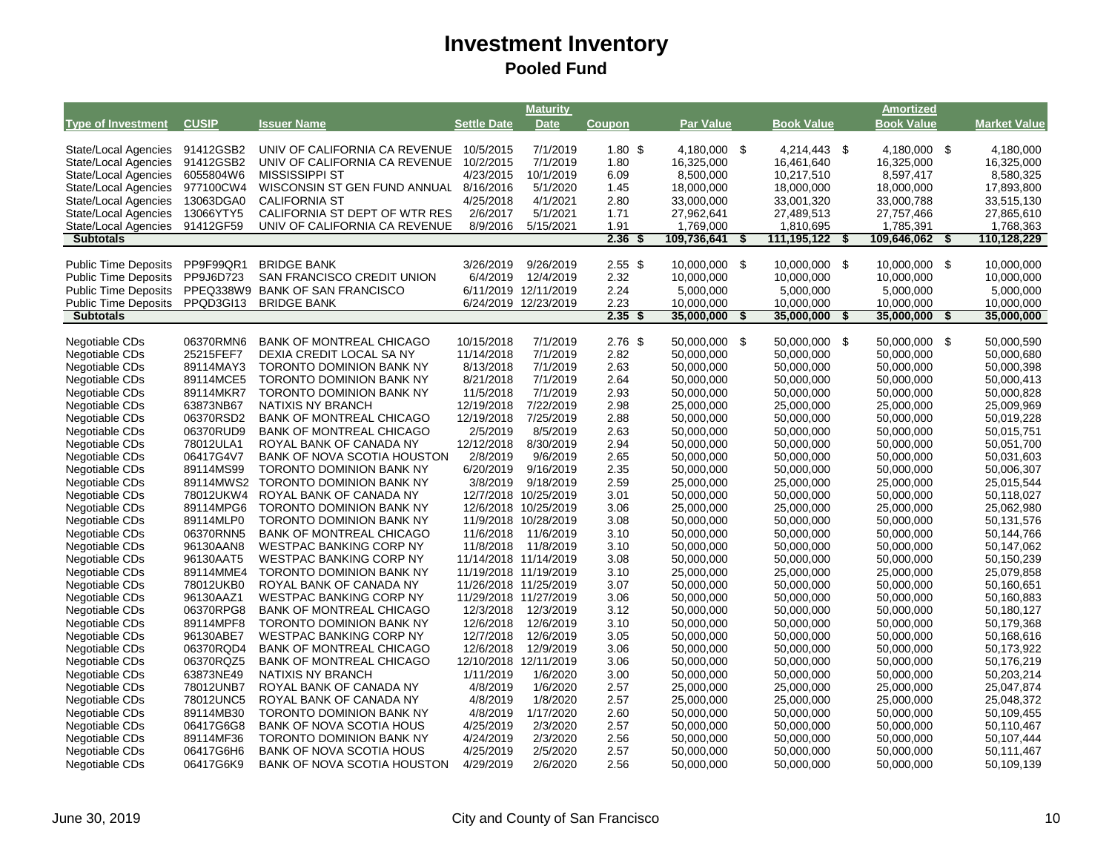|                                                 |                        |                                                    |                       | Maturity                                     |                   |                          |                           | <b>Amortized</b>        |      |                         |
|-------------------------------------------------|------------------------|----------------------------------------------------|-----------------------|----------------------------------------------|-------------------|--------------------------|---------------------------|-------------------------|------|-------------------------|
| <b>Type of Investment</b>                       | <b>CUSIP</b>           | <b>Issuer Name</b>                                 | <b>Settle Date</b>    | <b>Date</b>                                  | Coupon            | <b>Par Value</b>         | <b>Book Value</b>         | <b>Book Value</b>       |      | <b>Market Value</b>     |
|                                                 |                        |                                                    |                       |                                              |                   |                          |                           |                         |      |                         |
| State/Local Agencies                            | 91412GSB2              | UNIV OF CALIFORNIA CA REVENUE                      | 10/5/2015             | 7/1/2019                                     | 1.80 <sup>5</sup> | 4,180,000 \$             | 4,214,443 \$              | 4,180,000 \$            |      | 4,180,000               |
| State/Local Agencies                            | 91412GSB2              | UNIV OF CALIFORNIA CA REVENUE                      | 10/2/2015             | 7/1/2019                                     | 1.80              | 16,325,000               | 16,461,640                | 16,325,000              |      | 16,325,000              |
| State/Local Agencies                            | 6055804W6              | <b>MISSISSIPPI ST</b>                              | 4/23/2015             | 10/1/2019                                    | 6.09              | 8,500,000                | 10,217,510                | 8,597,417               |      | 8,580,325               |
| <b>State/Local Agencies</b>                     | 977100CW4              | WISCONSIN ST GEN FUND ANNUAL                       | 8/16/2016             | 5/1/2020                                     | 1.45              | 18,000,000               | 18,000,000                | 18,000,000              |      | 17,893,800              |
| <b>State/Local Agencies</b>                     | 13063DGA0              | <b>CALIFORNIA ST</b>                               | 4/25/2018             | 4/1/2021                                     | 2.80              | 33,000,000               | 33,001,320                | 33,000,788              |      | 33,515,130              |
| State/Local Agencies                            | 13066YTY5              | CALIFORNIA ST DEPT OF WTR RES                      | 2/6/2017              | 5/1/2021                                     | 1.71              | 27,962,641               | 27,489,513                | 27,757,466              |      | 27,865,610              |
| State/Local Agencies                            | 91412GF59              | UNIV OF CALIFORNIA CA REVENUE                      | 8/9/2016              | 5/15/2021                                    | 1.91              | 1,769,000                | 1,810,695                 | 1,785,391               |      | 1.768.363               |
| <b>Subtotals</b>                                |                        |                                                    |                       |                                              | 2.36              | 109,736,641              | \$<br>111,195,122<br>- \$ | 109,646,062             | \$   | 110,128,229             |
| <b>Public Time Deposits</b>                     | PP9F99QR1              | <b>BRIDGE BANK</b>                                 | 3/26/2019             | 9/26/2019                                    | $2.55$ \$         | 10,000,000 \$            | 10,000,000 \$             | 10,000,000 \$           |      | 10,000,000              |
|                                                 |                        |                                                    |                       |                                              |                   |                          |                           |                         |      |                         |
| <b>Public Time Deposits</b>                     | PP9J6D723              | <b>SAN FRANCISCO CREDIT UNION</b>                  | 6/4/2019              | 12/4/2019                                    | 2.32              | 10,000,000               | 10,000,000                | 10,000,000              |      | 10,000,000              |
| <b>Public Time Deposits</b>                     | PPEQ338W9<br>PPQD3GI13 | <b>BANK OF SAN FRANCISCO</b><br><b>BRIDGE BANK</b> |                       | 6/11/2019 12/11/2019<br>6/24/2019 12/23/2019 | 2.24<br>2.23      | 5,000,000                | 5,000,000<br>10,000,000   | 5,000,000<br>10,000,000 |      | 5,000,000<br>10,000,000 |
| <b>Public Time Deposits</b><br><b>Subtotals</b> |                        |                                                    |                       |                                              | 2.35<br>- \$      | 10,000,000<br>35,000,000 | \$<br>35,000,000<br>\$    | 35,000,000              | \$   | 35,000,000              |
|                                                 |                        |                                                    |                       |                                              |                   |                          |                           |                         |      |                         |
| Negotiable CDs                                  | 06370RMN6              | <b>BANK OF MONTREAL CHICAGO</b>                    | 10/15/2018            | 7/1/2019                                     | $2.76$ \$         | 50.000.000 \$            | 50.000.000<br>- \$        | 50.000.000              | - \$ | 50.000.590              |
| Negotiable CDs                                  | 25215FEF7              | DEXIA CREDIT LOCAL SA NY                           | 11/14/2018            | 7/1/2019                                     | 2.82              | 50,000,000               | 50,000,000                | 50,000,000              |      | 50,000,680              |
| Negotiable CDs                                  | 89114MAY3              | TORONTO DOMINION BANK NY                           | 8/13/2018             | 7/1/2019                                     | 2.63              | 50,000,000               | 50,000,000                | 50,000,000              |      | 50,000,398              |
| Negotiable CDs                                  | 89114MCE5              | <b>TORONTO DOMINION BANK NY</b>                    | 8/21/2018             | 7/1/2019                                     | 2.64              | 50,000,000               | 50,000,000                | 50,000,000              |      | 50,000,413              |
| Negotiable CDs                                  | 89114MKR7              | <b>TORONTO DOMINION BANK NY</b>                    | 11/5/2018             | 7/1/2019                                     | 2.93              | 50,000,000               | 50,000,000                | 50,000,000              |      | 50,000,828              |
| Negotiable CDs                                  | 63873NB67              | <b>NATIXIS NY BRANCH</b>                           | 12/19/2018            | 7/22/2019                                    | 2.98              | 25,000,000               | 25,000,000                | 25,000,000              |      | 25,009,969              |
| Negotiable CDs                                  | 06370RSD2              | <b>BANK OF MONTREAL CHICAGO</b>                    | 12/19/2018            | 7/25/2019                                    | 2.88              | 50,000,000               | 50,000,000                | 50,000,000              |      | 50,019,228              |
| Negotiable CDs                                  | 06370RUD9              | <b>BANK OF MONTREAL CHICAGO</b>                    | 2/5/2019              | 8/5/2019                                     | 2.63              | 50,000,000               | 50,000,000                | 50,000,000              |      | 50,015,751              |
| Negotiable CDs                                  | 78012ULA1              | ROYAL BANK OF CANADA NY                            | 12/12/2018            | 8/30/2019                                    | 2.94              | 50,000,000               | 50,000,000                | 50,000,000              |      | 50,051,700              |
| Negotiable CDs                                  | 06417G4V7              | BANK OF NOVA SCOTIA HOUSTON                        | 2/8/2019              | 9/6/2019                                     | 2.65              | 50,000,000               | 50,000,000                | 50,000,000              |      | 50,031,603              |
| Negotiable CDs                                  | 89114MS99              | TORONTO DOMINION BANK NY                           | 6/20/2019             | 9/16/2019                                    | 2.35              | 50,000,000               | 50,000,000                | 50,000,000              |      | 50,006,307              |
| Negotiable CDs                                  | 89114MWS2              | <b>TORONTO DOMINION BANK NY</b>                    | 3/8/2019              | 9/18/2019                                    | 2.59              | 25,000,000               | 25,000,000                | 25,000,000              |      | 25,015,544              |
| Negotiable CDs                                  | 78012UKW4              | ROYAL BANK OF CANADA NY                            |                       | 12/7/2018 10/25/2019                         | 3.01              | 50,000,000               | 50,000,000                | 50,000,000              |      | 50,118,027              |
| Negotiable CDs                                  | 89114MPG6              | TORONTO DOMINION BANK NY                           |                       | 12/6/2018 10/25/2019                         | 3.06              | 25,000,000               | 25,000,000                | 25,000,000              |      | 25,062,980              |
| Negotiable CDs                                  | 89114MLP0              | <b>TORONTO DOMINION BANK NY</b>                    |                       | 11/9/2018 10/28/2019                         | 3.08              | 50,000,000               | 50,000,000                | 50,000,000              |      | 50,131,576              |
| Negotiable CDs                                  | 06370RNN5              | <b>BANK OF MONTREAL CHICAGO</b>                    | 11/6/2018             | 11/6/2019                                    | 3.10              | 50,000,000               | 50,000,000                | 50,000,000              |      | 50,144,766              |
| Negotiable CDs                                  | 96130AAN8              | <b>WESTPAC BANKING CORP NY</b>                     | 11/8/2018             | 11/8/2019                                    | 3.10              | 50,000,000               | 50,000,000                | 50,000,000              |      | 50,147,062              |
| Negotiable CDs                                  | 96130AAT5              | WESTPAC BANKING CORP NY                            | 11/14/2018 11/14/2019 |                                              | 3.08              | 50,000,000               | 50,000,000                | 50,000,000              |      | 50,150,239              |
| Negotiable CDs                                  | 89114MME4              | <b>TORONTO DOMINION BANK NY</b>                    | 11/19/2018 11/19/2019 |                                              | 3.10              | 25,000,000               | 25,000,000                | 25,000,000              |      | 25,079,858              |
| Negotiable CDs                                  | 78012UKB0              | ROYAL BANK OF CANADA NY                            | 11/26/2018 11/25/2019 |                                              | 3.07              | 50,000,000               | 50,000,000                | 50,000,000              |      | 50,160,651              |
| Negotiable CDs                                  | 96130AAZ1              | <b>WESTPAC BANKING CORP NY</b>                     | 11/29/2018 11/27/2019 |                                              | 3.06              | 50,000,000               | 50,000,000                | 50,000,000              |      | 50,160,883              |
| Negotiable CDs                                  | 06370RPG8              | <b>BANK OF MONTREAL CHICAGO</b>                    | 12/3/2018             | 12/3/2019                                    | 3.12              | 50,000,000               | 50,000,000                | 50,000,000              |      | 50,180,127              |
| Negotiable CDs                                  | 89114MPF8              | <b>TORONTO DOMINION BANK NY</b>                    | 12/6/2018             | 12/6/2019                                    | 3.10              | 50,000,000               | 50,000,000                | 50,000,000              |      | 50,179,368              |
| Negotiable CDs                                  | 96130ABE7              | <b>WESTPAC BANKING CORP NY</b>                     | 12/7/2018             | 12/6/2019                                    | 3.05              | 50,000,000               | 50,000,000                | 50,000,000              |      | 50,168,616              |
| Negotiable CDs                                  | 06370RQD4              | <b>BANK OF MONTREAL CHICAGO</b>                    | 12/6/2018             | 12/9/2019                                    | 3.06              | 50,000,000               | 50,000,000                | 50,000,000              |      | 50,173,922              |
| Negotiable CDs                                  | 06370RQZ5              | <b>BANK OF MONTREAL CHICAGO</b>                    | 12/10/2018 12/11/2019 |                                              | 3.06              | 50,000,000               | 50,000,000                | 50,000,000              |      | 50,176,219              |
| Negotiable CDs                                  | 63873NE49              | NATIXIS NY BRANCH                                  | 1/11/2019             | 1/6/2020                                     | 3.00              | 50,000,000               | 50,000,000                | 50,000,000              |      | 50,203,214              |
| Negotiable CDs                                  | 78012UNB7              | ROYAL BANK OF CANADA NY                            | 4/8/2019              | 1/6/2020                                     | 2.57              | 25,000,000               | 25,000,000                | 25,000,000              |      | 25,047,874              |
| Negotiable CDs                                  | 78012UNC5              | ROYAL BANK OF CANADA NY                            | 4/8/2019              | 1/8/2020                                     | 2.57              | 25,000,000               | 25,000,000                | 25,000,000              |      | 25,048,372              |
| Negotiable CDs                                  | 89114MB30              | <b>TORONTO DOMINION BANK NY</b>                    | 4/8/2019              | 1/17/2020                                    | 2.60              | 50,000,000               | 50,000,000                | 50,000,000              |      | 50,109,455              |
| Negotiable CDs                                  | 06417G6G8              | <b>BANK OF NOVA SCOTIA HOUS</b>                    | 4/25/2019             | 2/3/2020                                     | 2.57              | 50,000,000               | 50,000,000                | 50,000,000              |      | 50,110,467              |
| Negotiable CDs                                  | 89114MF36              | TORONTO DOMINION BANK NY                           | 4/24/2019             | 2/3/2020                                     | 2.56              | 50,000,000               | 50,000,000                | 50,000,000              |      | 50,107,444              |
| Negotiable CDs                                  | 06417G6H6              | <b>BANK OF NOVA SCOTIA HOUS</b>                    | 4/25/2019             | 2/5/2020                                     | 2.57              | 50,000,000               | 50,000,000                | 50,000,000              |      | 50,111,467              |
| Negotiable CDs                                  | 06417G6K9              | <b>BANK OF NOVA SCOTIA HOUSTON</b>                 | 4/29/2019             | 2/6/2020                                     | 2.56              | 50,000,000               | 50,000,000                | 50,000,000              |      | 50,109,139              |
|                                                 |                        |                                                    |                       |                                              |                   |                          |                           |                         |      |                         |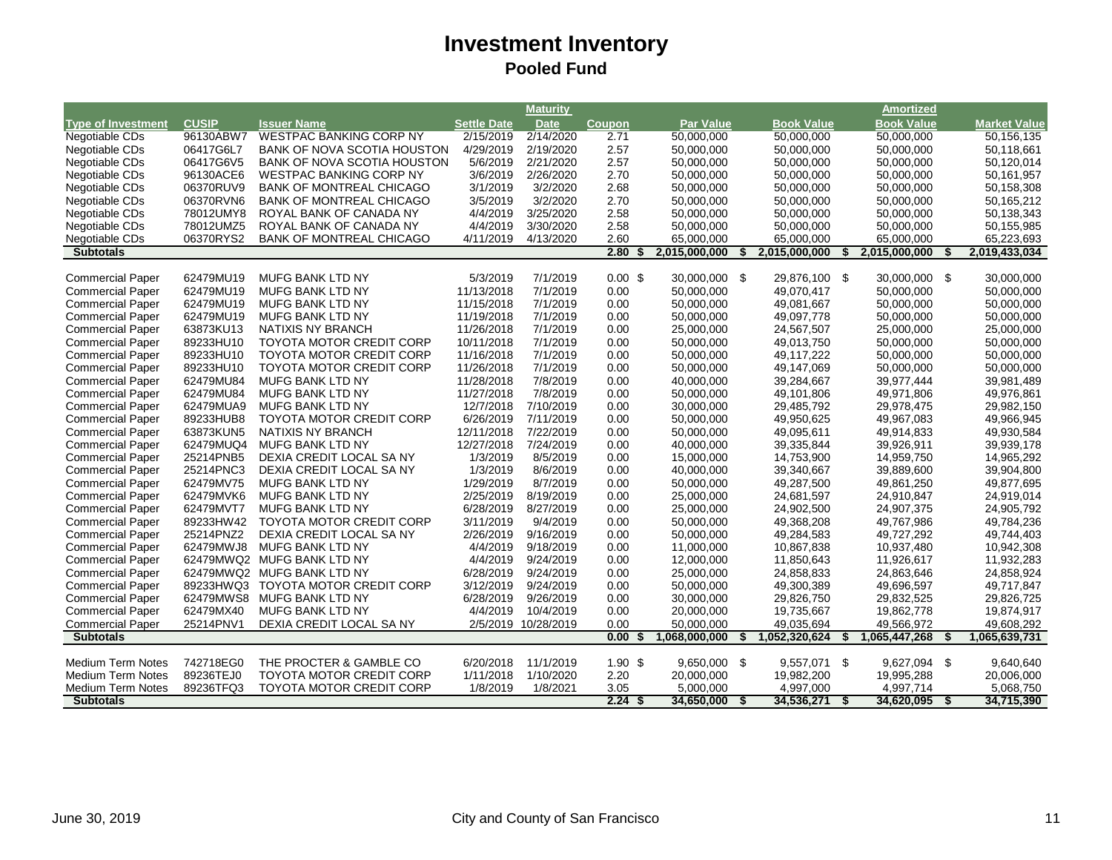|                                                    |                        |                                                      |                         | Maturity               |                    |                          |    |                          |    | Amortized                |    |                          |
|----------------------------------------------------|------------------------|------------------------------------------------------|-------------------------|------------------------|--------------------|--------------------------|----|--------------------------|----|--------------------------|----|--------------------------|
| <b>Type of Investment</b>                          | <b>CUSIP</b>           | <b>Issuer Name</b>                                   | <b>Settle Date</b>      | <b>Date</b>            | <b>Coupon</b>      | <b>Par Value</b>         |    | <b>Book Value</b>        |    | <b>Book Value</b>        |    | <b>Market Value</b>      |
| Negotiable CDs                                     | 96130ABW7              | <b>WESTPAC BANKING CORP NY</b>                       | 2/15/2019               | 2/14/2020              | 2.71               | 50,000,000               |    | 50,000,000               |    | 50,000,000               |    | 50,156,135               |
| Negotiable CDs                                     | 06417G6L7              | <b>BANK OF NOVA SCOTIA HOUSTON</b>                   | 4/29/2019               | 2/19/2020              | 2.57               | 50,000,000               |    | 50,000,000               |    | 50,000,000               |    | 50,118,661               |
| Negotiable CDs                                     | 06417G6V5              | BANK OF NOVA SCOTIA HOUSTON                          | 5/6/2019                | 2/21/2020              | 2.57               | 50,000,000               |    | 50,000,000               |    | 50,000,000               |    | 50,120,014               |
| Negotiable CDs                                     | 96130ACE6              | <b>WESTPAC BANKING CORP NY</b>                       | 3/6/2019                | 2/26/2020              | 2.70               | 50,000,000               |    | 50,000,000               |    | 50,000,000               |    | 50,161,957               |
| Negotiable CDs                                     | 06370RUV9              | <b>BANK OF MONTREAL CHICAGO</b>                      | 3/1/2019                | 3/2/2020               | 2.68               | 50,000,000               |    | 50,000,000               |    | 50,000,000               |    | 50,158,308               |
| Negotiable CDs                                     | 06370RVN6              | <b>BANK OF MONTREAL CHICAGO</b>                      | 3/5/2019                | 3/2/2020               | 2.70               | 50,000,000               |    | 50,000,000               |    | 50,000,000               |    | 50,165,212               |
| Negotiable CDs                                     | 78012UMY8              | ROYAL BANK OF CANADA NY                              | 4/4/2019                | 3/25/2020              | 2.58               | 50,000,000               |    | 50,000,000               |    | 50,000,000               |    | 50,138,343               |
| Negotiable CDs                                     | 78012UMZ5              | ROYAL BANK OF CANADA NY                              | 4/4/2019                | 3/30/2020              | 2.58               | 50,000,000               |    | 50,000,000               |    | 50,000,000               |    | 50,155,985               |
| Negotiable CDs                                     | 06370RYS2              | <b>BANK OF MONTREAL CHICAGO</b>                      | 4/11/2019               | 4/13/2020              | 2.60               | 65,000,000               |    | 65,000,000               |    | 65,000,000               |    | 65,223,693               |
| <b>Subtotals</b>                                   |                        |                                                      |                         |                        | 2.80               | 2,015,000,000            | \$ | 2,015,000,000            | \$ | 2,015,000,000            | \$ | 2,019,433,034            |
|                                                    |                        |                                                      |                         |                        |                    |                          |    |                          |    |                          |    |                          |
| <b>Commercial Paper</b>                            | 62479MU19              | <b>MUFG BANK LTD NY</b>                              | 5/3/2019                | 7/1/2019               | $0.00 \text{ }$ \$ | 30,000,000 \$            |    | 29,876,100 \$            |    | 30.000.000 \$            |    | 30,000,000               |
| <b>Commercial Paper</b>                            | 62479MU19              | MUFG BANK LTD NY                                     | 11/13/2018              | 7/1/2019               | 0.00               | 50,000,000               |    | 49,070,417               |    | 50,000,000               |    | 50,000,000               |
| <b>Commercial Paper</b>                            | 62479MU19              | <b>MUFG BANK LTD NY</b>                              | 11/15/2018              | 7/1/2019               | 0.00               | 50,000,000               |    | 49,081,667               |    | 50,000,000               |    | 50,000,000               |
| <b>Commercial Paper</b>                            | 62479MU19              | <b>MUFG BANK LTD NY</b>                              | 11/19/2018              | 7/1/2019               | 0.00               | 50,000,000               |    | 49,097,778               |    | 50,000,000               |    | 50,000,000               |
| <b>Commercial Paper</b>                            | 63873KU13              | NATIXIS NY BRANCH                                    | 11/26/2018              | 7/1/2019               | 0.00               | 25,000,000               |    | 24,567,507               |    | 25,000,000               |    | 25,000,000               |
| <b>Commercial Paper</b>                            | 89233HU10              | <b>TOYOTA MOTOR CREDIT CORP</b>                      | 10/11/2018              | 7/1/2019               | 0.00               | 50,000,000               |    | 49,013,750               |    | 50,000,000               |    | 50,000,000               |
| <b>Commercial Paper</b>                            | 89233HU10              | <b>TOYOTA MOTOR CREDIT CORP</b>                      | 11/16/2018              | 7/1/2019               | 0.00               | 50,000,000               |    | 49,117,222               |    | 50,000,000               |    | 50,000,000               |
| <b>Commercial Paper</b>                            | 89233HU10              | <b>TOYOTA MOTOR CREDIT CORP</b>                      | 11/26/2018              | 7/1/2019               | 0.00               | 50,000,000               |    | 49,147,069               |    | 50,000,000               |    | 50,000,000               |
| <b>Commercial Paper</b>                            | 62479MU84              | <b>MUFG BANK LTD NY</b>                              | 11/28/2018              | 7/8/2019               | 0.00               | 40,000,000               |    | 39,284,667               |    | 39,977,444               |    | 39,981,489               |
| <b>Commercial Paper</b>                            | 62479MU84              | <b>MUFG BANK LTD NY</b>                              | 11/27/2018              | 7/8/2019               | 0.00               | 50,000,000               |    | 49,101,806               |    | 49,971,806               |    | 49,976,861               |
| <b>Commercial Paper</b>                            | 62479MUA9              | <b>MUFG BANK LTD NY</b>                              | 12/7/2018               | 7/10/2019              | 0.00               | 30,000,000               |    | 29,485,792               |    | 29,978,475               |    | 29,982,150               |
| <b>Commercial Paper</b>                            | 89233HUB8              | <b>TOYOTA MOTOR CREDIT CORP</b>                      | 6/26/2019<br>12/11/2018 | 7/11/2019              | 0.00               | 50,000,000               |    | 49,950,625<br>49,095,611 |    | 49,967,083               |    | 49,966,945<br>49,930,584 |
| <b>Commercial Paper</b><br><b>Commercial Paper</b> | 63873KUN5<br>62479MUQ4 | NATIXIS NY BRANCH                                    | 12/27/2018              | 7/22/2019<br>7/24/2019 | 0.00<br>0.00       | 50,000,000<br>40,000,000 |    |                          |    | 49,914,833               |    | 39,939,178               |
|                                                    | 25214PNB5              | MUFG BANK LTD NY                                     | 1/3/2019                | 8/5/2019               |                    |                          |    | 39,335,844               |    | 39,926,911               |    |                          |
| <b>Commercial Paper</b>                            | 25214PNC3              | DEXIA CREDIT LOCAL SA NY<br>DEXIA CREDIT LOCAL SA NY | 1/3/2019                | 8/6/2019               | 0.00<br>0.00       | 15,000,000               |    | 14,753,900               |    | 14,959,750               |    | 14,965,292               |
| <b>Commercial Paper</b>                            | 62479MV75              | <b>MUFG BANK LTD NY</b>                              | 1/29/2019               | 8/7/2019               | 0.00               | 40,000,000<br>50,000,000 |    | 39,340,667<br>49,287,500 |    | 39,889,600<br>49,861,250 |    | 39,904,800<br>49,877,695 |
| <b>Commercial Paper</b><br><b>Commercial Paper</b> | 62479MVK6              | MUFG BANK LTD NY                                     | 2/25/2019               | 8/19/2019              | 0.00               | 25,000,000               |    | 24,681,597               |    | 24,910,847               |    | 24,919,014               |
| <b>Commercial Paper</b>                            | 62479MVT7              | <b>MUFG BANK LTD NY</b>                              | 6/28/2019               | 8/27/2019              | 0.00               | 25,000,000               |    | 24,902,500               |    | 24,907,375               |    | 24,905,792               |
| <b>Commercial Paper</b>                            | 89233HW42              | <b>TOYOTA MOTOR CREDIT CORP</b>                      | 3/11/2019               | 9/4/2019               | 0.00               | 50,000,000               |    | 49,368,208               |    | 49,767,986               |    | 49,784,236               |
| <b>Commercial Paper</b>                            | 25214PNZ2              | DEXIA CREDIT LOCAL SA NY                             | 2/26/2019               | 9/16/2019              | 0.00               | 50,000,000               |    | 49,284,583               |    | 49,727,292               |    | 49,744,403               |
| <b>Commercial Paper</b>                            | 62479MWJ8              | MUFG BANK LTD NY                                     | 4/4/2019                | 9/18/2019              | 0.00               | 11,000,000               |    | 10,867,838               |    | 10,937,480               |    | 10,942,308               |
| <b>Commercial Paper</b>                            |                        | 62479MWQ2 MUFG BANK LTD NY                           | 4/4/2019                | 9/24/2019              | 0.00               | 12,000,000               |    | 11,850,643               |    | 11,926,617               |    | 11,932,283               |
| <b>Commercial Paper</b>                            |                        | 62479MWQ2 MUFG BANK LTD NY                           | 6/28/2019               | 9/24/2019              | 0.00               | 25,000,000               |    | 24,858,833               |    | 24,863,646               |    | 24,858,924               |
| <b>Commercial Paper</b>                            | 89233HWQ3              | <b>TOYOTA MOTOR CREDIT CORP</b>                      | 3/12/2019               | 9/24/2019              | 0.00               | 50,000,000               |    | 49,300,389               |    | 49,696,597               |    | 49,717,847               |
| <b>Commercial Paper</b>                            | 62479MWS8              | MUFG BANK LTD NY                                     | 6/28/2019               | 9/26/2019              | 0.00               | 30,000,000               |    | 29,826,750               |    | 29,832,525               |    | 29,826,725               |
| <b>Commercial Paper</b>                            | 62479MX40              | <b>MUFG BANK LTD NY</b>                              | 4/4/2019                | 10/4/2019              | 0.00               | 20,000,000               |    | 19,735,667               |    | 19,862,778               |    | 19,874,917               |
| <b>Commercial Paper</b>                            | 25214PNV1              | DEXIA CREDIT LOCAL SA NY                             |                         | 2/5/2019 10/28/2019    | 0.00               | 50.000.000               |    | 49,035,694               |    | 49,566,972               |    | 49.608.292               |
| <b>Subtotals</b>                                   |                        |                                                      |                         |                        | 0.00               | 1,068,000,000            | S  | 1,052,320,624            | S  | 1,065,447,268            | S  | 1,065,639,731            |
|                                                    |                        |                                                      |                         |                        |                    |                          |    |                          |    |                          |    |                          |
| <b>Medium Term Notes</b>                           | 742718EG0              | THE PROCTER & GAMBLE CO                              | 6/20/2018               | 11/1/2019              | 1.90S              | 9,650,000 \$             |    | 9,557,071 \$             |    | 9,627,094 \$             |    | 9,640,640                |
| <b>Medium Term Notes</b>                           | 89236TEJ0              | <b>TOYOTA MOTOR CREDIT CORP</b>                      | 1/11/2018               | 1/10/2020              | 2.20               | 20,000,000               |    | 19,982,200               |    | 19,995,288               |    | 20.006.000               |
| <b>Medium Term Notes</b>                           | 89236TFQ3              | <b>TOYOTA MOTOR CREDIT CORP</b>                      | 1/8/2019                | 1/8/2021               | 3.05               | 5,000,000                |    | 4,997,000                |    | 4,997,714                |    | 5,068,750                |
| <b>Subtotals</b>                                   |                        |                                                      |                         |                        | 2.24 <sup>5</sup>  | 34,650,000               | \$ | 34,536,271               | \$ | 34,620,095               | \$ | 34,715,390               |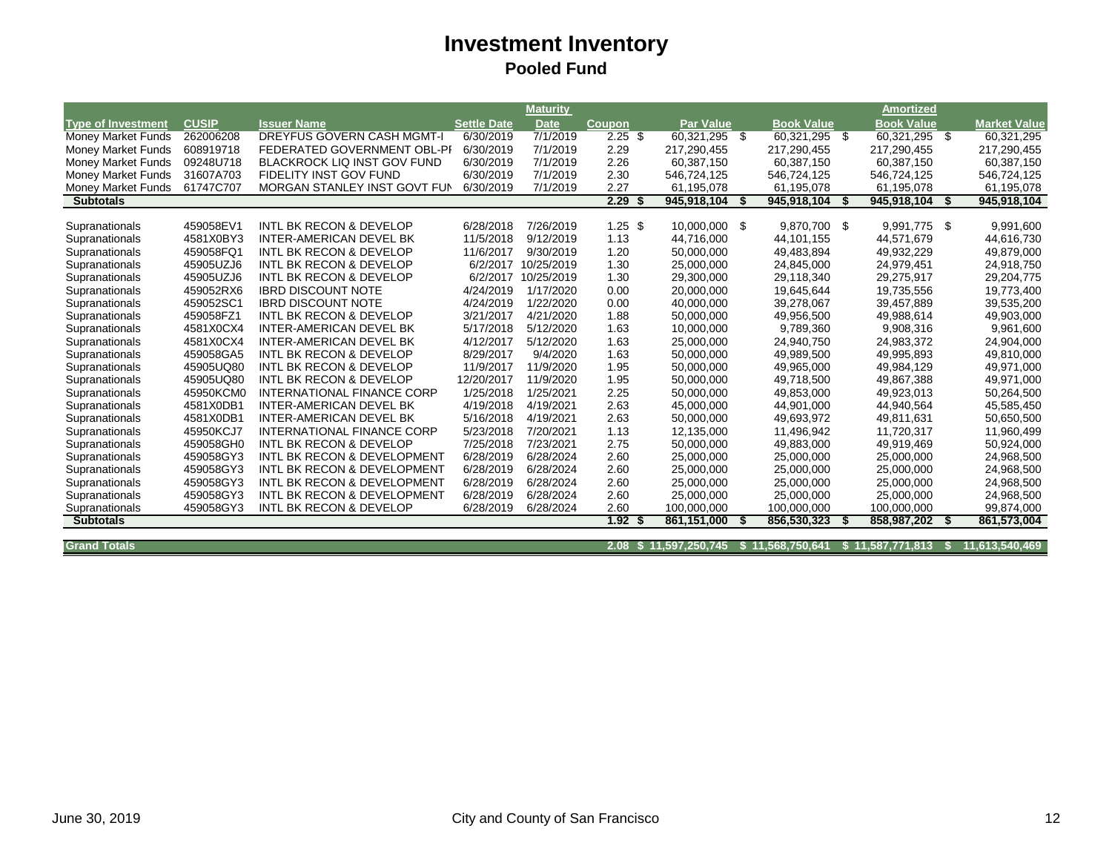|                           |              |                                        |                    | <b>Maturity</b>     |                   |                       |                   |      | <b>Amortized</b>  |      |                     |
|---------------------------|--------------|----------------------------------------|--------------------|---------------------|-------------------|-----------------------|-------------------|------|-------------------|------|---------------------|
| <b>Type of Investment</b> | <b>CUSIP</b> | <b>Issuer Name</b>                     | <b>Settle Date</b> | <b>Date</b>         | <b>Coupon</b>     | <b>Par Value</b>      | <b>Book Value</b> |      | <b>Book Value</b> |      | <b>Market Value</b> |
| Money Market Funds        | 262006208    | <b>DREYFUS GOVERN CASH MGMT-I</b>      | 6/30/2019          | 7/1/2019            | $2.25$ \$         | 60,321,295 \$         | 60,321,295 \$     |      | 60,321,295        | - \$ | 60,321,295          |
| Money Market Funds        | 608919718    | FEDERATED GOVERNMENT OBL-PI            | 6/30/2019          | 7/1/2019            | 2.29              | 217,290,455           | 217,290,455       |      | 217,290,455       |      | 217,290,455         |
| <b>Money Market Funds</b> | 09248U718    | <b>BLACKROCK LIQ INST GOV FUND</b>     | 6/30/2019          | 7/1/2019            | 2.26              | 60,387,150            | 60,387,150        |      | 60,387,150        |      | 60,387,150          |
| Money Market Funds        | 31607A703    | FIDELITY INST GOV FUND                 | 6/30/2019          | 7/1/2019            | 2.30              | 546,724,125           | 546,724,125       |      | 546,724,125       |      | 546,724,125         |
| Money Market Funds        | 61747C707    | MORGAN STANLEY INST GOVT FUN           | 6/30/2019          | 7/1/2019            | 2.27              | 61,195,078            | 61,195,078        |      | 61,195,078        |      | 61,195,078          |
| <b>Subtotals</b>          |              |                                        |                    |                     | 2.29              | 945,918,104           | 945,918,104       | - \$ | 945,918,104       | S.   | 945,918,104         |
|                           |              |                                        |                    |                     |                   |                       |                   |      |                   |      |                     |
| Supranationals            | 459058EV1    | INTL BK RECON & DEVELOP                | 6/28/2018          | 7/26/2019           | $1.25$ \$         | 10,000,000 \$         | 9.870.700 \$      |      | 9,991,775 \$      |      | 9,991,600           |
| Supranationals            | 4581X0BY3    | <b>INTER-AMERICAN DEVEL BK</b>         | 11/5/2018          | 9/12/2019           | 1.13              | 44,716,000            | 44,101,155        |      | 44,571,679        |      | 44,616,730          |
| Supranationals            | 459058FQ1    | <b>INTL BK RECON &amp; DEVELOP</b>     | 11/6/2017          | 9/30/2019           | 1.20              | 50,000,000            | 49,483,894        |      | 49,932,229        |      | 49,879,000          |
| Supranationals            | 45905UZJ6    | INTL BK RECON & DEVELOP                |                    | 6/2/2017 10/25/2019 | 1.30              | 25,000,000            | 24,845,000        |      | 24,979,451        |      | 24,918,750          |
| Supranationals            | 45905UZJ6    | <b>INTL BK RECON &amp; DEVELOP</b>     | 6/2/2017           | 10/25/2019          | 1.30              | 29,300,000            | 29,118,340        |      | 29,275,917        |      | 29,204,775          |
| Supranationals            | 459052RX6    | <b>IBRD DISCOUNT NOTE</b>              | 4/24/2019          | 1/17/2020           | 0.00              | 20,000,000            | 19,645,644        |      | 19,735,556        |      | 19,773,400          |
| Supranationals            | 459052SC1    | <b>IBRD DISCOUNT NOTE</b>              | 4/24/2019          | 1/22/2020           | 0.00              | 40,000,000            | 39,278,067        |      | 39,457,889        |      | 39,535,200          |
| Supranationals            | 459058FZ1    | <b>INTL BK RECON &amp; DEVELOP</b>     | 3/21/2017          | 4/21/2020           | 1.88              | 50,000,000            | 49,956,500        |      | 49,988,614        |      | 49,903,000          |
| Supranationals            | 4581X0CX4    | INTER-AMERICAN DEVEL BK                | 5/17/2018          | 5/12/2020           | 1.63              | 10,000,000            | 9,789,360         |      | 9,908,316         |      | 9,961,600           |
| Supranationals            | 4581X0CX4    | <b>INTER-AMERICAN DEVEL BK</b>         | 4/12/2017          | 5/12/2020           | 1.63              | 25,000,000            | 24,940,750        |      | 24,983,372        |      | 24,904,000          |
| Supranationals            | 459058GA5    | <b>INTL BK RECON &amp; DEVELOP</b>     | 8/29/2017          | 9/4/2020            | 1.63              | 50.000.000            | 49,989,500        |      | 49.995.893        |      | 49,810,000          |
| Supranationals            | 45905UQ80    | <b>INTL BK RECON &amp; DEVELOP</b>     | 11/9/2017          | 11/9/2020           | 1.95              | 50,000,000            | 49,965,000        |      | 49,984,129        |      | 49,971,000          |
| Supranationals            | 45905UQ80    | INTL BK RECON & DEVELOP                | 12/20/2017         | 11/9/2020           | 1.95              | 50,000,000            | 49,718,500        |      | 49,867,388        |      | 49,971,000          |
| Supranationals            | 45950KCM0    | INTERNATIONAL FINANCE CORP             | 1/25/2018          | 1/25/2021           | 2.25              | 50,000,000            | 49,853,000        |      | 49,923,013        |      | 50,264,500          |
| Supranationals            | 4581X0DB1    | <b>INTER-AMERICAN DEVEL BK</b>         | 4/19/2018          | 4/19/2021           | 2.63              | 45,000,000            | 44,901,000        |      | 44,940,564        |      | 45,585,450          |
| Supranationals            | 4581X0DB1    | INTER-AMERICAN DEVEL BK                | 5/16/2018          | 4/19/2021           | 2.63              | 50,000,000            | 49,693,972        |      | 49,811,631        |      | 50,650,500          |
| Supranationals            | 45950KCJ7    | <b>INTERNATIONAL FINANCE CORP</b>      | 5/23/2018          | 7/20/2021           | 1.13              | 12,135,000            | 11,496,942        |      | 11,720,317        |      | 11,960,499          |
| Supranationals            | 459058GH0    | <b>INTL BK RECON &amp; DEVELOP</b>     | 7/25/2018          | 7/23/2021           | 2.75              | 50,000,000            | 49,883,000        |      | 49,919,469        |      | 50,924,000          |
| Supranationals            | 459058GY3    | <b>INTL BK RECON &amp; DEVELOPMENT</b> | 6/28/2019          | 6/28/2024           | 2.60              | 25,000,000            | 25,000,000        |      | 25,000,000        |      | 24,968,500          |
| Supranationals            | 459058GY3    | <b>INTL BK RECON &amp; DEVELOPMENT</b> | 6/28/2019          | 6/28/2024           | 2.60              | 25,000,000            | 25,000,000        |      | 25,000,000        |      | 24,968,500          |
| Supranationals            | 459058GY3    | INTL BK RECON & DEVELOPMENT            | 6/28/2019          | 6/28/2024           | 2.60              | 25,000,000            | 25,000,000        |      | 25,000,000        |      | 24,968,500          |
| Supranationals            | 459058GY3    | INTL BK RECON & DEVELOPMENT            | 6/28/2019          | 6/28/2024           | 2.60              | 25,000,000            | 25,000,000        |      | 25,000,000        |      | 24,968,500          |
| Supranationals            | 459058GY3    | <b>INTL BK RECON &amp; DEVELOP</b>     | 6/28/2019          | 6/28/2024           | 2.60              | 100.000.000           | 100,000,000       |      | 100,000,000       |      | 99,874,000          |
| <b>Subtotals</b>          |              |                                        |                    |                     | 1.92 <sup>5</sup> | 861,151,000           | 856,530,323       |      | 858,987,202       | S.   | 861,573,004         |
|                           |              |                                        |                    |                     |                   |                       |                   |      |                   |      |                     |
| <b>Grand Totals</b>       |              |                                        |                    |                     |                   | 2.08 \$11.597.250.745 | \$11.568.750.641  | S.   | 11.587.771.813    | - S  | 11.613.540.469      |

**2.08 \$ 11,597,250,745 \$ 11,568,750,641 \$ 11,587,771,813 \$ 11,613,540,469**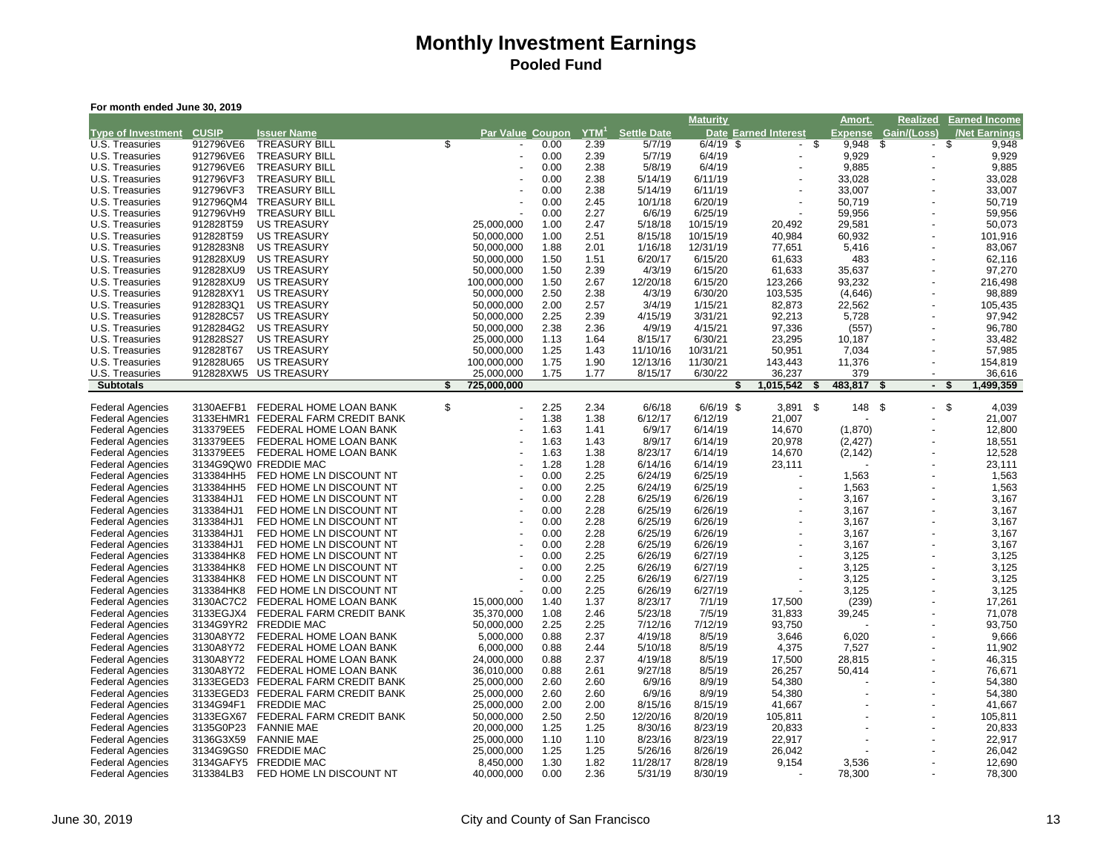| For month ended June 30, 2019                      |                        |                                                    |                         |                           |              |                                |                     |                     |                      |                          |                |                                |                      |
|----------------------------------------------------|------------------------|----------------------------------------------------|-------------------------|---------------------------|--------------|--------------------------------|---------------------|---------------------|----------------------|--------------------------|----------------|--------------------------------|----------------------|
|                                                    |                        |                                                    |                         |                           |              |                                |                     | <b>Maturity</b>     |                      |                          | Amort.         | Realized                       | <b>Earned Income</b> |
| <b>Type of Investment</b>                          | <b>CUSIP</b>           | <b>Issuer Name</b>                                 |                         | Par Value Coupon          |              | $\overline{Y}$ TM <sup>1</sup> | <b>Settle Date</b>  |                     | Date Earned Interest | <u>Expense</u>           |                | Gain/(Loss)                    | /Net Earnings        |
| U.S. Treasuries                                    | 912796VE6              | <b>TREASURY BILL</b>                               | $\overline{\mathbb{S}}$ |                           | 0.00         | 2.39                           | 5/7/19              | $6/4/19$ \$         | $\sim$               | $\overline{\mathcal{S}}$ | 9,948          | \$<br>$\overline{\phantom{a}}$ | \$<br>9,948          |
| U.S. Treasuries                                    | 912796VE6              | <b>TREASURY BILL</b>                               |                         |                           | 0.00         | 2.39                           | 5/7/19              | 6/4/19              |                      |                          | 9,929          |                                | 9,929                |
| U.S. Treasuries                                    | 912796VE6              | <b>TREASURY BILL</b>                               |                         |                           | 0.00         | 2.38                           | 5/8/19              | 6/4/19              |                      |                          | 9,885          |                                | 9,885                |
| U.S. Treasuries                                    | 912796VF3              | <b>TREASURY BILL</b>                               |                         |                           | 0.00<br>0.00 | 2.38                           | 5/14/19             | 6/11/19             |                      | 33,028<br>33,007         |                |                                | 33,028               |
| U.S. Treasuries<br>U.S. Treasuries                 | 912796VF3<br>912796QM4 | <b>TREASURY BILL</b><br><b>TREASURY BILL</b>       |                         |                           | 0.00         | 2.38<br>2.45                   | 5/14/19<br>10/1/18  | 6/11/19<br>6/20/19  |                      | 50,719                   |                |                                | 33,007<br>50,719     |
| U.S. Treasuries                                    | 912796VH9              | <b>TREASURY BILL</b>                               |                         |                           | 0.00         | 2.27                           | 6/6/19              | 6/25/19             |                      | 59,956                   |                |                                | 59,956               |
| U.S. Treasuries                                    | 912828T59              | <b>US TREASURY</b>                                 |                         | 25,000,000                | 1.00         | 2.47                           | 5/18/18             | 10/15/19            | 20,492               | 29,581                   |                |                                | 50,073               |
| U.S. Treasuries                                    | 912828T59              | <b>US TREASURY</b>                                 |                         | 50,000,000                | 1.00         | 2.51                           | 8/15/18             | 10/15/19            | 40,984               | 60,932                   |                |                                | 101,916              |
| U.S. Treasuries                                    | 9128283N8              | <b>US TREASURY</b>                                 |                         | 50,000,000                | 1.88         | 2.01                           | 1/16/18             | 12/31/19            | 77,651               |                          | 5,416          |                                | 83,067               |
| U.S. Treasuries                                    | 912828XU9              | <b>US TREASURY</b>                                 |                         | 50,000,000                | 1.50         | 1.51                           | 6/20/17             | 6/15/20             | 61,633               |                          | 483            |                                | 62,116               |
| U.S. Treasuries                                    | 912828XU9              | <b>US TREASURY</b>                                 |                         | 50,000,000                | 1.50         | 2.39                           | 4/3/19              | 6/15/20             | 61,633               | 35,637                   |                |                                | 97,270               |
| U.S. Treasuries                                    | 912828XU9              | <b>US TREASURY</b>                                 |                         | 100,000,000               | 1.50         | 2.67                           | 12/20/18            | 6/15/20             | 123,266              | 93,232                   |                |                                | 216,498              |
| U.S. Treasuries                                    | 912828XY1              | <b>US TREASURY</b>                                 |                         | 50,000,000                | 2.50         | 2.38                           | 4/3/19              | 6/30/20             | 103,535              |                          | (4,646)        |                                | 98,889               |
| U.S. Treasuries                                    | 9128283Q1              | <b>US TREASURY</b>                                 |                         | 50,000,000                | 2.00         | 2.57                           | 3/4/19              | 1/15/21             | 82,873               | 22,562                   |                |                                | 105,435              |
| U.S. Treasuries                                    | 912828C57              | <b>US TREASURY</b>                                 |                         | 50,000,000                | 2.25         | 2.39                           | 4/15/19             | 3/31/21             | 92,213               |                          | 5,728          |                                | 97,942               |
| U.S. Treasuries                                    | 9128284G2              | <b>US TREASURY</b>                                 |                         | 50,000,000                | 2.38         | 2.36                           | 4/9/19              | 4/15/21             | 97,336               |                          | (557)          |                                | 96,780               |
| U.S. Treasuries                                    | 912828S27              | <b>US TREASURY</b>                                 |                         | 25,000,000                | 1.13         | 1.64                           | 8/15/17             | 6/30/21             | 23,295               | 10,187                   |                |                                | 33,482               |
| U.S. Treasuries                                    | 912828T67              | <b>US TREASURY</b>                                 |                         | 50,000,000                | 1.25         | 1.43                           | 11/10/16            | 10/31/21            | 50,951               |                          | 7,034          |                                | 57,985               |
| U.S. Treasuries<br>U.S. Treasuries                 | 912828U65              | <b>US TREASURY</b><br>912828XW5 US TREASURY        |                         | 100,000,000<br>25,000,000 | 1.75<br>1.75 | 1.90<br>1.77                   | 12/13/16<br>8/15/17 | 11/30/21<br>6/30/22 | 143,443<br>36,237    | 11,376                   | 379            | $\overline{\phantom{a}}$       | 154,819<br>36,616    |
| <b>Subtotals</b>                                   |                        |                                                    | \$                      | 725,000,000               |              |                                |                     | S                   | 1,015,542            | 483,817<br>S             |                | \$<br>$\sim$                   | 1,499,359<br>\$      |
|                                                    |                        |                                                    |                         |                           |              |                                |                     |                     |                      |                          |                |                                |                      |
| <b>Federal Agencies</b>                            | 3130AEFB1              | FEDERAL HOME LOAN BANK                             | \$                      | ÷,                        | 2.25         | 2.34                           | 6/6/18              | $6/6/19$ \$         | $3,891$ \$           |                          | 148            | \$<br>$\overline{\phantom{a}}$ | \$<br>4,039          |
| <b>Federal Agencies</b>                            | 3133EHMR1              | FEDERAL FARM CREDIT BANK                           |                         |                           | 1.38         | 1.38                           | 6/12/17             | 6/12/19             | 21,007               |                          |                |                                | 21,007               |
| <b>Federal Agencies</b>                            | 313379EE5              | FEDERAL HOME LOAN BANK                             |                         |                           | 1.63         | 1.41                           | 6/9/17              | 6/14/19             | 14,670               |                          | (1,870)        |                                | 12,800               |
| <b>Federal Agencies</b>                            | 313379EE5              | FEDERAL HOME LOAN BANK                             |                         |                           | 1.63         | 1.43                           | 8/9/17              | 6/14/19             | 20,978               |                          | (2, 427)       |                                | 18,551               |
| <b>Federal Agencies</b>                            | 313379EE5              | FEDERAL HOME LOAN BANK                             |                         |                           | 1.63         | 1.38                           | 8/23/17             | 6/14/19             | 14,670               |                          | (2, 142)       |                                | 12,528               |
| <b>Federal Agencies</b>                            |                        | 3134G9QW0 FREDDIE MAC                              |                         |                           | 1.28         | 1.28                           | 6/14/16             | 6/14/19             | 23,111               |                          |                |                                | 23,111               |
| <b>Federal Agencies</b>                            | 313384HH5              | FED HOME LN DISCOUNT NT<br>FED HOME LN DISCOUNT NT |                         | $\overline{\phantom{a}}$  | 0.00<br>0.00 | 2.25                           | 6/24/19             | 6/25/19             |                      |                          | 1,563<br>1,563 |                                | 1,563                |
| <b>Federal Agencies</b><br><b>Federal Agencies</b> | 313384HH5<br>313384HJ1 | FED HOME LN DISCOUNT NT                            |                         |                           | 0.00         | 2.25<br>2.28                   | 6/24/19<br>6/25/19  | 6/25/19<br>6/26/19  |                      |                          | 3,167          |                                | 1,563<br>3,167       |
| <b>Federal Agencies</b>                            | 313384HJ1              | FED HOME LN DISCOUNT NT                            |                         |                           | 0.00         | 2.28                           | 6/25/19             | 6/26/19             |                      |                          | 3,167          |                                | 3,167                |
| <b>Federal Agencies</b>                            | 313384HJ1              | FED HOME LN DISCOUNT NT                            |                         |                           | 0.00         | 2.28                           | 6/25/19             | 6/26/19             |                      |                          | 3,167          |                                | 3,167                |
| <b>Federal Agencies</b>                            | 313384HJ1              | FED HOME LN DISCOUNT NT                            |                         |                           | 0.00         | 2.28                           | 6/25/19             | 6/26/19             |                      |                          | 3,167          |                                | 3,167                |
| <b>Federal Agencies</b>                            | 313384HJ1              | FED HOME LN DISCOUNT NT                            |                         |                           | 0.00         | 2.28                           | 6/25/19             | 6/26/19             |                      |                          | 3,167          |                                | 3,167                |
| <b>Federal Agencies</b>                            | 313384HK8              | FED HOME LN DISCOUNT NT                            |                         |                           | 0.00         | 2.25                           | 6/26/19             | 6/27/19             |                      |                          | 3,125          |                                | 3,125                |
| <b>Federal Agencies</b>                            | 313384HK8              | FED HOME LN DISCOUNT NT                            |                         |                           | 0.00         | 2.25                           | 6/26/19             | 6/27/19             |                      |                          | 3,125          |                                | 3,125                |
| <b>Federal Agencies</b>                            | 313384HK8              | FED HOME LN DISCOUNT NT                            |                         |                           | 0.00         | 2.25                           | 6/26/19             | 6/27/19             |                      |                          | 3,125          |                                | 3,125                |
| <b>Federal Agencies</b>                            | 313384HK8              | FED HOME LN DISCOUNT NT                            |                         |                           | 0.00         | 2.25                           | 6/26/19             | 6/27/19             |                      |                          | 3,125          |                                | 3,125                |
| <b>Federal Agencies</b>                            | 3130AC7C2              | FEDERAL HOME LOAN BANK                             |                         | 15,000,000                | 1.40         | 1.37                           | 8/23/17             | 7/1/19              | 17,500               |                          | (239)          |                                | 17,261               |
| <b>Federal Agencies</b>                            | 3133EGJX4              | FEDERAL FARM CREDIT BANK                           |                         | 35,370,000                | 1.08         | 2.46                           | 5/23/18             | 7/5/19              | 31,833               | 39,245                   |                |                                | 71,078               |
| <b>Federal Agencies</b>                            |                        | 3134G9YR2 FREDDIE MAC                              |                         | 50,000,000                | 2.25         | 2.25                           | 7/12/16             | 7/12/19             | 93,750               |                          |                |                                | 93,750               |
| <b>Federal Agencies</b>                            | 3130A8Y72              | FEDERAL HOME LOAN BANK                             |                         | 5,000,000                 | 0.88         | 2.37                           | 4/19/18             | 8/5/19              | 3,646                |                          | 6,020          |                                | 9,666                |
| <b>Federal Agencies</b>                            | 3130A8Y72<br>3130A8Y72 | FEDERAL HOME LOAN BANK<br>FEDERAL HOME LOAN BANK   |                         | 6,000,000<br>24,000,000   | 0.88<br>0.88 | 2.44<br>2.37                   | 5/10/18<br>4/19/18  | 8/5/19<br>8/5/19    | 4,375                | 28,815                   | 7,527          |                                | 11,902<br>46,315     |
| <b>Federal Agencies</b><br><b>Federal Agencies</b> | 3130A8Y72              | FEDERAL HOME LOAN BANK                             |                         | 36,010,000                | 0.88         | 2.61                           | 9/27/18             | 8/5/19              | 17,500<br>26,257     | 50,414                   |                |                                | 76,671               |
| <b>Federal Agencies</b>                            | 3133EGED3              | FEDERAL FARM CREDIT BANK                           |                         | 25,000,000                | 2.60         | 2.60                           | 6/9/16              | 8/9/19              | 54,380               |                          |                |                                | 54,380               |
| <b>Federal Agencies</b>                            |                        | 3133EGED3 FEDERAL FARM CREDIT BANK                 |                         | 25,000,000                | 2.60         | 2.60                           | 6/9/16              | 8/9/19              | 54,380               |                          |                |                                | 54,380               |
| <b>Federal Agencies</b>                            | 3134G94F1              | <b>FREDDIE MAC</b>                                 |                         | 25,000,000                | 2.00         | 2.00                           | 8/15/16             | 8/15/19             | 41,667               |                          |                |                                | 41,667               |
| <b>Federal Agencies</b>                            | 3133EGX67              | FEDERAL FARM CREDIT BANK                           |                         | 50,000,000                | 2.50         | 2.50                           | 12/20/16            | 8/20/19             | 105,811              |                          |                |                                | 105,811              |
| <b>Federal Agencies</b>                            | 3135G0P23              | <b>FANNIE MAE</b>                                  |                         | 20,000,000                | 1.25         | 1.25                           | 8/30/16             | 8/23/19             | 20,833               |                          |                |                                | 20,833               |
| <b>Federal Agencies</b>                            | 3136G3X59              | <b>FANNIE MAE</b>                                  |                         | 25,000,000                | 1.10         | 1.10                           | 8/23/16             | 8/23/19             | 22,917               |                          |                |                                | 22,917               |
| <b>Federal Agencies</b>                            |                        | 3134G9GS0 FREDDIE MAC                              |                         | 25,000,000                | 1.25         | 1.25                           | 5/26/16             | 8/26/19             | 26,042               |                          |                |                                | 26,042               |
| <b>Federal Agencies</b>                            |                        | 3134GAFY5 FREDDIE MAC                              |                         | 8,450,000                 | 1.30         | 1.82                           | 11/28/17            | 8/28/19             | 9,154                |                          | 3,536          |                                | 12,690               |
| <b>Federal Agencies</b>                            | 313384LB3              | FED HOME LN DISCOUNT NT                            |                         | 40,000,000                | 0.00         | 2.36                           | 5/31/19             | 8/30/19             |                      | 78,300                   |                |                                | 78,300               |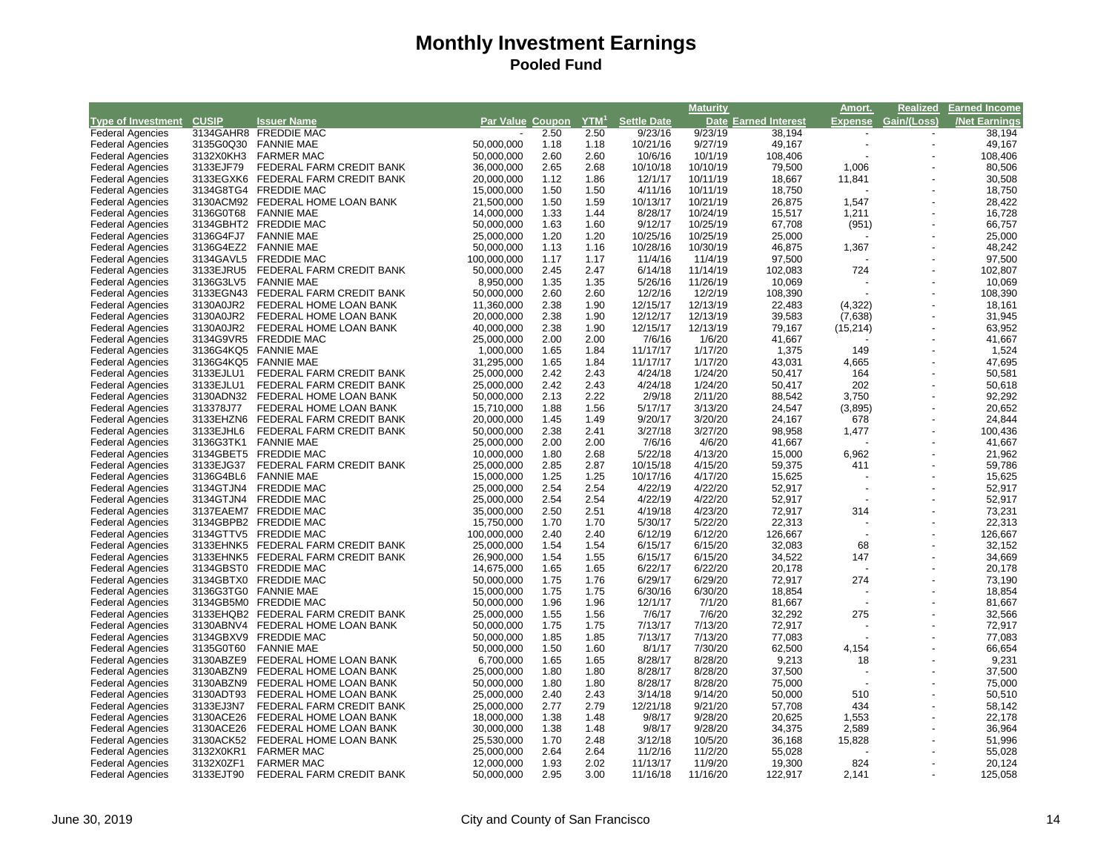|                                 |           |                                    |                         |              |              |                              | <b>Maturity</b> |                             | Amort.         | <b>Realized</b>          | <b>Earned Income</b> |
|---------------------------------|-----------|------------------------------------|-------------------------|--------------|--------------|------------------------------|-----------------|-----------------------------|----------------|--------------------------|----------------------|
| <b>Type of Investment</b> CUSIP |           | <b>Issuer Name</b>                 | <b>Par Value Coupon</b> |              |              | YTM <sup>1</sup> Settle Date |                 | <b>Date Earned Interest</b> | <b>Expense</b> | Gain/(Loss)              | <b>Net Earnings</b>  |
| <b>Federal Agencies</b>         |           | 3134GAHR8 FREDDIE MAC              |                         | 2.50         | 2.50         | 9/23/16                      | 9/23/19         | 38,194                      |                | $\overline{\phantom{a}}$ | 38,194               |
| <b>Federal Agencies</b>         | 3135G0Q30 | <b>FANNIE MAE</b>                  | 50,000,000              | 1.18         | 1.18         | 10/21/16                     | 9/27/19         | 49,167                      |                |                          | 49,167               |
| <b>Federal Agencies</b>         | 3132X0KH3 | <b>FARMER MAC</b>                  | 50,000,000              | 2.60         | 2.60         | 10/6/16                      | 10/1/19         | 108,406                     |                |                          | 108,406              |
| <b>Federal Agencies</b>         | 3133EJF79 | FEDERAL FARM CREDIT BANK           | 36,000,000              | 2.65         | 2.68         | 10/10/18                     | 10/10/19        | 79,500                      | 1,006          |                          | 80,506               |
| <b>Federal Agencies</b>         |           | 3133EGXK6 FEDERAL FARM CREDIT BANK | 20,000,000              | 1.12         | 1.86         | 12/1/17                      | 10/11/19        | 18,667                      | 11,841         |                          | 30,508               |
| <b>Federal Agencies</b>         |           | 3134G8TG4 FREDDIE MAC              | 15,000,000              | 1.50         | 1.50         | 4/11/16                      | 10/11/19        | 18,750                      |                |                          | 18,750               |
| <b>Federal Agencies</b>         |           | 3130ACM92 FEDERAL HOME LOAN BANK   | 21,500,000              | 1.50         | 1.59         | 10/13/17                     | 10/21/19        | 26,875                      | 1,547          |                          | 28,422               |
| <b>Federal Agencies</b>         | 3136G0T68 | <b>FANNIE MAE</b>                  | 14,000,000              | 1.33         | 1.44         | 8/28/17                      | 10/24/19        | 15,517                      | 1,211          |                          | 16,728               |
| <b>Federal Agencies</b>         |           | 3134GBHT2 FREDDIE MAC              | 50,000,000              | 1.63         | 1.60         | 9/12/17                      | 10/25/19        | 67,708                      | (951)          | $\overline{a}$           | 66,757               |
| <b>Federal Agencies</b>         | 3136G4FJ7 | <b>FANNIE MAE</b>                  | 25,000,000              | 1.20         | 1.20         | 10/25/16                     | 10/25/19        | 25,000                      |                |                          | 25,000               |
| <b>Federal Agencies</b>         | 3136G4EZ2 | <b>FANNIE MAE</b>                  | 50,000,000              | 1.13         | 1.16         | 10/28/16                     | 10/30/19        | 46,875                      | 1,367          |                          | 48,242               |
| <b>Federal Agencies</b>         | 3134GAVL5 | <b>FREDDIE MAC</b>                 | 100,000,000             | 1.17         | 1.17         | 11/4/16                      | 11/4/19         | 97,500                      |                |                          | 97,500               |
| <b>Federal Agencies</b>         | 3133EJRU5 | FEDERAL FARM CREDIT BANK           | 50,000,000              | 2.45         | 2.47         | 6/14/18                      | 11/14/19        | 102,083                     | 724            |                          | 102,807              |
| <b>Federal Agencies</b>         | 3136G3LV5 | <b>FANNIE MAE</b>                  | 8,950,000               | 1.35         | 1.35         | 5/26/16                      | 11/26/19        | 10,069                      |                |                          | 10,069               |
| <b>Federal Agencies</b>         | 3133EGN43 | FEDERAL FARM CREDIT BANK           | 50,000,000              | 2.60         | 2.60         | 12/2/16                      | 12/2/19         | 108,390                     |                | ÷,                       | 108,390              |
| <b>Federal Agencies</b>         | 3130A0JR2 | FEDERAL HOME LOAN BANK             | 11,360,000              | 2.38         | 1.90         | 12/15/17                     | 12/13/19        | 22,483                      | (4,322)        |                          | 18,161               |
| <b>Federal Agencies</b>         | 3130A0JR2 | FEDERAL HOME LOAN BANK             | 20,000,000              | 2.38         | 1.90         | 12/12/17                     | 12/13/19        | 39,583                      | (7,638)        | $\overline{\phantom{a}}$ | 31,945               |
| <b>Federal Agencies</b>         | 3130A0JR2 | FEDERAL HOME LOAN BANK             | 40,000,000              | 2.38         | 1.90         | 12/15/17                     | 12/13/19        | 79,167                      | (15, 214)      | $\overline{\phantom{a}}$ | 63,952               |
| <b>Federal Agencies</b>         |           | 3134G9VR5 FREDDIE MAC              | 25,000,000              | 2.00         | 2.00         | 7/6/16                       | 1/6/20          | 41,667                      |                | $\overline{\phantom{a}}$ | 41,667               |
| <b>Federal Agencies</b>         |           | 3136G4KQ5 FANNIE MAE               | 1,000,000               | 1.65         | 1.84         | 11/17/17                     | 1/17/20         | 1,375                       | 149            | $\overline{\phantom{a}}$ | 1,524                |
| <b>Federal Agencies</b>         |           | 3136G4KQ5 FANNIE MAE               | 31,295,000              | 1.65         | 1.84         | 11/17/17                     | 1/17/20         | 43,031                      | 4,665          |                          | 47,695               |
| <b>Federal Agencies</b>         | 3133EJLU1 | FEDERAL FARM CREDIT BANK           | 25,000,000              | 2.42         | 2.43         | 4/24/18                      | 1/24/20         | 50,417                      | 164            | $\overline{\phantom{a}}$ | 50,581               |
| <b>Federal Agencies</b>         | 3133EJLU1 | FEDERAL FARM CREDIT BANK           | 25,000,000              | 2.42         | 2.43         | 4/24/18                      | 1/24/20         | 50,417                      | 202            | $\overline{\phantom{a}}$ | 50,618               |
| <b>Federal Agencies</b>         |           | 3130ADN32 FEDERAL HOME LOAN BANK   | 50,000,000              | 2.13         | 2.22         | 2/9/18                       | 2/11/20         | 88,542                      | 3,750          | ÷,                       | 92,292               |
| <b>Federal Agencies</b>         | 313378J77 | FEDERAL HOME LOAN BANK             | 15,710,000              | 1.88         | 1.56         | 5/17/17                      | 3/13/20         | 24,547                      | (3,895)        | $\overline{\phantom{a}}$ | 20,652               |
| <b>Federal Agencies</b>         | 3133EHZN6 | FEDERAL FARM CREDIT BANK           | 20,000,000              | 1.45         | 1.49         | 9/20/17                      | 3/20/20         | 24,167                      | 678            |                          | 24,844               |
| <b>Federal Agencies</b>         | 3133EJHL6 | FEDERAL FARM CREDIT BANK           | 50,000,000              | 2.38         | 2.41         | 3/27/18                      | 3/27/20         | 98,958                      | 1,477          | $\overline{a}$           | 100,436              |
| <b>Federal Agencies</b>         |           | 3136G3TK1 FANNIE MAE               | 25,000,000              | 2.00         | 2.00         | 7/6/16                       | 4/6/20          | 41,667                      |                | ÷,                       | 41,667               |
| <b>Federal Agencies</b>         |           | 3134GBET5 FREDDIE MAC              | 10,000,000              | 1.80         | 2.68         | 5/22/18                      | 4/13/20         | 15,000                      | 6,962          |                          | 21,962               |
| <b>Federal Agencies</b>         | 3133EJG37 | FEDERAL FARM CREDIT BANK           | 25,000,000              | 2.85         | 2.87         | 10/15/18                     | 4/15/20         | 59,375                      | 411            |                          | 59,786               |
| <b>Federal Agencies</b>         | 3136G4BL6 | <b>FANNIE MAE</b>                  | 15,000,000              | 1.25         | 1.25         | 10/17/16                     | 4/17/20         | 15,625                      |                | $\overline{a}$           | 15,625               |
| <b>Federal Agencies</b>         | 3134GTJN4 | <b>FREDDIE MAC</b>                 | 25,000,000              | 2.54         | 2.54         | 4/22/19                      | 4/22/20         | 52,917                      |                |                          | 52,917               |
| <b>Federal Agencies</b>         | 3134GTJN4 | <b>FREDDIE MAC</b>                 | 25,000,000              | 2.54         | 2.54         | 4/22/19                      | 4/22/20         | 52,917                      |                |                          | 52,917               |
| <b>Federal Agencies</b>         | 3137EAEM7 | <b>FREDDIE MAC</b>                 | 35,000,000              | 2.50         | 2.51         | 4/19/18                      | 4/23/20         | 72,917                      | 314            |                          | 73,231               |
| <b>Federal Agencies</b>         |           | 3134GBPB2 FREDDIE MAC              | 15,750,000              | 1.70         | 1.70         | 5/30/17                      | 5/22/20         | 22,313                      |                |                          | 22,313               |
| <b>Federal Agencies</b>         |           | 3134GTTV5 FREDDIE MAC              | 100,000,000             | 2.40         | 2.40         | 6/12/19                      | 6/12/20         | 126,667                     |                | $\overline{a}$           | 126,667              |
| <b>Federal Agencies</b>         |           | 3133EHNK5 FEDERAL FARM CREDIT BANK | 25,000,000              | 1.54         | 1.54         | 6/15/17                      | 6/15/20         | 32,083                      | 68             |                          | 32,152               |
| <b>Federal Agencies</b>         |           | 3133EHNK5 FEDERAL FARM CREDIT BANK | 26,900,000              | 1.54         | 1.55         | 6/15/17                      | 6/15/20         | 34,522                      | 147            |                          | 34,669               |
| <b>Federal Agencies</b>         |           | 3134GBST0 FREDDIE MAC              | 14,675,000              | 1.65         | 1.65         | 6/22/17                      | 6/22/20         | 20,178                      |                |                          | 20,178               |
| <b>Federal Agencies</b>         |           | 3134GBTX0 FREDDIE MAC              | 50,000,000              | 1.75         | 1.76         | 6/29/17                      | 6/29/20         | 72,917                      | 274            |                          | 73,190               |
| <b>Federal Agencies</b>         |           | 3136G3TG0 FANNIE MAE               | 15,000,000              | 1.75         | 1.75         | 6/30/16                      | 6/30/20         | 18,854                      |                |                          | 18,854               |
| <b>Federal Agencies</b>         |           | 3134GB5M0 FREDDIE MAC              | 50,000,000              | 1.96         | 1.96         | 12/1/17                      | 7/1/20          | 81,667                      |                |                          | 81,667               |
| <b>Federal Agencies</b>         |           | 3133EHQB2 FEDERAL FARM CREDIT BANK | 25,000,000              | 1.55         | 1.56         | 7/6/17                       | 7/6/20          | 32,292                      | 275            |                          | 32,566               |
| <b>Federal Agencies</b>         |           | 3130ABNV4 FEDERAL HOME LOAN BANK   | 50,000,000              | 1.75         | 1.75         | 7/13/17                      | 7/13/20         | 72,917                      |                |                          | 72,917               |
| <b>Federal Agencies</b>         |           | 3134GBXV9 FREDDIE MAC              | 50,000,000              | 1.85         | 1.85         | 7/13/17                      | 7/13/20         | 77,083                      |                |                          | 77,083               |
| <b>Federal Agencies</b>         | 3135G0T60 | <b>FANNIE MAE</b>                  | 50,000,000              | 1.50         | 1.60         | 8/1/17                       | 7/30/20         | 62,500                      | 4,154          |                          | 66,654               |
| <b>Federal Agencies</b>         | 3130ABZE9 | FEDERAL HOME LOAN BANK             | 6,700,000               | 1.65         | 1.65         | 8/28/17                      | 8/28/20         | 9,213                       | 18             |                          | 9,231                |
| <b>Federal Agencies</b>         | 3130ABZN9 | FEDERAL HOME LOAN BANK             | 25,000,000              | 1.80         | 1.80         | 8/28/17                      | 8/28/20         | 37,500                      |                |                          | 37,500               |
| <b>Federal Agencies</b>         | 3130ABZN9 | FEDERAL HOME LOAN BANK             | 50,000,000              | 1.80         | 1.80         | 8/28/17                      | 8/28/20         | 75,000                      |                |                          | 75,000               |
| <b>Federal Agencies</b>         | 3130ADT93 | FEDERAL HOME LOAN BANK             | 25,000,000              | 2.40         | 2.43         | 3/14/18                      | 9/14/20         | 50,000                      | 510            | ÷,                       | 50,510               |
| <b>Federal Agencies</b>         | 3133EJ3N7 | FEDERAL FARM CREDIT BANK           | 25,000,000              | 2.77         | 2.79         | 12/21/18                     | 9/21/20         | 57,708                      | 434            |                          | 58,142               |
|                                 | 3130ACE26 | FEDERAL HOME LOAN BANK             |                         | 1.38         | 1.48         | 9/8/17                       | 9/28/20         | 20,625                      | 1,553          |                          | 22,178               |
| <b>Federal Agencies</b>         | 3130ACE26 |                                    | 18,000,000              | 1.38         | 1.48         | 9/8/17                       |                 | 34,375                      | 2,589          |                          | 36,964               |
| <b>Federal Agencies</b>         |           | FEDERAL HOME LOAN BANK             | 30,000,000              | 1.70         | 2.48         |                              | 9/28/20         | 36,168                      | 15,828         |                          | 51,996               |
| <b>Federal Agencies</b>         | 3130ACK52 | FEDERAL HOME LOAN BANK             | 25,530,000              |              |              | 3/12/18                      | 10/5/20         |                             |                |                          |                      |
| <b>Federal Agencies</b>         | 3132X0KR1 | <b>FARMER MAC</b>                  | 25,000,000              | 2.64<br>1.93 | 2.64<br>2.02 | 11/2/16                      | 11/2/20         | 55,028                      | 824            |                          | 55,028               |
| <b>Federal Agencies</b>         | 3132X0ZF1 | <b>FARMER MAC</b>                  | 12,000,000              |              |              | 11/13/17                     | 11/9/20         | 19,300                      |                |                          | 20,124               |
| <b>Federal Agencies</b>         | 3133EJT90 | FEDERAL FARM CREDIT BANK           | 50,000,000              | 2.95         | 3.00         | 11/16/18                     | 11/16/20        | 122,917                     | 2,141          |                          | 125,058              |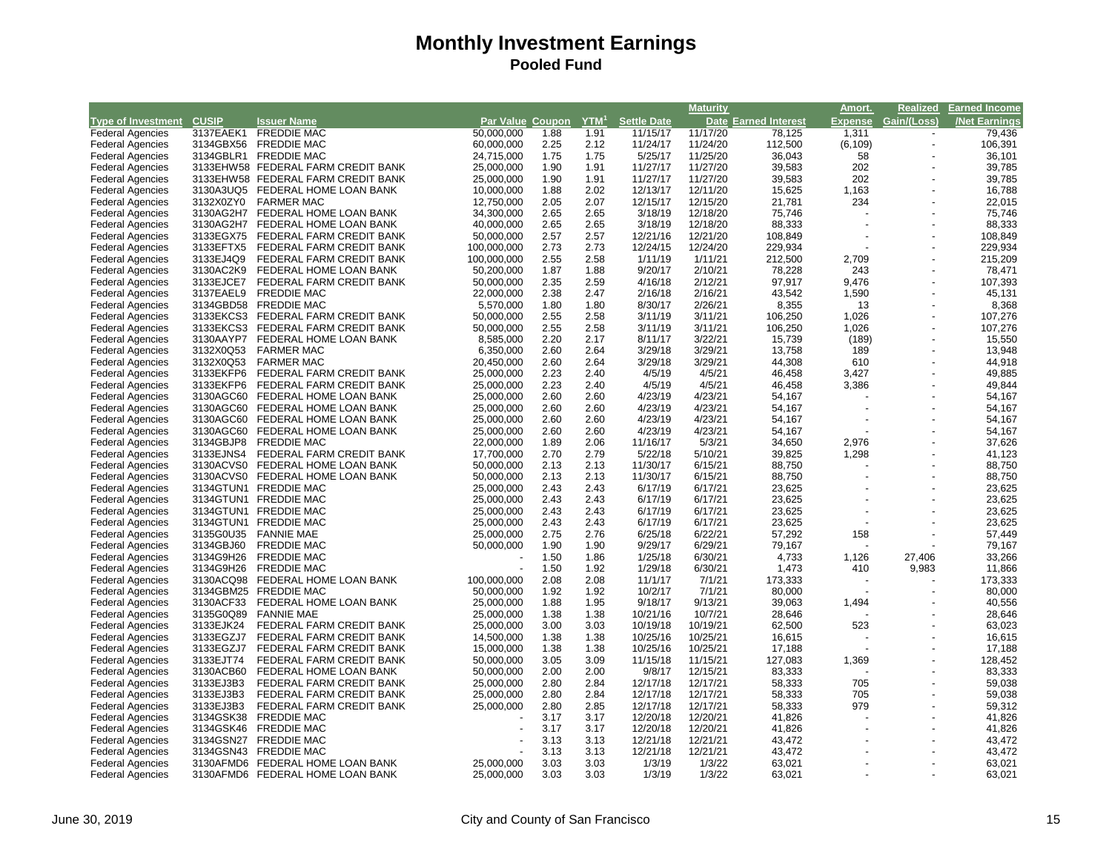|                                                    |                        |                                                  |                  |              |              |                    | <b>Maturity</b>    |                      | Amort.         | <b>Realized</b>          | <b>Earned Income</b> |
|----------------------------------------------------|------------------------|--------------------------------------------------|------------------|--------------|--------------|--------------------|--------------------|----------------------|----------------|--------------------------|----------------------|
| <b>Type of Investment CUSIP</b>                    |                        | <b>Issuer Name</b>                               | Par Value Coupon |              | $YTM^1$      | <b>Settle Date</b> |                    | Date Earned Interest | <b>Expense</b> | Gain/(Loss)              | <b>Net Earnings</b>  |
| <b>Federal Agencies</b>                            | 3137EAEK1              | <b>FREDDIE MAC</b>                               | 50,000,000       | 1.88         | 1.91         | 11/15/17           | 11/17/20           | 78,125               | 1,311          | $\overline{\phantom{a}}$ | 79,436               |
| <b>Federal Agencies</b>                            | 3134GBX56              | <b>FREDDIE MAC</b>                               | 60,000,000       | 2.25         | 2.12         | 11/24/17           | 11/24/20           | 112,500              | (6, 109)       |                          | 106,391              |
| <b>Federal Agencies</b>                            | 3134GBLR1              | <b>FREDDIE MAC</b>                               | 24,715,000       | 1.75         | 1.75         | 5/25/17            | 11/25/20           | 36,043               | 58             |                          | 36,101               |
| <b>Federal Agencies</b>                            |                        | 3133EHW58 FEDERAL FARM CREDIT BANK               | 25,000,000       | 1.90         | 1.91         | 11/27/17           | 11/27/20           | 39,583               | 202            |                          | 39,785               |
| <b>Federal Agencies</b>                            |                        | 3133EHW58 FEDERAL FARM CREDIT BANK               | 25,000,000       | 1.90         | 1.91         | 11/27/17           | 11/27/20           | 39,583               | 202            |                          | 39,785               |
| <b>Federal Agencies</b>                            |                        | 3130A3UQ5 FEDERAL HOME LOAN BANK                 | 10,000,000       | 1.88         | 2.02         | 12/13/17           | 12/11/20           | 15,625               | 1,163          |                          | 16,788               |
| <b>Federal Agencies</b>                            | 3132X0ZY0              | <b>FARMER MAC</b>                                | 12,750,000       | 2.05         | 2.07         | 12/15/17           | 12/15/20           | 21,781               | 234            |                          | 22,015               |
| <b>Federal Agencies</b>                            |                        | 3130AG2H7 FEDERAL HOME LOAN BANK                 | 34,300,000       | 2.65         | 2.65         | 3/18/19            | 12/18/20           | 75,746               |                |                          | 75,746               |
| <b>Federal Agencies</b>                            |                        | 3130AG2H7 FEDERAL HOME LOAN BANK                 | 40,000,000       | 2.65         | 2.65         | 3/18/19            | 12/18/20           | 88,333               |                |                          | 88,333               |
| <b>Federal Agencies</b>                            | 3133EGX75              | FEDERAL FARM CREDIT BANK                         | 50,000,000       | 2.57         | 2.57         | 12/21/16           | 12/21/20           | 108,849              |                |                          | 108,849              |
| <b>Federal Agencies</b>                            | 3133EFTX5              | FEDERAL FARM CREDIT BANK                         | 100,000,000      | 2.73         | 2.73         | 12/24/15           | 12/24/20           | 229,934              |                |                          | 229,934              |
| <b>Federal Agencies</b>                            | 3133EJ4Q9              | FEDERAL FARM CREDIT BANK                         | 100,000,000      | 2.55         | 2.58         | 1/11/19            | 1/11/21            | 212,500              | 2,709          |                          | 215,209              |
| <b>Federal Agencies</b>                            | 3130AC2K9              | FEDERAL HOME LOAN BANK                           | 50,200,000       | 1.87         | 1.88         | 9/20/17            | 2/10/21            | 78,228               | 243            |                          | 78,471               |
| <b>Federal Agencies</b>                            | 3133EJCE7              | FEDERAL FARM CREDIT BANK                         | 50,000,000       | 2.35         | 2.59         | 4/16/18            | 2/12/21            | 97,917               | 9,476          |                          | 107,393              |
| <b>Federal Agencies</b>                            | 3137EAEL9              | <b>FREDDIE MAC</b>                               | 22,000,000       | 2.38         | 2.47         | 2/16/18            | 2/16/21            | 43,542               | 1,590          |                          | 45,131               |
| <b>Federal Agencies</b>                            |                        | 3134GBD58 FREDDIE MAC                            | 5,570,000        | 1.80         | 1.80         | 8/30/17            | 2/26/21            | 8,355                | 13             |                          | 8,368                |
| <b>Federal Agencies</b>                            | 3133EKCS3              | FEDERAL FARM CREDIT BANK                         | 50,000,000       | 2.55         | 2.58         | 3/11/19            | 3/11/21            | 106,250              | 1,026          |                          | 107,276              |
| <b>Federal Agencies</b>                            | 3133EKCS3              | FEDERAL FARM CREDIT BANK                         | 50,000,000       | 2.55         | 2.58         | 3/11/19            | 3/11/21            | 106,250              | 1,026          |                          | 107,276              |
| <b>Federal Agencies</b>                            | 3130AAYP7              | FEDERAL HOME LOAN BANK                           | 8,585,000        | 2.20         | 2.17         | 8/11/17            | 3/22/21            | 15,739               | (189)          |                          | 15,550               |
| <b>Federal Agencies</b>                            | 3132X0Q53              | <b>FARMER MAC</b>                                | 6,350,000        | 2.60         | 2.64         | 3/29/18            | 3/29/21            | 13,758               | 189            |                          | 13,948               |
|                                                    | 3132X0Q53              | <b>FARMER MAC</b>                                | 20,450,000       | 2.60         | 2.64         | 3/29/18            | 3/29/21            | 44,308               | 610            | J.                       | 44,918               |
| <b>Federal Agencies</b><br><b>Federal Agencies</b> | 3133EKFP6              | FEDERAL FARM CREDIT BANK                         | 25,000,000       | 2.23         | 2.40         | 4/5/19             | 4/5/21             | 46,458               | 3,427          |                          | 49,885               |
|                                                    | 3133EKFP6              | FEDERAL FARM CREDIT BANK                         | 25,000,000       | 2.23         | 2.40         | 4/5/19             | 4/5/21             | 46,458               | 3,386          |                          | 49,844               |
| <b>Federal Agencies</b>                            |                        | 3130AGC60 FEDERAL HOME LOAN BANK                 | 25,000,000       | 2.60         | 2.60         | 4/23/19            | 4/23/21            | 54,167               |                |                          |                      |
| <b>Federal Agencies</b>                            |                        |                                                  |                  | 2.60         | 2.60         | 4/23/19            |                    |                      |                |                          | 54,167               |
| <b>Federal Agencies</b>                            |                        | 3130AGC60 FEDERAL HOME LOAN BANK                 | 25,000,000       |              |              |                    | 4/23/21            | 54,167               |                |                          | 54,167               |
| <b>Federal Agencies</b>                            | 3130AGC60<br>3130AGC60 | FEDERAL HOME LOAN BANK<br>FEDERAL HOME LOAN BANK | 25,000,000       | 2.60<br>2.60 | 2.60<br>2.60 | 4/23/19<br>4/23/19 | 4/23/21<br>4/23/21 | 54,167               |                |                          | 54,167               |
| <b>Federal Agencies</b>                            |                        |                                                  | 25,000,000       | 1.89         |              |                    | 5/3/21             | 54,167               |                |                          | 54,167               |
| <b>Federal Agencies</b>                            | 3134GBJP8              | <b>FREDDIE MAC</b>                               | 22,000,000       |              | 2.06         | 11/16/17           |                    | 34,650               | 2,976          |                          | 37,626<br>41,123     |
| <b>Federal Agencies</b>                            | 3133EJNS4              | FEDERAL FARM CREDIT BANK                         | 17,700,000       | 2.70         | 2.79         | 5/22/18            | 5/10/21            | 39,825               | 1,298          |                          |                      |
| <b>Federal Agencies</b>                            | 3130ACVS0              | FEDERAL HOME LOAN BANK                           | 50,000,000       | 2.13         | 2.13<br>2.13 | 11/30/17           | 6/15/21            | 88,750               |                |                          | 88,750               |
| <b>Federal Agencies</b>                            |                        | 3130ACVS0 FEDERAL HOME LOAN BANK                 | 50,000,000       | 2.13         |              | 11/30/17           | 6/15/21            | 88,750               |                |                          | 88,750               |
| <b>Federal Agencies</b>                            |                        | 3134GTUN1 FREDDIE MAC                            | 25,000,000       | 2.43         | 2.43         | 6/17/19            | 6/17/21            | 23,625               |                |                          | 23,625               |
| <b>Federal Agencies</b>                            |                        | 3134GTUN1 FREDDIE MAC                            | 25,000,000       | 2.43         | 2.43         | 6/17/19            | 6/17/21            | 23,625               |                |                          | 23,625               |
| <b>Federal Agencies</b>                            |                        | 3134GTUN1 FREDDIE MAC                            | 25,000,000       | 2.43         | 2.43         | 6/17/19            | 6/17/21            | 23,625               |                |                          | 23,625               |
| <b>Federal Agencies</b>                            |                        | 3134GTUN1 FREDDIE MAC                            | 25,000,000       | 2.43         | 2.43         | 6/17/19            | 6/17/21            | 23,625               |                |                          | 23,625               |
| <b>Federal Agencies</b>                            | 3135G0U35              | <b>FANNIE MAE</b>                                | 25,000,000       | 2.75         | 2.76         | 6/25/18            | 6/22/21            | 57,292               | 158            |                          | 57,449               |
| <b>Federal Agencies</b>                            | 3134GBJ60              | <b>FREDDIE MAC</b>                               | 50,000,000       | 1.90         | 1.90         | 9/29/17            | 6/29/21            | 79,167               |                |                          | 79,167               |
| <b>Federal Agencies</b>                            | 3134G9H26              | <b>FREDDIE MAC</b>                               |                  | 1.50         | 1.86         | 1/25/18            | 6/30/21            | 4,733                | 1,126          | 27,406                   | 33,266               |
| <b>Federal Agencies</b>                            | 3134G9H26              | <b>FREDDIE MAC</b>                               |                  | 1.50         | 1.92         | 1/29/18            | 6/30/21            | 1,473                | 410            | 9,983                    | 11,866               |
| <b>Federal Agencies</b>                            |                        | 3130ACQ98 FEDERAL HOME LOAN BANK                 | 100,000,000      | 2.08         | 2.08         | 11/1/17            | 7/1/21             | 173,333              |                |                          | 173,333              |
| <b>Federal Agencies</b>                            |                        | 3134GBM25 FREDDIE MAC                            | 50,000,000       | 1.92         | 1.92         | 10/2/17            | 7/1/21             | 80,000               |                |                          | 80,000               |
| <b>Federal Agencies</b>                            | 3130ACF33              | FEDERAL HOME LOAN BANK                           | 25,000,000       | 1.88         | 1.95         | 9/18/17            | 9/13/21            | 39,063               | 1,494          |                          | 40,556               |
| <b>Federal Agencies</b>                            | 3135G0Q89              | <b>FANNIE MAE</b>                                | 25,000,000       | 1.38         | 1.38         | 10/21/16           | 10/7/21            | 28,646               |                |                          | 28,646               |
| <b>Federal Agencies</b>                            | 3133EJK24              | FEDERAL FARM CREDIT BANK                         | 25,000,000       | 3.00         | 3.03         | 10/19/18           | 10/19/21           | 62,500               | 523            |                          | 63,023               |
| <b>Federal Agencies</b>                            | 3133EGZJ7              | FEDERAL FARM CREDIT BANK                         | 14,500,000       | 1.38         | 1.38         | 10/25/16           | 10/25/21           | 16,615               |                |                          | 16,615               |
| <b>Federal Agencies</b>                            | 3133EGZJ7              | FEDERAL FARM CREDIT BANK                         | 15,000,000       | 1.38         | 1.38         | 10/25/16           | 10/25/21           | 17,188               |                |                          | 17,188               |
| <b>Federal Agencies</b>                            | 3133EJT74              | FEDERAL FARM CREDIT BANK                         | 50,000,000       | 3.05         | 3.09         | 11/15/18           | 11/15/21           | 127,083              | 1,369          |                          | 128,452              |
| <b>Federal Agencies</b>                            | 3130ACB60              | FEDERAL HOME LOAN BANK                           | 50,000,000       | 2.00         | 2.00         | 9/8/17             | 12/15/21           | 83,333               |                |                          | 83,333               |
| <b>Federal Agencies</b>                            | 3133EJ3B3              | FEDERAL FARM CREDIT BANK                         | 25,000,000       | 2.80         | 2.84         | 12/17/18           | 12/17/21           | 58,333               | 705            |                          | 59,038               |
| <b>Federal Agencies</b>                            | 3133EJ3B3              | FEDERAL FARM CREDIT BANK                         | 25,000,000       | 2.80         | 2.84         | 12/17/18           | 12/17/21           | 58,333               | 705            |                          | 59,038               |
| <b>Federal Agencies</b>                            | 3133EJ3B3              | FEDERAL FARM CREDIT BANK                         | 25,000,000       | 2.80         | 2.85         | 12/17/18           | 12/17/21           | 58,333               | 979            |                          | 59,312               |
| <b>Federal Agencies</b>                            | 3134GSK38              | <b>FREDDIE MAC</b>                               |                  | 3.17         | 3.17         | 12/20/18           | 12/20/21           | 41,826               |                |                          | 41,826               |
| <b>Federal Agencies</b>                            | 3134GSK46              | <b>FREDDIE MAC</b>                               |                  | 3.17         | 3.17         | 12/20/18           | 12/20/21           | 41,826               |                |                          | 41,826               |
| <b>Federal Agencies</b>                            | 3134GSN27              | <b>FREDDIE MAC</b>                               |                  | 3.13         | 3.13         | 12/21/18           | 12/21/21           | 43,472               |                |                          | 43,472               |
| <b>Federal Agencies</b>                            |                        | 3134GSN43 FREDDIE MAC                            |                  | 3.13         | 3.13         | 12/21/18           | 12/21/21           | 43,472               |                |                          | 43,472               |
| <b>Federal Agencies</b>                            |                        | 3130AFMD6 FEDERAL HOME LOAN BANK                 | 25,000,000       | 3.03         | 3.03         | 1/3/19             | 1/3/22             | 63,021               |                |                          | 63,021               |
| <b>Federal Agencies</b>                            |                        | 3130AFMD6 FEDERAL HOME LOAN BANK                 | 25,000,000       | 3.03         | 3.03         | 1/3/19             | 1/3/22             | 63,021               |                |                          | 63,021               |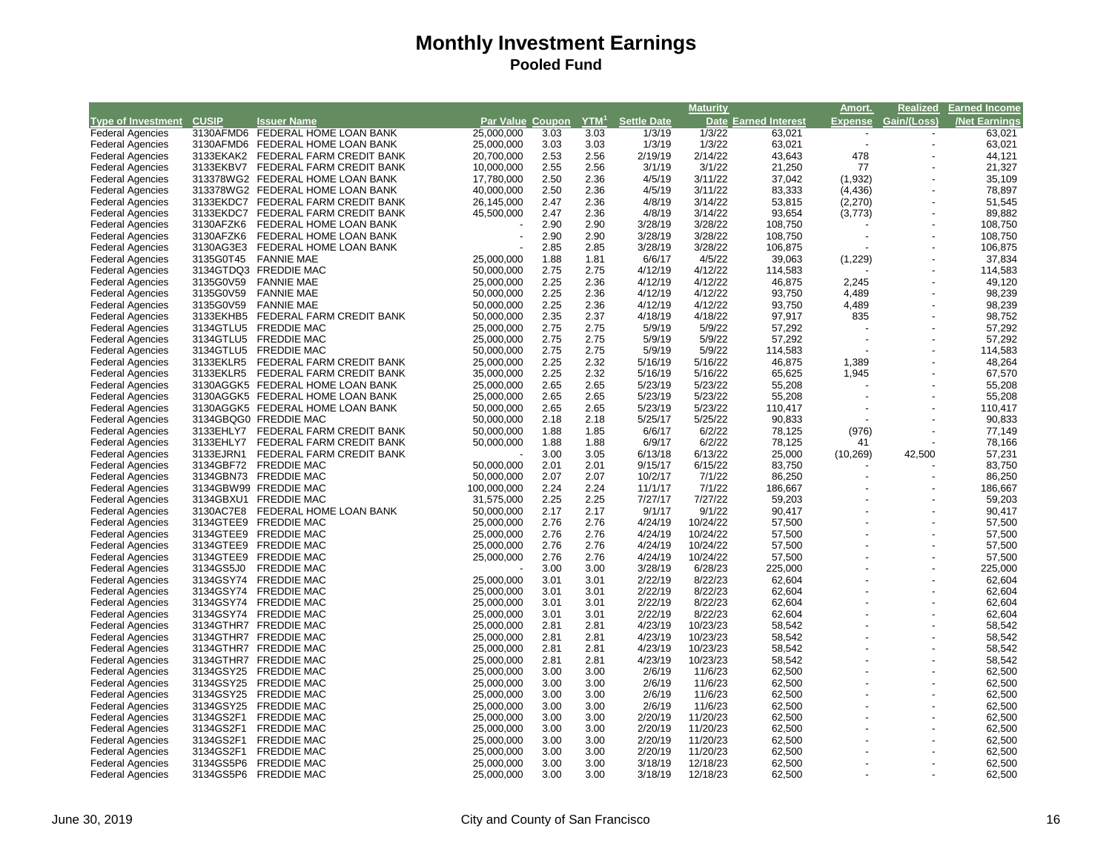|                                 |           |                                    |                  |      |         |                    | <b>Maturity</b> |                             | Amort.                   | <b>Realized</b>          | <b>Earned Income</b> |
|---------------------------------|-----------|------------------------------------|------------------|------|---------|--------------------|-----------------|-----------------------------|--------------------------|--------------------------|----------------------|
| <b>Type of Investment CUSIP</b> |           | <b>Issuer Name</b>                 | Par Value Coupon |      | $YTM^1$ | <b>Settle Date</b> |                 | <b>Date Earned Interest</b> | <b>Expense</b>           | Gain/(Loss)              | <b>Net Earnings</b>  |
| <b>Federal Agencies</b>         |           | 3130AFMD6 FEDERAL HOME LOAN BANK   | 25,000,000       | 3.03 | 3.03    | 1/3/19             | 1/3/22          | 63,021                      | $\overline{\phantom{a}}$ | $\overline{\phantom{a}}$ | 63,021               |
| <b>Federal Agencies</b>         |           | 3130AFMD6 FEDERAL HOME LOAN BANK   | 25,000,000       | 3.03 | 3.03    | 1/3/19             | 1/3/22          | 63,021                      |                          |                          | 63,021               |
| <b>Federal Agencies</b>         |           | 3133EKAK2 FEDERAL FARM CREDIT BANK | 20,700,000       | 2.53 | 2.56    | 2/19/19            | 2/14/22         | 43,643                      | 478                      |                          | 44,121               |
| <b>Federal Agencies</b>         |           | 3133EKBV7 FEDERAL FARM CREDIT BANK | 10,000,000       | 2.55 | 2.56    | 3/1/19             | 3/1/22          | 21,250                      | 77                       |                          | 21,327               |
| <b>Federal Agencies</b>         |           | 313378WG2 FEDERAL HOME LOAN BANK   | 17,780,000       | 2.50 | 2.36    | 4/5/19             | 3/11/22         | 37,042                      | (1, 932)                 |                          | 35,109               |
| <b>Federal Agencies</b>         |           | 313378WG2 FEDERAL HOME LOAN BANK   | 40,000,000       | 2.50 | 2.36    | 4/5/19             | 3/11/22         | 83,333                      | (4, 436)                 |                          | 78,897               |
| <b>Federal Agencies</b>         |           | 3133EKDC7 FEDERAL FARM CREDIT BANK | 26,145,000       | 2.47 | 2.36    | 4/8/19             | 3/14/22         | 53,815                      | (2, 270)                 | ÷,                       | 51,545               |
| <b>Federal Agencies</b>         |           | 3133EKDC7 FEDERAL FARM CREDIT BANK | 45,500,000       | 2.47 | 2.36    | 4/8/19             | 3/14/22         | 93,654                      | (3, 773)                 |                          | 89,882               |
| <b>Federal Agencies</b>         | 3130AFZK6 | FEDERAL HOME LOAN BANK             |                  | 2.90 | 2.90    | 3/28/19            | 3/28/22         | 108,750                     |                          |                          | 108,750              |
| <b>Federal Agencies</b>         | 3130AFZK6 | FEDERAL HOME LOAN BANK             |                  | 2.90 | 2.90    | 3/28/19            | 3/28/22         | 108,750                     |                          |                          | 108,750              |
| <b>Federal Agencies</b>         | 3130AG3E3 | FEDERAL HOME LOAN BANK             |                  | 2.85 | 2.85    | 3/28/19            | 3/28/22         | 106,875                     |                          |                          | 106,875              |
| <b>Federal Agencies</b>         | 3135G0T45 | <b>FANNIE MAE</b>                  | 25,000,000       | 1.88 | 1.81    | 6/6/17             | 4/5/22          | 39,063                      | (1,229)                  |                          | 37,834               |
| <b>Federal Agencies</b>         |           | 3134GTDQ3 FREDDIE MAC              | 50,000,000       | 2.75 | 2.75    | 4/12/19            | 4/12/22         | 114,583                     |                          |                          | 114,583              |
| <b>Federal Agencies</b>         | 3135G0V59 | <b>FANNIE MAE</b>                  | 25,000,000       | 2.25 | 2.36    | 4/12/19            | 4/12/22         | 46,875                      | 2,245                    |                          | 49,120               |
| <b>Federal Agencies</b>         | 3135G0V59 | <b>FANNIE MAE</b>                  | 50,000,000       | 2.25 | 2.36    | 4/12/19            | 4/12/22         | 93,750                      | 4,489                    | ÷,                       | 98,239               |
| <b>Federal Agencies</b>         | 3135G0V59 | <b>FANNIE MAE</b>                  | 50,000,000       | 2.25 | 2.36    | 4/12/19            | 4/12/22         | 93,750                      | 4,489                    |                          | 98,239               |
| <b>Federal Agencies</b>         | 3133EKHB5 | FEDERAL FARM CREDIT BANK           | 50,000,000       | 2.35 | 2.37    | 4/18/19            | 4/18/22         | 97,917                      | 835                      |                          | 98,752               |
| <b>Federal Agencies</b>         | 3134GTLU5 | <b>FREDDIE MAC</b>                 | 25,000,000       | 2.75 | 2.75    | 5/9/19             | 5/9/22          | 57,292                      |                          |                          | 57,292               |
| <b>Federal Agencies</b>         | 3134GTLU5 | <b>FREDDIE MAC</b>                 | 25,000,000       | 2.75 | 2.75    | 5/9/19             | 5/9/22          | 57,292                      |                          |                          | 57,292               |
| <b>Federal Agencies</b>         |           | 3134GTLU5 FREDDIE MAC              | 50,000,000       | 2.75 | 2.75    | 5/9/19             | 5/9/22          | 114,583                     |                          |                          | 114,583              |
| <b>Federal Agencies</b>         | 3133EKLR5 | FEDERAL FARM CREDIT BANK           | 25,000,000       | 2.25 | 2.32    | 5/16/19            | 5/16/22         | 46,875                      | 1,389                    | $\overline{\phantom{a}}$ | 48,264               |
| <b>Federal Agencies</b>         | 3133EKLR5 | FEDERAL FARM CREDIT BANK           | 35,000,000       | 2.25 | 2.32    | 5/16/19            | 5/16/22         | 65,625                      | 1,945                    |                          | 67,570               |
| <b>Federal Agencies</b>         |           | 3130AGGK5 FEDERAL HOME LOAN BANK   | 25,000,000       | 2.65 | 2.65    | 5/23/19            | 5/23/22         | 55,208                      |                          |                          | 55,208               |
|                                 |           | 3130AGGK5 FEDERAL HOME LOAN BANK   | 25,000,000       | 2.65 | 2.65    | 5/23/19            | 5/23/22         | 55,208                      |                          |                          | 55,208               |
| <b>Federal Agencies</b>         |           |                                    |                  |      |         |                    |                 |                             |                          |                          |                      |
| <b>Federal Agencies</b>         |           | 3130AGGK5 FEDERAL HOME LOAN BANK   | 50,000,000       | 2.65 | 2.65    | 5/23/19            | 5/23/22         | 110,417                     |                          |                          | 110,417              |
| <b>Federal Agencies</b>         |           | 3134GBQG0 FREDDIE MAC              | 50,000,000       | 2.18 | 2.18    | 5/25/17            | 5/25/22         | 90,833                      |                          |                          | 90,833               |
| <b>Federal Agencies</b>         |           | 3133EHLY7 FEDERAL FARM CREDIT BANK | 50,000,000       | 1.88 | 1.85    | 6/6/17             | 6/2/22          | 78,125                      | (976)                    |                          | 77,149               |
| <b>Federal Agencies</b>         |           | 3133EHLY7 FEDERAL FARM CREDIT BANK | 50,000,000       | 1.88 | 1.88    | 6/9/17             | 6/2/22          | 78,125                      | 41                       |                          | 78,166               |
| <b>Federal Agencies</b>         | 3133EJRN1 | FEDERAL FARM CREDIT BANK           |                  | 3.00 | 3.05    | 6/13/18            | 6/13/22         | 25,000                      | (10, 269)                | 42,500                   | 57,231               |
| <b>Federal Agencies</b>         | 3134GBF72 | <b>FREDDIE MAC</b>                 | 50,000,000       | 2.01 | 2.01    | 9/15/17            | 6/15/22         | 83,750                      |                          |                          | 83,750               |
| <b>Federal Agencies</b>         |           | 3134GBN73 FREDDIE MAC              | 50,000,000       | 2.07 | 2.07    | 10/2/17            | 7/1/22          | 86,250                      |                          | $\overline{\phantom{a}}$ | 86,250               |
| <b>Federal Agencies</b>         |           | 3134GBW99 FREDDIE MAC              | 100,000,000      | 2.24 | 2.24    | 11/1/17            | 7/1/22          | 186,667                     |                          | $\overline{\phantom{a}}$ | 186,667              |
| <b>Federal Agencies</b>         |           | 3134GBXU1 FREDDIE MAC              | 31,575,000       | 2.25 | 2.25    | 7/27/17            | 7/27/22         | 59,203                      |                          | $\overline{\phantom{a}}$ | 59,203               |
| <b>Federal Agencies</b>         | 3130AC7E8 | FEDERAL HOME LOAN BANK             | 50,000,000       | 2.17 | 2.17    | 9/1/17             | 9/1/22          | 90,417                      |                          | ÷,                       | 90,417               |
| <b>Federal Agencies</b>         |           | 3134GTEE9 FREDDIE MAC              | 25,000,000       | 2.76 | 2.76    | 4/24/19            | 10/24/22        | 57,500                      |                          | $\overline{a}$           | 57,500               |
| <b>Federal Agencies</b>         |           | 3134GTEE9 FREDDIE MAC              | 25,000,000       | 2.76 | 2.76    | 4/24/19            | 10/24/22        | 57,500                      |                          | ÷,                       | 57,500               |
| <b>Federal Agencies</b>         |           | 3134GTEE9 FREDDIE MAC              | 25,000,000       | 2.76 | 2.76    | 4/24/19            | 10/24/22        | 57,500                      |                          | $\overline{a}$           | 57,500               |
| <b>Federal Agencies</b>         | 3134GTEE9 | <b>FREDDIE MAC</b>                 | 25,000,000       | 2.76 | 2.76    | 4/24/19            | 10/24/22        | 57,500                      |                          |                          | 57,500               |
| <b>Federal Agencies</b>         | 3134GS5J0 | <b>FREDDIE MAC</b>                 |                  | 3.00 | 3.00    | 3/28/19            | 6/28/23         | 225,000                     |                          | ÷,                       | 225,000              |
| <b>Federal Agencies</b>         |           | 3134GSY74 FREDDIE MAC              | 25,000,000       | 3.01 | 3.01    | 2/22/19            | 8/22/23         | 62,604                      |                          | ÷,                       | 62,604               |
| <b>Federal Agencies</b>         |           | 3134GSY74 FREDDIE MAC              | 25,000,000       | 3.01 | 3.01    | 2/22/19            | 8/22/23         | 62,604                      |                          |                          | 62,604               |
| <b>Federal Agencies</b>         | 3134GSY74 | <b>FREDDIE MAC</b>                 | 25,000,000       | 3.01 | 3.01    | 2/22/19            | 8/22/23         | 62,604                      |                          | ÷,                       | 62,604               |
| <b>Federal Agencies</b>         |           | 3134GSY74 FREDDIE MAC              | 25,000,000       | 3.01 | 3.01    | 2/22/19            | 8/22/23         | 62,604                      |                          | $\overline{a}$           | 62,604               |
| <b>Federal Agencies</b>         |           | 3134GTHR7 FREDDIE MAC              | 25,000,000       | 2.81 | 2.81    | 4/23/19            | 10/23/23        | 58,542                      |                          | $\overline{a}$           | 58,542               |
| <b>Federal Agencies</b>         |           | 3134GTHR7 FREDDIE MAC              | 25,000,000       | 2.81 | 2.81    | 4/23/19            | 10/23/23        | 58,542                      |                          |                          | 58,542               |
| <b>Federal Agencies</b>         |           | 3134GTHR7 FREDDIE MAC              | 25,000,000       | 2.81 | 2.81    | 4/23/19            | 10/23/23        | 58,542                      |                          | $\overline{a}$           | 58,542               |
| <b>Federal Agencies</b>         |           | 3134GTHR7 FREDDIE MAC              | 25,000,000       | 2.81 | 2.81    | 4/23/19            | 10/23/23        | 58,542                      |                          |                          | 58,542               |
| <b>Federal Agencies</b>         |           | 3134GSY25 FREDDIE MAC              | 25,000,000       | 3.00 | 3.00    | 2/6/19             | 11/6/23         | 62,500                      |                          | ÷,                       | 62,500               |
| <b>Federal Agencies</b>         |           | 3134GSY25 FREDDIE MAC              | 25,000,000       | 3.00 | 3.00    | 2/6/19             | 11/6/23         | 62,500                      |                          |                          | 62,500               |
| <b>Federal Agencies</b>         | 3134GSY25 | <b>FREDDIE MAC</b>                 | 25,000,000       | 3.00 | 3.00    | 2/6/19             | 11/6/23         | 62,500                      |                          | $\overline{a}$           | 62,500               |
| <b>Federal Agencies</b>         | 3134GSY25 | <b>FREDDIE MAC</b>                 | 25,000,000       | 3.00 | 3.00    | 2/6/19             | 11/6/23         | 62,500                      |                          |                          | 62,500               |
| <b>Federal Agencies</b>         | 3134GS2F1 | <b>FREDDIE MAC</b>                 | 25,000,000       | 3.00 | 3.00    | 2/20/19            | 11/20/23        | 62,500                      |                          | $\overline{a}$           | 62,500               |
| <b>Federal Agencies</b>         | 3134GS2F1 | <b>FREDDIE MAC</b>                 | 25,000,000       | 3.00 | 3.00    | 2/20/19            | 11/20/23        | 62,500                      |                          |                          | 62,500               |
| <b>Federal Agencies</b>         | 3134GS2F1 | <b>FREDDIE MAC</b>                 | 25,000,000       | 3.00 | 3.00    | 2/20/19            | 11/20/23        | 62,500                      |                          | $\overline{a}$           | 62,500               |
| <b>Federal Agencies</b>         | 3134GS2F1 | <b>FREDDIE MAC</b>                 | 25,000,000       | 3.00 | 3.00    | 2/20/19            | 11/20/23        | 62,500                      |                          |                          | 62,500               |
| <b>Federal Agencies</b>         |           | 3134GS5P6 FREDDIE MAC              | 25,000,000       | 3.00 | 3.00    | 3/18/19            | 12/18/23        | 62,500                      |                          |                          | 62,500               |
| <b>Federal Agencies</b>         |           | 3134GS5P6 FREDDIE MAC              | 25,000,000       | 3.00 | 3.00    | 3/18/19            | 12/18/23        | 62,500                      |                          |                          | 62,500               |
|                                 |           |                                    |                  |      |         |                    |                 |                             |                          |                          |                      |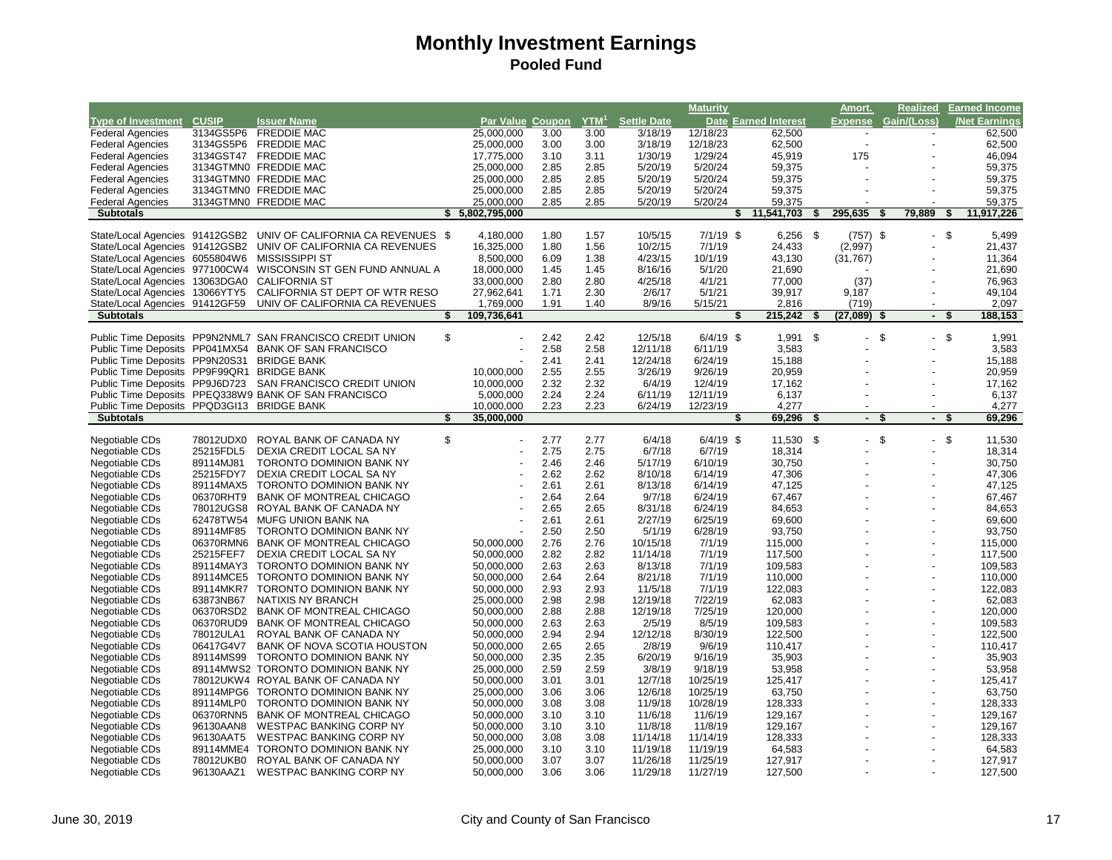|                                            |                        |                                                                  |    |                          |              |                  |                      | <b>Maturity</b>      |                      |    | Amort.                   | <b>Realized</b>                | <b>Earned Income</b> |
|--------------------------------------------|------------------------|------------------------------------------------------------------|----|--------------------------|--------------|------------------|----------------------|----------------------|----------------------|----|--------------------------|--------------------------------|----------------------|
| <b>Type of Investment</b>                  | <b>CUSIP</b>           | <b>Issuer Name</b>                                               |    | Par Value Coupon         |              | YTM <sup>1</sup> | <b>Settle Date</b>   |                      | Date Earned Interest |    | <b>Expense</b>           | Gain/(Loss)                    | <b>/Net Earnings</b> |
| <b>Federal Agencies</b>                    | 3134GS5P6              | <b>FREDDIE MAC</b>                                               |    | 25,000,000               | 3.00         | 3.00             | 3/18/19              | 12/18/23             | 62,500               |    |                          |                                | 62,500               |
| <b>Federal Agencies</b>                    | 3134GS5P6              | <b>FREDDIE MAC</b>                                               |    | 25,000,000               | 3.00         | 3.00             | 3/18/19              | 12/18/23             | 62,500               |    |                          |                                | 62,500               |
| <b>Federal Agencies</b>                    | 3134GST47              | <b>FREDDIE MAC</b>                                               |    | 17,775,000               | 3.10         | 3.11             | 1/30/19              | 1/29/24              | 45,919               |    | 175                      |                                | 46,094               |
| <b>Federal Agencies</b>                    |                        | 3134GTMN0 FREDDIE MAC                                            |    | 25,000,000               | 2.85         | 2.85             | 5/20/19              | 5/20/24              | 59,375               |    |                          |                                | 59,375               |
| <b>Federal Agencies</b>                    |                        | 3134GTMN0 FREDDIE MAC                                            |    | 25,000,000               | 2.85         | 2.85             | 5/20/19              | 5/20/24              | 59,375               |    |                          |                                | 59,375               |
| <b>Federal Agencies</b>                    |                        | 3134GTMN0 FREDDIE MAC                                            |    | 25,000,000               | 2.85         | 2.85             | 5/20/19              | 5/20/24              | 59,375               |    |                          |                                | 59,375               |
| <b>Federal Agencies</b>                    |                        | 3134GTMN0 FREDDIE MAC                                            |    | 25,000,000               | 2.85         | 2.85             | 5/20/19              | 5/20/24              | 59,375               |    |                          |                                | 59,375               |
| <b>Subtotals</b>                           |                        |                                                                  |    | \$5,802,795,000          |              |                  |                      |                      | 11,541,703<br>\$     | S  | 295,635                  | 79,889<br>-S                   | 11,917,226           |
|                                            |                        |                                                                  |    |                          |              |                  |                      |                      |                      |    |                          |                                |                      |
|                                            |                        | State/Local Agencies 91412GSB2 UNIV OF CALIFORNIA CA REVENUES \$ |    | 4,180,000                | 1.80         | 1.57             | 10/5/15              | $7/1/19$ \$          | $6,256$ \$           |    | $(757)$ \$               | $-5$                           | 5,499                |
| State/Local Agencies 91412GSB2             |                        | UNIV OF CALIFORNIA CA REVENUES                                   |    | 16,325,000               | 1.80         | 1.56             | 10/2/15              | 7/1/19               | 24,433               |    | (2,997)                  |                                | 21,437               |
| State/Local Agencies 6055804W6             |                        | <b>MISSISSIPPI ST</b>                                            |    | 8,500,000                | 6.09         | 1.38             | 4/23/15              | 10/1/19              | 43,130               |    | (31, 767)                |                                | 11,364               |
|                                            |                        | State/Local Agencies 977100CW4 WISCONSIN ST GEN FUND ANNUAL A    |    | 18,000,000               | 1.45         | 1.45             | 8/16/16              | 5/1/20               | 21,690               |    |                          |                                | 21,690               |
| State/Local Agencies 13063DGA0             |                        | <b>CALIFORNIA ST</b>                                             |    | 33,000,000               | 2.80         | 2.80             | 4/25/18              | 4/1/21               | 77,000               |    | (37)                     |                                | 76,963               |
| State/Local Agencies 13066YTY5             |                        | CALIFORNIA ST DEPT OF WTR RESO                                   |    | 27,962,641               | 1.71         | 2.30             | 2/6/17               | 5/1/21               | 39,917               |    | 9,187                    |                                | 49,104               |
| State/Local Agencies 91412GF59             |                        | UNIV OF CALIFORNIA CA REVENUES                                   |    | 1,769,000                | 1.91         | 1.40             | 8/9/16               | 5/15/21              | 2,816                |    | (719)                    |                                | 2,097                |
| <b>Subtotals</b>                           |                        |                                                                  | S  | 109,736,641              |              |                  |                      |                      | 215,242<br>S         | s. | (27, 089)                | $\sim$                         | 188,153<br>S         |
|                                            |                        | Public Time Deposits PP9N2NML7 SAN FRANCISCO CREDIT UNION        | \$ |                          | 2.42         | 2.42             | 12/5/18              | $6/4/19$ \$          | 1,991                | \$ |                          | \$<br>$\overline{\phantom{a}}$ | - \$<br>1,991        |
|                                            |                        | Public Time Deposits PP041MX54 BANK OF SAN FRANCISCO             |    |                          | 2.58         | 2.58             | 12/11/18             | 6/11/19              | 3,583                |    |                          |                                | 3,583                |
| Public Time Deposits PP9N20S31 BRIDGE BANK |                        |                                                                  |    |                          | 2.41         | 2.41             | 12/24/18             | 6/24/19              | 15,188               |    |                          |                                | 15,188               |
| Public Time Deposits PP9F99QR1 BRIDGE BANK |                        |                                                                  |    | 10,000,000               | 2.55         | 2.55             | 3/26/19              | 9/26/19              | 20,959               |    |                          |                                | 20,959               |
| Public Time Deposits PP9J6D723             |                        | SAN FRANCISCO CREDIT UNION                                       |    | 10,000,000               | 2.32         | 2.32             | 6/4/19               | 12/4/19              | 17,162               |    |                          |                                | 17,162               |
|                                            |                        | Public Time Deposits PPEQ338W9 BANK OF SAN FRANCISCO             |    | 5,000,000                | 2.24         | 2.24             | 6/11/19              | 12/11/19             | 6,137                |    |                          |                                | 6,137                |
| Public Time Deposits PPQD3GI13 BRIDGE BANK |                        |                                                                  |    | 10,000,000               | 2.23         | 2.23             | 6/24/19              | 12/23/19             | 4.277                |    |                          |                                | 4,277                |
| <b>Subtotals</b>                           |                        |                                                                  | \$ | 35,000,000               |              |                  |                      |                      | 69,296<br>S          | \$ | $\sim$                   | - \$<br>$\blacksquare$         | 69,296<br>- \$       |
|                                            |                        |                                                                  |    |                          |              |                  |                      |                      |                      |    |                          |                                |                      |
| Negotiable CDs                             | 78012UDX0              | ROYAL BANK OF CANADA NY                                          | \$ |                          | 2.77         | 2.77             | 6/4/18               | $6/4/19$ \$          | 11,530 \$            |    | $\overline{\phantom{a}}$ | \$                             | - \$<br>11,530       |
| Negotiable CDs                             | 25215FDL5              | DEXIA CREDIT LOCAL SA NY                                         |    |                          | 2.75         | 2.75             | 6/7/18               | 6/7/19               | 18,314               |    |                          |                                | 18,314               |
| Negotiable CDs                             | 89114MJ81              | TORONTO DOMINION BANK NY                                         |    |                          | 2.46         | 2.46             | 5/17/19              | 6/10/19              | 30,750               |    |                          |                                | 30,750               |
| Negotiable CDs                             |                        |                                                                  |    |                          |              |                  |                      |                      |                      |    |                          |                                |                      |
|                                            | 25215FDY7              | DEXIA CREDIT LOCAL SA NY                                         |    |                          | 2.62         | 2.62             | 8/10/18              | 6/14/19              | 47,306               |    |                          |                                | 47,306               |
| Negotiable CDs                             | 89114MAX5              | <b>TORONTO DOMINION BANK NY</b>                                  |    |                          | 2.61         | 2.61             | 8/13/18              | 6/14/19              | 47,125               |    |                          |                                | 47,125               |
| Negotiable CDs                             | 06370RHT9              | <b>BANK OF MONTREAL CHICAGO</b>                                  |    |                          | 2.64         | 2.64             | 9/7/18               | 6/24/19              | 67,467               |    |                          |                                | 67,467               |
| Negotiable CDs                             | 78012UGS8              | ROYAL BANK OF CANADA NY                                          |    |                          | 2.65         | 2.65             | 8/31/18              | 6/24/19              | 84,653               |    |                          |                                | 84,653               |
| Negotiable CDs                             | 62478TW54              | <b>MUFG UNION BANK NA</b>                                        |    |                          | 2.61         | 2.61             | 2/27/19              | 6/25/19              | 69.600               |    |                          |                                | 69.600               |
| Negotiable CDs                             | 89114MF85              | TORONTO DOMINION BANK NY                                         |    |                          | 2.50         | 2.50             | 5/1/19               | 6/28/19              | 93,750               |    |                          |                                | 93,750               |
| Negotiable CDs                             | 06370RMN6              | <b>BANK OF MONTREAL CHICAGO</b>                                  |    | 50.000.000               | 2.76         | 2.76             | 10/15/18             | 7/1/19               | 115,000              |    |                          |                                | 115.000              |
| Negotiable CDs                             | 25215FEF7              | DEXIA CREDIT LOCAL SA NY                                         |    | 50,000,000               | 2.82         | 2.82             | 11/14/18             | 7/1/19               | 117,500              |    |                          |                                | 117,500              |
| Negotiable CDs                             | 89114MAY3              | <b>TORONTO DOMINION BANK NY</b>                                  |    | 50,000,000               | 2.63         | 2.63             | 8/13/18              | 7/1/19               | 109,583              |    |                          |                                | 109,583              |
| Negotiable CDs                             | 89114MCE5              | TORONTO DOMINION BANK NY                                         |    | 50,000,000               | 2.64         | 2.64             | 8/21/18              | 7/1/19               | 110,000              |    |                          |                                | 110,000              |
| Negotiable CDs                             | 89114MKR7              | TORONTO DOMINION BANK NY                                         |    | 50,000,000               | 2.93         | 2.93             | 11/5/18              | 7/1/19               | 122,083              |    |                          |                                | 122,083              |
| Negotiable CDs                             | 63873NB67              | NATIXIS NY BRANCH                                                |    | 25,000,000               | 2.98         | 2.98             | 12/19/18             | 7/22/19              | 62,083               |    |                          |                                | 62,083               |
| Negotiable CDs                             | 06370RSD2              | <b>BANK OF MONTREAL CHICAGO</b>                                  |    | 50,000,000               | 2.88         | 2.88             | 12/19/18             | 7/25/19              | 120,000              |    |                          |                                | 120,000              |
| Negotiable CDs                             | 06370RUD9              | <b>BANK OF MONTREAL CHICAGO</b>                                  |    | 50,000,000               | 2.63         | 2.63             | 2/5/19               | 8/5/19               | 109,583              |    |                          |                                | 109,583              |
| Negotiable CDs                             | 78012ULA1              | ROYAL BANK OF CANADA NY                                          |    | 50,000,000               | 2.94         | 2.94             | 12/12/18             | 8/30/19              | 122,500              |    |                          |                                | 122,500              |
| Negotiable CDs                             | 06417G4V7              | BANK OF NOVA SCOTIA HOUSTON                                      |    | 50,000,000               | 2.65         | 2.65             | 2/8/19               | 9/6/19               | 110,417              |    |                          |                                | 110,417              |
| Negotiable CDs                             | 89114MS99              | <b>TORONTO DOMINION BANK NY</b>                                  |    | 50,000,000               | 2.35         | 2.35             | 6/20/19              | 9/16/19              | 35,903               |    |                          |                                | 35,903               |
| Negotiable CDs                             |                        | 89114MWS2 TORONTO DOMINION BANK NY                               |    | 25,000,000               | 2.59         | 2.59             | 3/8/19               | 9/18/19              | 53,958               |    |                          |                                | 53,958               |
| Negotiable CDs                             |                        | 78012UKW4 ROYAL BANK OF CANADA NY                                |    | 50,000,000               | 3.01         | 3.01             | 12/7/18              | 10/25/19             | 125,417              |    |                          |                                | 125,417              |
| Negotiable CDs                             | 89114MPG6              | <b>TORONTO DOMINION BANK NY</b>                                  |    | 25,000,000               | 3.06         | 3.06             | 12/6/18              | 10/25/19             | 63,750               |    |                          |                                | 63,750               |
| Negotiable CDs                             | 89114MLP0              | TORONTO DOMINION BANK NY                                         |    | 50,000,000               | 3.08         | 3.08             | 11/9/18              | 10/28/19             | 128,333              |    |                          |                                | 128,333              |
| Negotiable CDs                             | 06370RNN5              | <b>BANK OF MONTREAL CHICAGO</b>                                  |    | 50,000,000               | 3.10         | 3.10             | 11/6/18              | 11/6/19              | 129,167              |    |                          |                                | 129,167              |
| Negotiable CDs                             | 96130AAN8              | WESTPAC BANKING CORP NY                                          |    | 50,000,000               | 3.10         | 3.10             | 11/8/18              | 11/8/19              | 129,167              |    |                          |                                | 129,167              |
| Negotiable CDs                             | 96130AAT5              | <b>WESTPAC BANKING CORP NY</b>                                   |    | 50,000,000               | 3.08         | 3.08             | 11/14/18             | 11/14/19             | 128,333              |    |                          |                                | 128,333              |
| Negotiable CDs                             |                        | 89114MME4 TORONTO DOMINION BANK NY                               |    | 25,000,000               | 3.10         | 3.10             | 11/19/18             | 11/19/19             | 64,583               |    |                          |                                | 64,583               |
| Negotiable CDs<br>Negotiable CDs           | 78012UKB0<br>96130AAZ1 | ROYAL BANK OF CANADA NY<br>WESTPAC BANKING CORP NY               |    | 50,000,000<br>50,000,000 | 3.07<br>3.06 | 3.07<br>3.06     | 11/26/18<br>11/29/18 | 11/25/19<br>11/27/19 | 127,917<br>127,500   |    |                          |                                | 127,917<br>127,500   |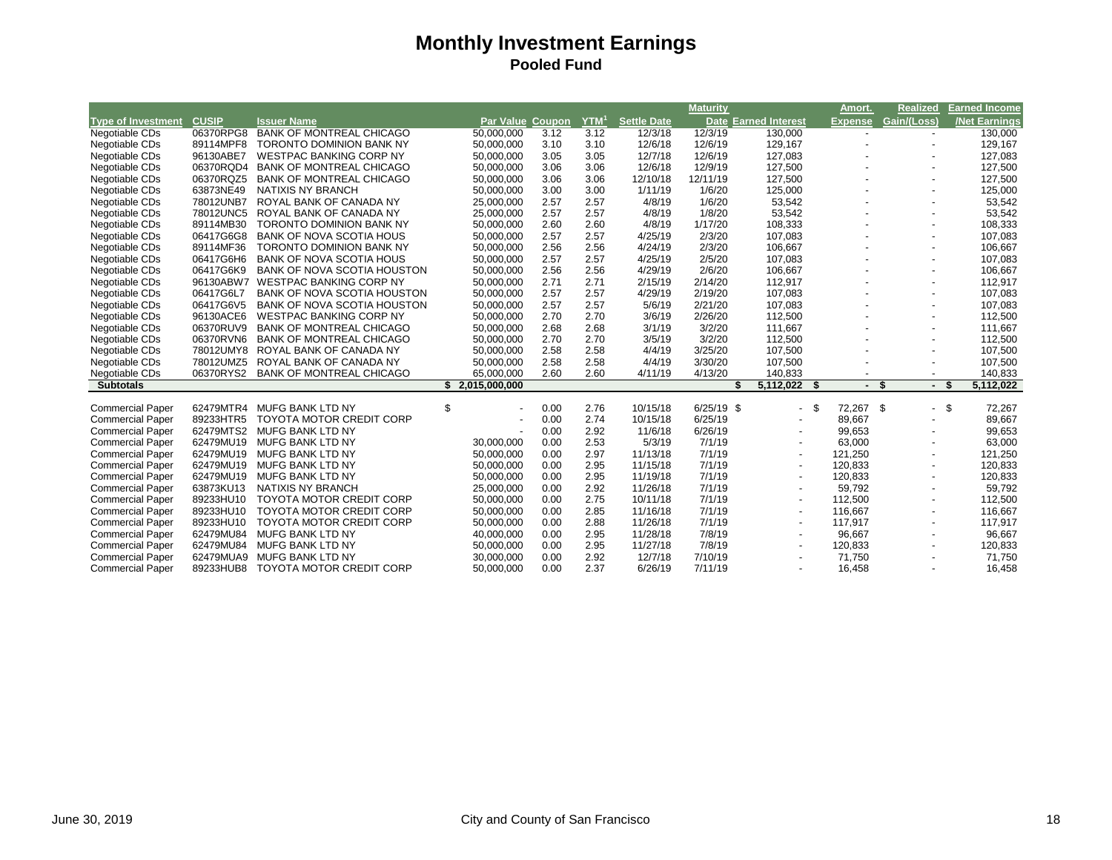|                           |              |                                    |                         |      |                  |                    | <b>Maturity</b> |                             | Amort.         | <b>Realized</b>          | <b>Earned Income</b> |
|---------------------------|--------------|------------------------------------|-------------------------|------|------------------|--------------------|-----------------|-----------------------------|----------------|--------------------------|----------------------|
| <b>Type of Investment</b> | <b>CUSIP</b> | <b>Issuer Name</b>                 | <b>Par Value Coupon</b> |      | YTM <sup>1</sup> | <b>Settle Date</b> |                 | <b>Date Earned Interest</b> | <b>Expense</b> | Gain/(Loss)              | <b>Net Earnings</b>  |
| Negotiable CDs            | 06370RPG8    | <b>BANK OF MONTREAL CHICAGO</b>    | 50,000,000              | 3.12 | 3.12             | 12/3/18            | 12/3/19         | 130,000                     |                |                          | 130,000              |
| Negotiable CDs            | 89114MPF8    | <b>TORONTO DOMINION BANK NY</b>    | 50,000,000              | 3.10 | 3.10             | 12/6/18            | 12/6/19         | 129,167                     |                |                          | 129,167              |
| Negotiable CDs            | 96130ABE7    | <b>WESTPAC BANKING CORP NY</b>     | 50,000,000              | 3.05 | 3.05             | 12/7/18            | 12/6/19         | 127,083                     |                |                          | 127,083              |
| Negotiable CDs            | 06370RQD4    | <b>BANK OF MONTREAL CHICAGO</b>    | 50,000,000              | 3.06 | 3.06             | 12/6/18            | 12/9/19         | 127,500                     |                | $\overline{\phantom{a}}$ | 127,500              |
| Negotiable CDs            | 06370RQZ5    | <b>BANK OF MONTREAL CHICAGO</b>    | 50,000,000              | 3.06 | 3.06             | 12/10/18           | 12/11/19        | 127,500                     |                |                          | 127,500              |
| Negotiable CDs            | 63873NE49    | NATIXIS NY BRANCH                  | 50,000,000              | 3.00 | 3.00             | 1/11/19            | 1/6/20          | 125,000                     |                |                          | 125,000              |
| Negotiable CDs            | 78012UNB7    | ROYAL BANK OF CANADA NY            | 25,000,000              | 2.57 | 2.57             | 4/8/19             | 1/6/20          | 53,542                      |                | $\overline{\phantom{a}}$ | 53,542               |
| Negotiable CDs            | 78012UNC5    | ROYAL BANK OF CANADA NY            | 25,000,000              | 2.57 | 2.57             | 4/8/19             | 1/8/20          | 53,542                      |                |                          | 53,542               |
| Negotiable CDs            | 89114MB30    | <b>TORONTO DOMINION BANK NY</b>    | 50.000.000              | 2.60 | 2.60             | 4/8/19             | 1/17/20         | 108.333                     |                | $\overline{\phantom{a}}$ | 108,333              |
| Negotiable CDs            | 06417G6G8    | <b>BANK OF NOVA SCOTIA HOUS</b>    | 50,000,000              | 2.57 | 2.57             | 4/25/19            | 2/3/20          | 107,083                     |                |                          | 107,083              |
| Negotiable CDs            | 89114MF36    | <b>TORONTO DOMINION BANK NY</b>    | 50,000,000              | 2.56 | 2.56             | 4/24/19            | 2/3/20          | 106.667                     |                | $\overline{\phantom{a}}$ | 106,667              |
| Negotiable CDs            | 06417G6H6    | <b>BANK OF NOVA SCOTIA HOUS</b>    | 50,000,000              | 2.57 | 2.57             | 4/25/19            | 2/5/20          | 107,083                     |                |                          | 107,083              |
| Negotiable CDs            | 06417G6K9    | <b>BANK OF NOVA SCOTIA HOUSTON</b> | 50,000,000              | 2.56 | 2.56             | 4/29/19            | 2/6/20          | 106,667                     |                |                          | 106,667              |
| Negotiable CDs            | 96130ABW7    | <b>WESTPAC BANKING CORP NY</b>     | 50,000,000              | 2.71 | 2.71             | 2/15/19            | 2/14/20         | 112,917                     |                |                          | 112,917              |
| Negotiable CDs            | 06417G6L7    | <b>BANK OF NOVA SCOTIA HOUSTON</b> | 50,000,000              | 2.57 | 2.57             | 4/29/19            | 2/19/20         | 107,083                     |                |                          | 107,083              |
| Negotiable CDs            | 06417G6V5    | <b>BANK OF NOVA SCOTIA HOUSTON</b> | 50,000,000              | 2.57 | 2.57             | 5/6/19             | 2/21/20         | 107,083                     |                |                          | 107,083              |
| Negotiable CDs            | 96130ACE6    | <b>WESTPAC BANKING CORP NY</b>     | 50,000,000              | 2.70 | 2.70             | 3/6/19             | 2/26/20         | 112,500                     |                | $\overline{\phantom{a}}$ | 112,500              |
| Negotiable CDs            | 06370RUV9    | <b>BANK OF MONTREAL CHICAGO</b>    | 50,000,000              | 2.68 | 2.68             | 3/1/19             | 3/2/20          | 111.667                     |                | $\overline{\phantom{a}}$ | 111,667              |
| Negotiable CDs            | 06370RVN6    | <b>BANK OF MONTREAL CHICAGO</b>    | 50,000,000              | 2.70 | 2.70             | 3/5/19             | 3/2/20          | 112,500                     |                |                          | 112,500              |
| Negotiable CDs            | 78012UMY8    | ROYAL BANK OF CANADA NY            | 50,000,000              | 2.58 | 2.58             | 4/4/19             | 3/25/20         | 107,500                     |                |                          | 107,500              |
| Negotiable CDs            | 78012UMZ5    | ROYAL BANK OF CANADA NY            | 50,000,000              | 2.58 | 2.58             | 4/4/19             | 3/30/20         | 107,500                     |                |                          | 107,500              |
| Negotiable CDs            | 06370RYS2    | <b>BANK OF MONTREAL CHICAGO</b>    | 65,000,000              | 2.60 | 2.60             | 4/11/19            | 4/13/20         | 140,833                     |                |                          | 140,833              |
| <b>Subtotals</b>          |              |                                    | \$2,015,000,000         |      |                  |                    | \$              | 5,112,022<br>- \$           | - \$<br>$\sim$ | - S                      | 5,112,022            |
| <b>Commercial Paper</b>   | 62479MTR4    | <b>MUFG BANK LTD NY</b>            | \$                      | 0.00 | 2.76             | 10/15/18           | $6/25/19$ \$    | - \$                        | 72,267 \$      | $\overline{\phantom{a}}$ | <b>S</b><br>72,267   |
| <b>Commercial Paper</b>   | 89233HTR5    | <b>TOYOTA MOTOR CREDIT CORP</b>    |                         | 0.00 | 2.74             | 10/15/18           | 6/25/19         |                             | 89,667         |                          | 89,667               |
| <b>Commercial Paper</b>   | 62479MTS2    | MUFG BANK LTD NY                   |                         | 0.00 | 2.92             | 11/6/18            | 6/26/19         |                             | 99,653         |                          | 99,653               |
| <b>Commercial Paper</b>   | 62479MU19    | MUFG BANK LTD NY                   | 30,000,000              | 0.00 | 2.53             | 5/3/19             | 7/1/19          | $\overline{\phantom{a}}$    | 63,000         |                          | 63,000               |
| <b>Commercial Paper</b>   | 62479MU19    | <b>MUFG BANK LTD NY</b>            | 50,000,000              | 0.00 | 2.97             | 11/13/18           | 7/1/19          | $\overline{\phantom{a}}$    | 121,250        |                          | 121,250              |
| <b>Commercial Paper</b>   | 62479MU19    | MUFG BANK LTD NY                   | 50,000,000              | 0.00 | 2.95             | 11/15/18           | 7/1/19          |                             | 120,833        |                          | 120,833              |
| <b>Commercial Paper</b>   | 62479MU19    | <b>MUFG BANK LTD NY</b>            | 50,000,000              | 0.00 | 2.95             | 11/19/18           | 7/1/19          |                             | 120,833        |                          | 120,833              |
| <b>Commercial Paper</b>   | 63873KU13    | NATIXIS NY BRANCH                  | 25,000,000              | 0.00 | 2.92             | 11/26/18           | 7/1/19          | $\blacksquare$              | 59,792         |                          | 59,792               |
| <b>Commercial Paper</b>   | 89233HU10    | <b>TOYOTA MOTOR CREDIT CORP</b>    | 50,000,000              | 0.00 | 2.75             | 10/11/18           | 7/1/19          | $\overline{\phantom{a}}$    | 112,500        |                          | 112,500              |
| <b>Commercial Paper</b>   | 89233HU10    | <b>TOYOTA MOTOR CREDIT CORP</b>    | 50,000,000              | 0.00 | 2.85             | 11/16/18           | 7/1/19          |                             | 116,667        |                          | 116,667              |
| <b>Commercial Paper</b>   | 89233HU10    | <b>TOYOTA MOTOR CREDIT CORP</b>    | 50,000,000              | 0.00 | 2.88             | 11/26/18           | 7/1/19          | $\overline{\phantom{a}}$    | 117,917        | $\overline{\phantom{a}}$ | 117,917              |
| <b>Commercial Paper</b>   | 62479MU84    | <b>MUFG BANK LTD NY</b>            | 40,000,000              | 0.00 | 2.95             | 11/28/18           | 7/8/19          |                             | 96,667         |                          | 96,667               |
| <b>Commercial Paper</b>   | 62479MU84    | MUFG BANK LTD NY                   | 50,000,000              | 0.00 | 2.95             | 11/27/18           | 7/8/19          |                             | 120,833        |                          | 120,833              |
| <b>Commercial Paper</b>   | 62479MUA9    | MUFG BANK LTD NY                   | 30,000,000              | 0.00 | 2.92             | 12/7/18            | 7/10/19         |                             | 71,750         |                          | 71,750               |
| <b>Commercial Paper</b>   | 89233HUB8    | <b>TOYOTA MOTOR CREDIT CORP</b>    | 50,000,000              | 0.00 | 2.37             | 6/26/19            | 7/11/19         |                             | 16,458         |                          | 16,458               |
|                           |              |                                    |                         |      |                  |                    |                 |                             |                |                          |                      |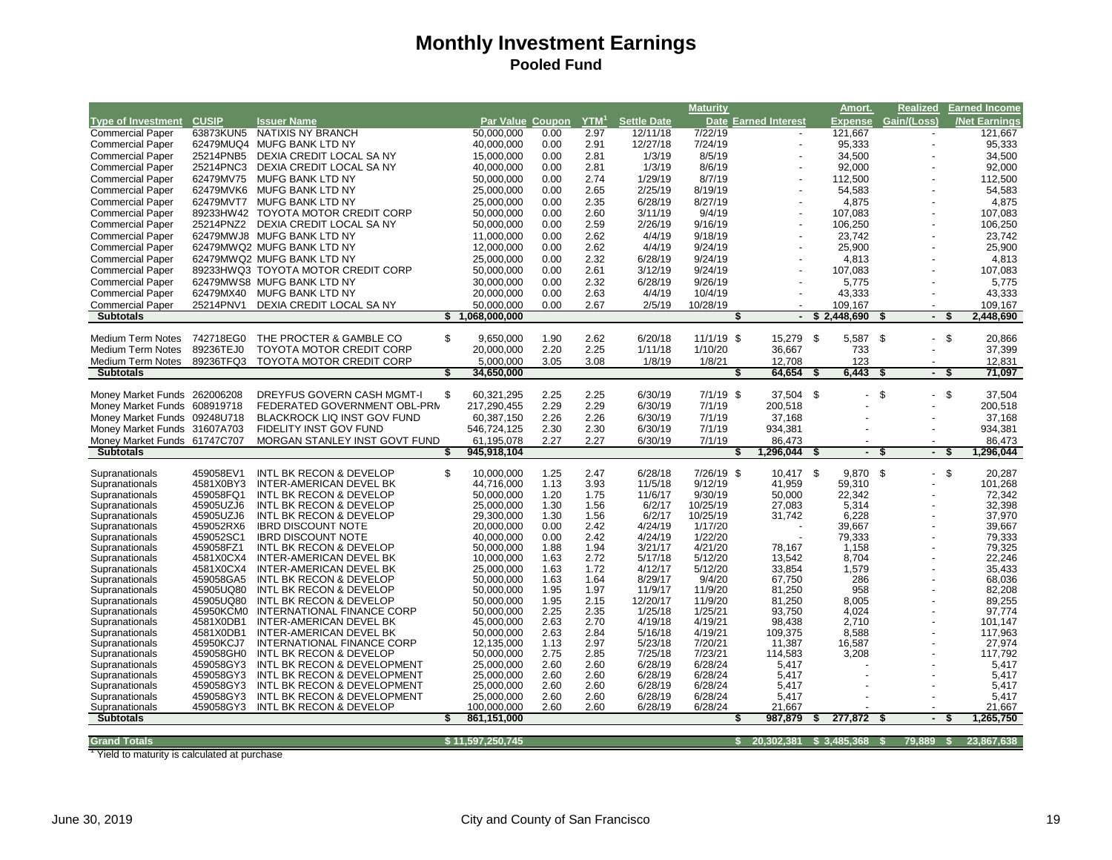|                                  |                        |                                                        |     |                           |              |                  |                    | <b>Maturity</b>    |                                |    | Amort.      | Realized                             |      | <b>Earned Income</b> |
|----------------------------------|------------------------|--------------------------------------------------------|-----|---------------------------|--------------|------------------|--------------------|--------------------|--------------------------------|----|-------------|--------------------------------------|------|----------------------|
| <b>Type of Investment</b>        | <b>CUSIP</b>           | <b>Issuer Name</b>                                     |     | Par Value Coupon          |              | YTM <sup>1</sup> | <b>Settle Date</b> |                    | <b>Date Earned Interest</b>    |    | Expense     | Gain/(Loss)                          |      | <b>Net Earnings</b>  |
| <b>Commercial Paper</b>          | 63873KUN5              | NATIXIS NY BRANCH                                      |     | 50.000.000                | 0.00         | 2.97             | 12/11/18           | 7/22/19            |                                |    | 121,667     |                                      |      | 121,667              |
| <b>Commercial Paper</b>          |                        | 62479MUQ4 MUFG BANK LTD NY                             |     | 40,000,000                | 0.00         | 2.91             | 12/27/18           | 7/24/19            |                                |    | 95,333      |                                      |      | 95,333               |
| <b>Commercial Paper</b>          | 25214PNB5              | DEXIA CREDIT LOCAL SA NY                               |     | 15,000,000                | 0.00         | 2.81             | 1/3/19             | 8/5/19             |                                |    | 34,500      |                                      |      | 34,500               |
| <b>Commercial Paper</b>          | 25214PNC3              | DEXIA CREDIT LOCAL SA NY                               |     | 40,000,000                | 0.00         | 2.81             | 1/3/19             | 8/6/19             |                                |    | 92,000      |                                      |      | 92,000               |
| <b>Commercial Paper</b>          | 62479MV75              | MUFG BANK LTD NY                                       |     | 50,000,000                | 0.00         | 2.74             | 1/29/19            | 8/7/19             |                                |    | 112,500     |                                      |      | 112,500              |
| <b>Commercial Paper</b>          |                        | 62479MVK6 MUFG BANK LTD NY                             |     | 25,000,000                | 0.00         | 2.65             | 2/25/19            | 8/19/19            |                                |    | 54,583      |                                      |      | 54,583               |
|                                  |                        | MUFG BANK LTD NY                                       |     |                           | 0.00         |                  |                    |                    |                                |    |             |                                      |      | 4,875                |
| <b>Commercial Paper</b>          | 62479MVT7              |                                                        |     | 25,000,000                |              | 2.35             | 6/28/19            | 8/27/19            |                                |    | 4,875       |                                      |      |                      |
| <b>Commercial Paper</b>          | 89233HW42              | <b>TOYOTA MOTOR CREDIT CORP</b>                        |     | 50,000,000                | 0.00         | 2.60             | 3/11/19            | 9/4/19             |                                |    | 107,083     |                                      |      | 107,083              |
| <b>Commercial Paper</b>          | 25214PNZ2              | DEXIA CREDIT LOCAL SA NY                               |     | 50,000,000                | 0.00         | 2.59             | 2/26/19            | 9/16/19            | $\overline{\phantom{a}}$       |    | 106,250     |                                      |      | 106,250              |
| <b>Commercial Paper</b>          |                        | 62479MWJ8 MUFG BANK LTD NY                             |     | 11,000,000                | 0.00         | 2.62             | 4/4/19             | 9/18/19            |                                |    | 23,742      |                                      |      | 23,742               |
| <b>Commercial Paper</b>          |                        | 62479MWQ2 MUFG BANK LTD NY                             |     | 12,000,000                | 0.00         | 2.62             | 4/4/19             | 9/24/19            |                                |    | 25,900      |                                      |      | 25,900               |
| <b>Commercial Paper</b>          |                        | 62479MWQ2 MUFG BANK LTD NY                             |     | 25,000,000                | 0.00         | 2.32             | 6/28/19            | 9/24/19            |                                |    | 4,813       |                                      |      | 4,813                |
| <b>Commercial Paper</b>          |                        | 89233HWQ3 TOYOTA MOTOR CREDIT CORP                     |     | 50,000,000                | 0.00         | 2.61             | 3/12/19            | 9/24/19            |                                |    | 107,083     |                                      |      | 107,083              |
| <b>Commercial Paper</b>          |                        | 62479MWS8 MUFG BANK LTD NY                             |     | 30,000,000                | 0.00         | 2.32             | 6/28/19            | 9/26/19            |                                |    | 5,775       |                                      |      | 5,775                |
| <b>Commercial Paper</b>          | 62479MX40              | MUFG BANK LTD NY                                       |     | 20,000,000                | 0.00         | 2.63             | 4/4/19             | 10/4/19            |                                |    | 43,333      |                                      |      | 43,333               |
| <b>Commercial Paper</b>          | 25214PNV1              | DEXIA CREDIT LOCAL SA NY                               |     | 50,000,000                | 0.00         | 2.67             | 2/5/19             | 10/28/19           |                                |    | 109.167     |                                      |      | 109,167              |
| <b>Subtotals</b>                 |                        |                                                        |     | \$1,068,000,000           |              |                  |                    |                    |                                |    | \$2,448,690 | -S                                   |      | 2,448,690            |
|                                  |                        |                                                        |     |                           |              |                  |                    |                    |                                |    |             |                                      |      |                      |
| Medium Term Notes                | 742718EG0              | THE PROCTER & GAMBLE CO                                | \$  | 9,650,000                 | 1.90         | 2.62             | 6/20/18            | $11/1/19$ \$       | 15,279 \$                      |    | 5,587 \$    | $-$ \$                               |      | 20,866               |
| <b>Medium Term Notes</b>         | 89236TEJ0              | <b>TOYOTA MOTOR CREDIT CORP</b>                        |     | 20,000,000                | 2.20         | 2.25             | 1/11/18            | 1/10/20            | 36,667                         |    | 733         |                                      |      | 37,399               |
| Medium Term Notes                | 89236TFQ3              | <b>TOYOTA MOTOR CREDIT CORP</b>                        |     | 5,000,000                 | 3.05         | 3.08             | 1/8/19             | 1/8/21             | 12,708                         |    | 123         |                                      |      | 12,831               |
| <b>Subtotals</b>                 |                        |                                                        | S   | 34,650,000                |              |                  |                    |                    | 64,654<br>S                    | -S | 6,443       | - \$                                 |      | 71,097               |
|                                  |                        |                                                        |     |                           |              |                  |                    |                    |                                |    |             |                                      |      |                      |
| Money Market Funds 262006208     |                        | DREYFUS GOVERN CASH MGMT-I                             | \$  | 60,321,295                | 2.25         | 2.25             | 6/30/19            | $7/1/19$ \$        | 37,504 \$                      |    |             | \$<br>$\blacksquare$                 | - \$ | 37,504               |
| Money Market Funds 608919718     |                        | FEDERATED GOVERNMENT OBL-PRN                           |     | 217,290,455               | 2.29         | 2.29             | 6/30/19            | 7/1/19             | 200,518                        |    |             |                                      |      | 200,518              |
| Money Market Funds 09248U718     |                        | <b>BLACKROCK LIQ INST GOV FUND</b>                     |     | 60,387,150                | 2.26         | 2.26             | 6/30/19            | 7/1/19             | 37,168                         |    |             |                                      |      | 37,168               |
| Money Market Funds 31607A703     |                        | FIDELITY INST GOV FUND                                 |     | 546,724,125               | 2.30         | 2.30             | 6/30/19            | 7/1/19             | 934,381                        |    |             |                                      |      | 934,381              |
| Money Market Funds 61747C707     |                        | MORGAN STANLEY INST GOVT FUND                          |     | 61,195,078                | 2.27         | 2.27             | 6/30/19            | 7/1/19             | 86,473                         |    |             |                                      |      | 86,473               |
| <b>Subtotals</b>                 |                        |                                                        | S   | 945,918,104               |              |                  |                    |                    | 1,296,044<br>\$                | \$ | ٠.          | \$<br>$\blacksquare$                 | Ŝ.   | 1,296,044            |
|                                  |                        |                                                        |     |                           |              |                  |                    |                    |                                |    |             |                                      |      |                      |
| Supranationals                   | 459058EV1              | INTL BK RECON & DEVELOP                                | \$. | 10,000,000                | 1.25         | 2.47             | 6/28/18            | $7/26/19$ \$       | 10,417 \$                      |    | 9,870       | <b>S</b><br>$\overline{\phantom{a}}$ | - \$ | 20,287               |
| Supranationals                   | 4581X0BY3              | INTER-AMERICAN DEVEL BK                                |     | 44,716,000                | 1.13         | 3.93             | 11/5/18            | 9/12/19            | 41,959                         |    | 59,310      |                                      |      | 101,268              |
| Supranationals                   | 459058FQ1              | INTL BK RECON & DEVELOP                                |     | 50,000,000                | 1.20         | 1.75             | 11/6/17            | 9/30/19            | 50,000                         |    | 22,342      |                                      |      | 72,342               |
| Supranationals                   | 45905UZJ6              | INTL BK RECON & DEVELOP                                |     | 25,000,000                | 1.30         | 1.56             | 6/2/17             | 10/25/19           | 27,083                         |    | 5,314       |                                      |      | 32,398               |
| Supranationals                   | 45905UZJ6              | INTL BK RECON & DEVELOP                                |     | 29,300,000                | 1.30         | 1.56             | 6/2/17             | 10/25/19           | 31,742                         |    | 6,228       |                                      |      | 37,970               |
| Supranationals                   | 459052RX6              | <b>IBRD DISCOUNT NOTE</b>                              |     | 20,000,000                | 0.00         | 2.42             | 4/24/19            | 1/17/20            |                                |    | 39,667      |                                      |      | 39,667               |
| Supranationals                   | 459052SC1              | <b>IBRD DISCOUNT NOTE</b>                              |     | 40,000,000                | 0.00         | 2.42             | 4/24/19            | 1/22/20            |                                |    | 79,333      |                                      |      | 79,333               |
| Supranationals                   | 459058FZ1              | INTL BK RECON & DEVELOP                                |     | 50,000,000                | 1.88         | 1.94             | 3/21/17            | 4/21/20            | 78,167                         |    | 1.158       |                                      |      | 79,325               |
| Supranationals                   | 4581X0CX4              | INTER-AMERICAN DEVEL BK                                |     | 10,000,000                | 1.63         | 2.72             | 5/17/18            | 5/12/20            | 13,542                         |    | 8,704       |                                      |      | 22,246               |
| Supranationals                   | 4581X0CX4              |                                                        |     |                           |              |                  |                    |                    |                                |    | 1,579       |                                      |      | 35,433               |
| Supranationals                   |                        |                                                        |     |                           |              |                  |                    |                    |                                |    |             |                                      |      |                      |
|                                  |                        | <b>INTER-AMERICAN DEVEL BK</b>                         |     | 25,000,000                | 1.63         | 1.72             | 4/12/17            | 5/12/20            | 33,854                         |    |             |                                      |      |                      |
|                                  | 459058GA5              | INTL BK RECON & DEVELOP                                |     | 50,000,000                | 1.63         | 1.64             | 8/29/17            | 9/4/20             | 67,750                         |    | 286         |                                      |      | 68,036               |
| Supranationals                   | 45905UQ80              | INTL BK RECON & DEVELOP                                |     | 50,000,000                | 1.95         | 1.97             | 11/9/17            | 11/9/20            | 81,250                         |    | 958         |                                      |      | 82,208               |
| Supranationals                   | 45905UQ80              | INTL BK RECON & DEVELOP                                |     | 50,000,000                | 1.95         | 2.15             | 12/20/17           | 11/9/20            | 81,250                         |    | 8,005       |                                      |      | 89,255               |
| Supranationals                   | 45950KCM0              | INTERNATIONAL FINANCE CORP                             |     | 50,000,000                | 2.25         | 2.35             | 1/25/18            | 1/25/21            | 93,750                         |    | 4,024       |                                      |      | 97,774               |
| Supranationals                   | 4581X0DB1              | INTER-AMERICAN DEVEL BK                                |     | 45,000,000                | 2.63         | 2.70             | 4/19/18            | 4/19/21            | 98,438                         |    | 2,710       |                                      |      | 101,147              |
| Supranationals                   | 4581X0DB1              | <b>INTER-AMERICAN DEVEL BK</b>                         |     | 50,000,000                | 2.63         | 2.84             | 5/16/18            | 4/19/21            | 109,375                        |    | 8,588       |                                      |      | 117,963              |
| Supranationals                   | 45950KCJ7              | INTERNATIONAL FINANCE CORP                             |     | 12,135,000                | 1.13         | 2.97             | 5/23/18            | 7/20/21            | 11,387                         |    | 16,587      |                                      |      | 27,974               |
| Supranationals                   | 459058GH0              | INTL BK RECON & DEVELOP                                |     | 50,000,000                | 2.75<br>2.60 | 2.85<br>2.60     | 7/25/18            | 7/23/21<br>6/28/24 | 114,583                        |    | 3,208       |                                      |      | 117,792              |
| Supranationals                   | 459058GY3              | INTL BK RECON & DEVELOPMENT                            |     | 25,000,000                |              |                  | 6/28/19            |                    | 5,417                          |    |             |                                      |      | 5,417                |
| Supranationals                   | 459058GY3              | INTL BK RECON & DEVELOPMENT                            |     | 25,000,000                | 2.60         | 2.60             | 6/28/19            | 6/28/24            | 5,417                          |    |             |                                      |      | 5,417                |
| Supranationals                   | 459058GY3              | INTL BK RECON & DEVELOPMENT                            |     | 25,000,000                | 2.60         | 2.60             | 6/28/19            | 6/28/24            | 5,417                          |    |             |                                      |      | 5,417                |
| Supranationals<br>Supranationals | 459058GY3<br>459058GY3 | INTL BK RECON & DEVELOPMENT<br>INTL BK RECON & DEVELOP |     | 25,000,000<br>100,000,000 | 2.60<br>2.60 | 2.60<br>2.60     | 6/28/19<br>6/28/19 | 6/28/24<br>6/28/24 | 5,417<br>21,667                |    |             |                                      |      | 5,417<br>21,667      |
| <b>Subtotals</b>                 |                        |                                                        | \$  | 861,151,000               |              |                  |                    |                    | 987,879<br>S                   | S  | 277,872     | S                                    |      | 1,265,750            |
|                                  |                        |                                                        |     |                           |              |                  |                    |                    |                                |    |             |                                      |      |                      |
| <b>Grand Totals</b>              |                        |                                                        |     | \$11,597,250,745          |              |                  |                    |                    | $$20,302,381$ $$3,485,368$ $$$ |    |             | 79,889 \$                            |      | 23.867.638           |

<sup>1</sup> Yield to maturity is calculated at purchase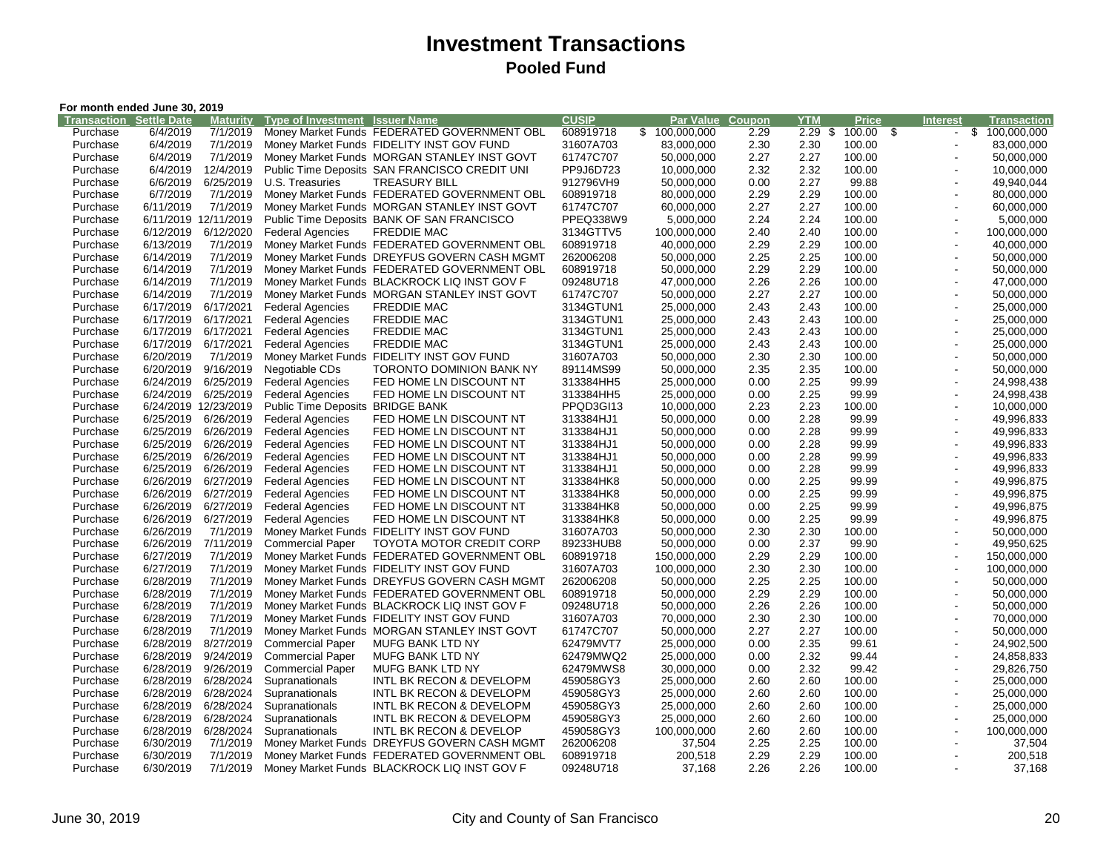|                                | For month ended June 30, 2019 |                       |                                       |                                               |              |               |        |            |              |                          |                    |
|--------------------------------|-------------------------------|-----------------------|---------------------------------------|-----------------------------------------------|--------------|---------------|--------|------------|--------------|--------------------------|--------------------|
| <b>Transaction Settle Date</b> |                               | <b>Maturity</b>       | <b>Type of Investment Issuer Name</b> |                                               | <b>CUSIP</b> | Par Value     | Coupon | <b>YTM</b> | <b>Price</b> | <b>Interest</b>          | <b>Transaction</b> |
| Purchase                       | 6/4/2019                      | 7/1/2019              |                                       | Money Market Funds FEDERATED GOVERNMENT OBL   | 608919718    | \$100,000,000 | 2.29   | $2.29$ \$  | 100.00 \$    |                          | \$100,000,000      |
| Purchase                       | 6/4/2019                      | 7/1/2019              |                                       | Money Market Funds FIDELITY INST GOV FUND     | 31607A703    | 83,000,000    | 2.30   | 2.30       | 100.00       | $\blacksquare$           | 83,000,000         |
| Purchase                       | 6/4/2019                      | 7/1/2019              |                                       | Money Market Funds MORGAN STANLEY INST GOVT   | 61747C707    | 50,000,000    | 2.27   | 2.27       | 100.00       | $\blacksquare$           | 50,000,000         |
| Purchase                       | 6/4/2019                      | 12/4/2019             |                                       | Public Time Deposits SAN FRANCISCO CREDIT UNI | PP9J6D723    | 10,000,000    | 2.32   | 2.32       | 100.00       | $\blacksquare$           | 10,000,000         |
| Purchase                       | 6/6/2019                      | 6/25/2019             | U.S. Treasuries                       | <b>TREASURY BILL</b>                          | 912796VH9    | 50,000,000    | 0.00   | 2.27       | 99.88        | $\overline{\phantom{a}}$ | 49,940,044         |
| Purchase                       | 6/7/2019                      | 7/1/2019              |                                       | Money Market Funds FEDERATED GOVERNMENT OBL   | 608919718    | 80,000,000    | 2.29   | 2.29       | 100.00       |                          | 80,000,000         |
| Purchase                       | 6/11/2019                     | 7/1/2019              |                                       | Money Market Funds MORGAN STANLEY INST GOVT   | 61747C707    | 60.000.000    | 2.27   | 2.27       | 100.00       | $\overline{\phantom{a}}$ | 60,000,000         |
| Purchase                       |                               | 6/11/2019 12/11/2019  |                                       | Public Time Deposits BANK OF SAN FRANCISCO    | PPEQ338W9    | 5,000,000     | 2.24   | 2.24       | 100.00       | $\overline{a}$           | 5,000,000          |
| Purchase                       | 6/12/2019                     | 6/12/2020             | <b>Federal Agencies</b>               | <b>FREDDIE MAC</b>                            | 3134GTTV5    | 100,000,000   | 2.40   | 2.40       | 100.00       | $\overline{a}$           | 100,000,000        |
| Purchase                       | 6/13/2019                     | 7/1/2019              |                                       | Money Market Funds FEDERATED GOVERNMENT OBL   | 608919718    | 40,000,000    | 2.29   | 2.29       | 100.00       | $\blacksquare$           | 40,000,000         |
| Purchase                       | 6/14/2019                     | 7/1/2019              |                                       | Money Market Funds DREYFUS GOVERN CASH MGMT   | 262006208    | 50.000.000    | 2.25   | 2.25       | 100.00       | $\overline{\phantom{a}}$ | 50,000,000         |
| Purchase                       | 6/14/2019                     | 7/1/2019              |                                       | Money Market Funds FEDERATED GOVERNMENT OBL   | 608919718    | 50,000,000    | 2.29   | 2.29       | 100.00       |                          | 50,000,000         |
| Purchase                       | 6/14/2019                     | 7/1/2019              |                                       | Money Market Funds BLACKROCK LIQ INST GOV F   | 09248U718    | 47,000,000    | 2.26   | 2.26       | 100.00       | $\overline{\phantom{a}}$ | 47,000,000         |
| Purchase                       | 6/14/2019                     | 7/1/2019              |                                       | Money Market Funds MORGAN STANLEY INST GOVT   | 61747C707    | 50,000,000    | 2.27   | 2.27       | 100.00       | $\blacksquare$           | 50,000,000         |
| Purchase                       | 6/17/2019                     | 6/17/2021             | <b>Federal Agencies</b>               | <b>FREDDIE MAC</b>                            | 3134GTUN1    | 25,000,000    | 2.43   | 2.43       | 100.00       | $\blacksquare$           | 25,000,000         |
| Purchase                       | 6/17/2019                     | 6/17/2021             | <b>Federal Agencies</b>               | <b>FREDDIE MAC</b>                            | 3134GTUN1    | 25,000,000    | 2.43   | 2.43       | 100.00       | $\blacksquare$           | 25,000,000         |
| Purchase                       | 6/17/2019                     | 6/17/2021             | <b>Federal Agencies</b>               | <b>FREDDIE MAC</b>                            | 3134GTUN1    | 25,000,000    | 2.43   | 2.43       | 100.00       | $\blacksquare$           | 25,000,000         |
| Purchase                       | 6/17/2019                     | 6/17/2021             | <b>Federal Agencies</b>               | <b>FREDDIE MAC</b>                            | 3134GTUN1    | 25,000,000    | 2.43   | 2.43       | 100.00       | $\blacksquare$           | 25,000,000         |
| Purchase                       | 6/20/2019                     | 7/1/2019              |                                       | Money Market Funds FIDELITY INST GOV FUND     | 31607A703    | 50,000,000    | 2.30   | 2.30       | 100.00       | $\overline{a}$           | 50,000,000         |
| Purchase                       | 6/20/2019                     | 9/16/2019             | Negotiable CDs                        | TORONTO DOMINION BANK NY                      | 89114MS99    | 50,000,000    | 2.35   | 2.35       | 100.00       | $\blacksquare$           | 50,000,000         |
| Purchase                       | 6/24/2019                     | 6/25/2019             | <b>Federal Agencies</b>               | FED HOME LN DISCOUNT NT                       | 313384HH5    | 25,000,000    | 0.00   | 2.25       | 99.99        | $\overline{a}$           | 24,998,438         |
| Purchase                       | 6/24/2019                     | 6/25/2019             | <b>Federal Agencies</b>               | FED HOME LN DISCOUNT NT                       | 313384HH5    | 25,000,000    | 0.00   | 2.25       | 99.99        | $\blacksquare$           | 24,998,438         |
| Purchase                       |                               | 6/24/2019 12/23/2019  | <b>Public Time Deposits</b>           | <b>BRIDGE BANK</b>                            | PPQD3GI13    | 10,000,000    | 2.23   | 2.23       | 100.00       | $\blacksquare$           | 10,000,000         |
| Purchase                       | 6/25/2019                     | 6/26/2019             | <b>Federal Agencies</b>               | FED HOME LN DISCOUNT NT                       | 313384HJ1    | 50,000,000    | 0.00   | 2.28       | 99.99        | $\blacksquare$           | 49,996,833         |
| Purchase                       | 6/25/2019                     | 6/26/2019             | <b>Federal Agencies</b>               | FED HOME LN DISCOUNT NT                       | 313384HJ1    | 50,000,000    | 0.00   | 2.28       | 99.99        | $\overline{a}$           | 49,996,833         |
| Purchase                       | 6/25/2019                     | 6/26/2019             | <b>Federal Agencies</b>               | FED HOME LN DISCOUNT NT                       | 313384HJ1    | 50,000,000    | 0.00   | 2.28       | 99.99        | $\overline{\phantom{a}}$ | 49,996,833         |
| Purchase                       | 6/25/2019                     | 6/26/2019             | <b>Federal Agencies</b>               | FED HOME LN DISCOUNT NT                       | 313384HJ1    | 50,000,000    | 0.00   | 2.28       | 99.99        | $\blacksquare$           | 49,996,833         |
| Purchase                       | 6/25/2019                     | 6/26/2019             | <b>Federal Agencies</b>               | FED HOME LN DISCOUNT NT                       | 313384HJ1    | 50,000,000    | 0.00   | 2.28       | 99.99        | $\overline{a}$           | 49,996,833         |
| Purchase                       | 6/26/2019                     | 6/27/2019             | <b>Federal Agencies</b>               | FED HOME LN DISCOUNT NT                       | 313384HK8    | 50,000,000    | 0.00   | 2.25       | 99.99        | $\overline{a}$           | 49,996,875         |
| Purchase                       | 6/26/2019                     | 6/27/2019             | <b>Federal Agencies</b>               | FED HOME LN DISCOUNT NT                       | 313384HK8    | 50.000.000    | 0.00   | 2.25       | 99.99        | $\overline{a}$           | 49,996,875         |
| Purchase                       | 6/26/2019                     | 6/27/2019             | <b>Federal Agencies</b>               | FED HOME LN DISCOUNT NT                       | 313384HK8    | 50,000,000    | 0.00   | 2.25       | 99.99        | $\overline{a}$           | 49,996,875         |
| Purchase                       | 6/26/2019                     | 6/27/2019             | <b>Federal Agencies</b>               | FED HOME LN DISCOUNT NT                       | 313384HK8    | 50,000,000    | 0.00   | 2.25       | 99.99        | $\overline{\phantom{a}}$ | 49,996,875         |
| Purchase                       | 6/26/2019                     | 7/1/2019              |                                       | Money Market Funds FIDELITY INST GOV FUND     | 31607A703    | 50,000,000    | 2.30   | 2.30       | 100.00       | $\overline{a}$           | 50,000,000         |
| Purchase                       | 6/26/2019                     | 7/11/2019             | <b>Commercial Paper</b>               | <b>TOYOTA MOTOR CREDIT CORP</b>               | 89233HUB8    | 50,000,000    | 0.00   | 2.37       | 99.90        | $\blacksquare$           | 49,950,625         |
| Purchase                       | 6/27/2019                     | 7/1/2019              |                                       | Money Market Funds FEDERATED GOVERNMENT OBL   | 608919718    | 150,000,000   | 2.29   | 2.29       | 100.00       | $\overline{a}$           | 150,000,000        |
| Purchase                       | 6/27/2019                     | 7/1/2019              |                                       | Money Market Funds FIDELITY INST GOV FUND     | 31607A703    | 100,000,000   | 2.30   | 2.30       | 100.00       | $\blacksquare$           | 100,000,000        |
| Purchase                       | 6/28/2019                     | 7/1/2019              |                                       | Money Market Funds DREYFUS GOVERN CASH MGMT   | 262006208    | 50,000,000    | 2.25   | 2.25       | 100.00       | $\blacksquare$           | 50,000,000         |
| Purchase                       | 6/28/2019                     | 7/1/2019              |                                       | Money Market Funds FEDERATED GOVERNMENT OBL   | 608919718    | 50,000,000    | 2.29   | 2.29       | 100.00       | $\blacksquare$           | 50,000,000         |
|                                | 6/28/2019                     | 7/1/2019              |                                       |                                               | 09248U718    |               | 2.26   | 2.26       | 100.00       | $\blacksquare$           | 50,000,000         |
| Purchase<br>Purchase           | 6/28/2019                     | 7/1/2019              |                                       | Money Market Funds BLACKROCK LIQ INST GOV F   |              | 50,000,000    | 2.30   | 2.30       | 100.00       | $\overline{\phantom{a}}$ |                    |
|                                |                               |                       |                                       | Money Market Funds FIDELITY INST GOV FUND     | 31607A703    | 70,000,000    |        |            |              | $\blacksquare$           | 70,000,000         |
| Purchase                       | 6/28/2019                     | 7/1/2019<br>8/27/2019 |                                       | Money Market Funds MORGAN STANLEY INST GOVT   | 61747C707    | 50,000,000    | 2.27   | 2.27       | 100.00       |                          | 50,000,000         |
| Purchase                       | 6/28/2019                     |                       | <b>Commercial Paper</b>               | <b>MUFG BANK LTD NY</b>                       | 62479MVT7    | 25,000,000    | 0.00   | 2.35       | 99.61        | $\blacksquare$           | 24,902,500         |
| Purchase                       | 6/28/2019                     | 9/24/2019             | <b>Commercial Paper</b>               | MUFG BANK LTD NY                              | 62479MWQ2    | 25,000,000    | 0.00   | 2.32       | 99.44        | $\blacksquare$           | 24,858,833         |
| Purchase                       | 6/28/2019                     | 9/26/2019             | <b>Commercial Paper</b>               | MUFG BANK LTD NY                              | 62479MWS8    | 30,000,000    | 0.00   | 2.32       | 99.42        | $\blacksquare$           | 29,826,750         |
| Purchase                       | 6/28/2019                     | 6/28/2024             | Supranationals                        | INTL BK RECON & DEVELOPM                      | 459058GY3    | 25,000,000    | 2.60   | 2.60       | 100.00       | $\overline{a}$           | 25,000,000         |
| Purchase                       | 6/28/2019                     | 6/28/2024             | Supranationals                        | INTL BK RECON & DEVELOPM                      | 459058GY3    | 25,000,000    | 2.60   | 2.60       | 100.00       | $\blacksquare$           | 25,000,000         |
| Purchase                       | 6/28/2019                     | 6/28/2024             | Supranationals                        | INTL BK RECON & DEVELOPM                      | 459058GY3    | 25,000,000    | 2.60   | 2.60       | 100.00       | $\blacksquare$           | 25,000,000         |
| Purchase                       | 6/28/2019                     | 6/28/2024             | Supranationals                        | INTL BK RECON & DEVELOPM                      | 459058GY3    | 25,000,000    | 2.60   | 2.60       | 100.00       | $\overline{\phantom{a}}$ | 25,000,000         |
| Purchase                       | 6/28/2019                     | 6/28/2024             | Supranationals                        | INTL BK RECON & DEVELOP                       | 459058GY3    | 100,000,000   | 2.60   | 2.60       | 100.00       | $\overline{a}$           | 100,000,000        |
| Purchase                       | 6/30/2019                     | 7/1/2019              |                                       | Money Market Funds DREYFUS GOVERN CASH MGMT   | 262006208    | 37,504        | 2.25   | 2.25       | 100.00       |                          | 37,504             |
| Purchase                       | 6/30/2019                     | 7/1/2019              |                                       | Money Market Funds FEDERATED GOVERNMENT OBL   | 608919718    | 200,518       | 2.29   | 2.29       | 100.00       | $\blacksquare$           | 200,518            |
| Purchase                       | 6/30/2019                     | 7/1/2019              |                                       | Money Market Funds BLACKROCK LIQ INST GOV F   | 09248U718    | 37,168        | 2.26   | 2.26       | 100.00       |                          | 37,168             |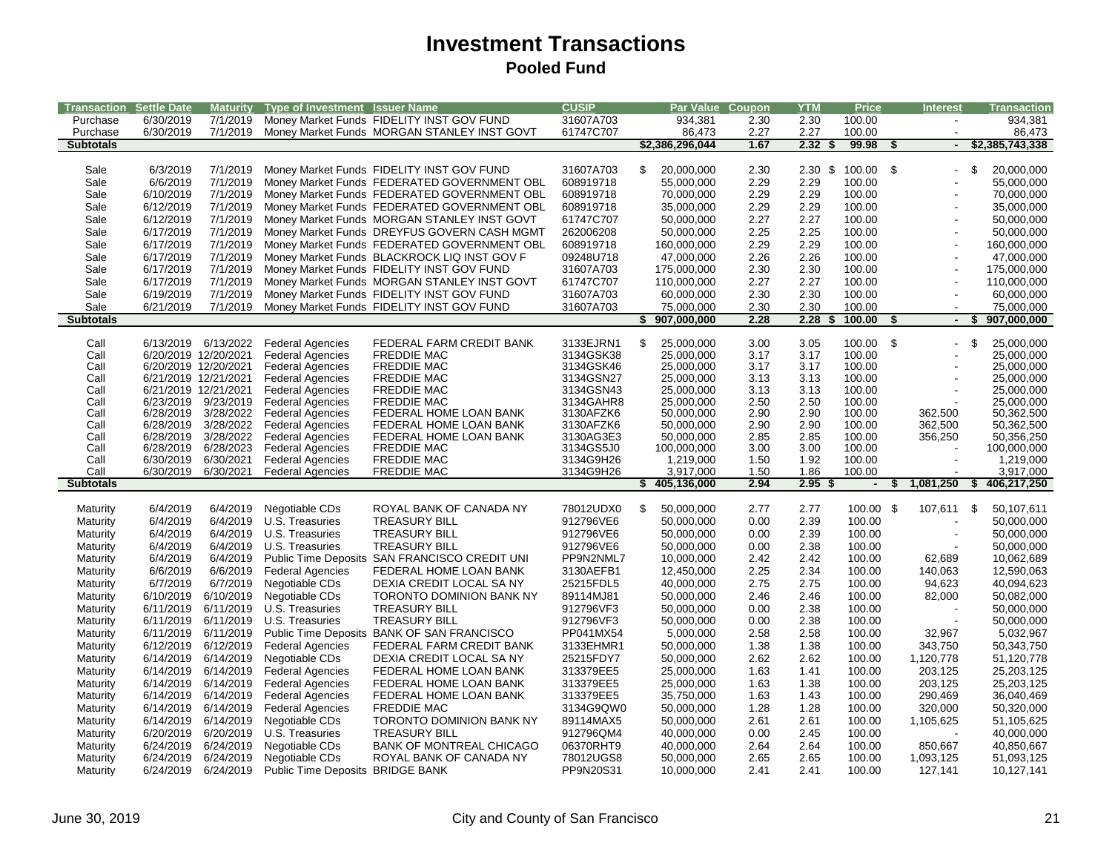| Transaction                 | <b>Settle Date</b>     |                        | Maturity Type of Investment Issuer Name                |                                                                                            | <b>CUSIP</b>           | Par Value Coupon         |              | <b>YTM</b>         | <b>Price</b>             | <b>Interest</b>      |     | <b>Transaction</b>       |
|-----------------------------|------------------------|------------------------|--------------------------------------------------------|--------------------------------------------------------------------------------------------|------------------------|--------------------------|--------------|--------------------|--------------------------|----------------------|-----|--------------------------|
| Purchase                    | 6/30/2019              |                        |                                                        | 7/1/2019 Money Market Funds FIDELITY INST GOV FUND                                         | 31607A703              | 934,381                  | 2.30         | 2.30               | 100.00                   |                      |     | 934,381                  |
| Purchase                    | 6/30/2019              | 7/1/2019               |                                                        | Money Market Funds MORGAN STANLEY INST GOVT                                                | 61747C707              | 86,473                   | 2.27         | 2.27               | 100.00                   |                      |     | 86,473                   |
| <b>Subtotals</b>            |                        |                        |                                                        |                                                                                            |                        | \$2,386,296,044          | 1.67         | 2.32               | 99.98<br>\$              | \$                   |     | \$2,385,743,338          |
|                             |                        |                        |                                                        |                                                                                            |                        |                          |              |                    |                          |                      |     |                          |
| Sale                        | 6/3/2019               | 7/1/2019               |                                                        | Money Market Funds FIDELITY INST GOV FUND                                                  | 31607A703              | \$<br>20,000,000         | 2.30         | $2.30 \text{ }$ \$ | 100.00 \$                |                      | \$  | 20,000,000               |
| Sale                        | 6/6/2019               | 7/1/2019               |                                                        | Money Market Funds FEDERATED GOVERNMENT OBL                                                | 608919718              | 55,000,000               | 2.29         | 2.29               | 100.00                   |                      |     | 55,000,000               |
| Sale                        | 6/10/2019              | 7/1/2019               |                                                        | Money Market Funds FEDERATED GOVERNMENT OBL                                                | 608919718              | 70,000,000               | 2.29         | 2.29               | 100.00                   |                      |     | 70,000,000               |
| Sale                        | 6/12/2019<br>6/12/2019 | 7/1/2019<br>7/1/2019   |                                                        | Money Market Funds FEDERATED GOVERNMENT OBL                                                | 608919718              | 35,000,000               | 2.29         | 2.29               | 100.00                   |                      |     | 35,000,000               |
| Sale<br>Sale                | 6/17/2019              | 7/1/2019               |                                                        | Money Market Funds MORGAN STANLEY INST GOVT<br>Money Market Funds DREYFUS GOVERN CASH MGMT | 61747C707<br>262006208 | 50,000,000<br>50,000,000 | 2.27<br>2.25 | 2.27<br>2.25       | 100.00<br>100.00         | $\overline{a}$       |     | 50,000,000<br>50,000,000 |
| Sale                        | 6/17/2019              | 7/1/2019               |                                                        | Money Market Funds FEDERATED GOVERNMENT OBL                                                | 608919718              | 160,000,000              | 2.29         | 2.29               | 100.00                   | $\overline{a}$       |     | 160,000,000              |
| Sale                        | 6/17/2019              | 7/1/2019               |                                                        | Money Market Funds BLACKROCK LIQ INST GOV F                                                | 09248U718              | 47,000,000               | 2.26         | 2.26               | 100.00                   |                      |     | 47,000,000               |
| Sale                        | 6/17/2019              | 7/1/2019               |                                                        | Money Market Funds FIDELITY INST GOV FUND                                                  | 31607A703              | 175,000,000              | 2.30         | 2.30               | 100.00                   |                      |     | 175,000,000              |
| Sale                        | 6/17/2019              | 7/1/2019               |                                                        | Money Market Funds MORGAN STANLEY INST GOVT                                                | 61747C707              | 110,000,000              | 2.27         | 2.27               | 100.00                   |                      |     | 110,000,000              |
| Sale                        | 6/19/2019              | 7/1/2019               |                                                        | Money Market Funds FIDELITY INST GOV FUND                                                  | 31607A703              | 60,000,000               | 2.30         | 2.30               | 100.00                   | $\overline{a}$       |     | 60,000,000               |
| Sale                        | 6/21/2019              | 7/1/2019               |                                                        | Money Market Funds FIDELITY INST GOV FUND                                                  | 31607A703              | 75,000,000               | 2.30         | 2.30               | 100.00                   |                      |     | 75,000,000               |
| <b>Subtotals</b>            |                        |                        |                                                        |                                                                                            |                        | \$<br>907,000,000        | 2.28         | 2.28               | 100.00<br>S              | \$<br>$\blacksquare$ |     | 907,000,000              |
|                             |                        |                        |                                                        |                                                                                            |                        |                          |              |                    |                          |                      |     |                          |
| Call                        | 6/13/2019              | 6/13/2022              | <b>Federal Agencies</b>                                | FEDERAL FARM CREDIT BANK                                                                   | 3133EJRN1              | \$<br>25,000,000         | 3.00         | 3.05               | 100.00                   | \$                   | \$  | 25,000,000               |
| Call                        |                        | 6/20/2019 12/20/2021   | <b>Federal Agencies</b>                                | <b>FREDDIE MAC</b>                                                                         | 3134GSK38              | 25,000,000               | 3.17         | 3.17               | 100.00                   |                      |     | 25,000,000               |
| Call                        |                        | 6/20/2019 12/20/2021   | <b>Federal Agencies</b>                                | <b>FREDDIE MAC</b>                                                                         | 3134GSK46              | 25,000,000               | 3.17         | 3.17               | 100.00                   |                      |     | 25,000,000               |
| Call                        |                        | 6/21/2019 12/21/2021   | <b>Federal Agencies</b>                                | <b>FREDDIE MAC</b>                                                                         | 3134GSN27              | 25,000,000               | 3.13         | 3.13               | 100.00                   |                      |     | 25,000,000               |
| Call                        |                        | 6/21/2019 12/21/2021   | <b>Federal Agencies</b>                                | <b>FREDDIE MAC</b>                                                                         | 3134GSN43              | 25,000,000               | 3.13         | 3.13               | 100.00                   |                      |     | 25,000,000               |
| Call                        | 6/23/2019              | 9/23/2019              | <b>Federal Agencies</b>                                | <b>FREDDIE MAC</b>                                                                         | 3134GAHR8              | 25,000,000               | 2.50         | 2.50               | 100.00                   |                      |     | 25,000,000               |
| Call<br>Call                | 6/28/2019<br>6/28/2019 | 3/28/2022<br>3/28/2022 | Federal Agencies<br><b>Federal Agencies</b>            | FEDERAL HOME LOAN BANK<br>FEDERAL HOME LOAN BANK                                           | 3130AFZK6<br>3130AFZK6 | 50,000,000<br>50,000,000 | 2.90<br>2.90 | 2.90<br>2.90       | 100.00<br>100.00         | 362,500<br>362,500   |     | 50,362,500<br>50,362,500 |
| Call                        | 6/28/2019              | 3/28/2022              | <b>Federal Agencies</b>                                | FEDERAL HOME LOAN BANK                                                                     | 3130AG3E3              | 50,000,000               | 2.85         | 2.85               | 100.00                   | 356,250              |     | 50,356,250               |
| Call                        |                        | 6/28/2019 6/28/2023    | <b>Federal Agencies</b>                                | <b>FREDDIE MAC</b>                                                                         | 3134GS5J0              | 100,000,000              | 3.00         | 3.00               | 100.00                   |                      |     | 100,000,000              |
| Call                        | 6/30/2019              | 6/30/2021              | <b>Federal Agencies</b>                                | <b>FREDDIE MAC</b>                                                                         | 3134G9H26              | 1,219,000                | 1.50         | 1.92               | 100.00                   |                      |     | 1,219,000                |
| Call                        | 6/30/2019              | 6/30/2021              | <b>Federal Agencies</b>                                | <b>FREDDIE MAC</b>                                                                         | 3134G9H26              | 3,917,000                | 1.50         | 1.86               | 100.00                   |                      |     | 3,917,000                |
| <b>Subtotals</b>            |                        |                        |                                                        |                                                                                            |                        | \$405,136,000            | 2.94         | 2.95               | $\overline{\phantom{a}}$ | 1,081,250            | S.  | 406,217,250              |
|                             |                        |                        |                                                        |                                                                                            |                        |                          |              |                    |                          |                      |     |                          |
| Maturity                    | 6/4/2019               | 6/4/2019               | Negotiable CDs                                         | ROYAL BANK OF CANADA NY                                                                    | 78012UDX0              | \$<br>50,000,000         | 2.77         | 2.77               | 100.00 \$                | 107,611              | -\$ | 50,107,611               |
| Maturity                    | 6/4/2019               |                        | 6/4/2019 U.S. Treasuries                               | <b>TREASURY BILL</b>                                                                       | 912796VE6              | 50,000,000               | 0.00         | 2.39               | 100.00                   |                      |     | 50,000,000               |
| Maturity                    | 6/4/2019               |                        | 6/4/2019 U.S. Treasuries                               | <b>TREASURY BILL</b>                                                                       | 912796VE6              | 50,000,000               | 0.00         | 2.39               | 100.00                   |                      |     | 50,000,000               |
| Maturity                    | 6/4/2019               | 6/4/2019               | U.S. Treasuries                                        | <b>TREASURY BILL</b>                                                                       | 912796VE6              | 50,000,000               | 0.00         | 2.38               | 100.00                   |                      |     | 50,000,000               |
| Maturity                    | 6/4/2019               | 6/4/2019               |                                                        | Public Time Deposits SAN FRANCISCO CREDIT UNI                                              | PP9N2NML7              | 10,000,000               | 2.42         | 2.42               | 100.00                   | 62,689               |     | 10,062,689               |
| Maturity                    | 6/6/2019               | 6/6/2019               | <b>Federal Agencies</b>                                | FEDERAL HOME LOAN BANK                                                                     | 3130AEFB1              | 12,450,000               | 2.25         | 2.34               | 100.00                   | 140,063              |     | 12,590,063               |
| Maturity                    | 6/7/2019               | 6/7/2019               | Negotiable CDs                                         | DEXIA CREDIT LOCAL SA NY                                                                   | 25215FDL5              | 40,000,000               | 2.75         | 2.75               | 100.00                   | 94,623               |     | 40,094,623               |
| Maturity                    | 6/10/2019<br>6/11/2019 | 6/10/2019<br>6/11/2019 | Negotiable CDs<br>U.S. Treasuries                      | TORONTO DOMINION BANK NY<br><b>TREASURY BILL</b>                                           | 89114MJ81<br>912796VF3 | 50,000,000               | 2.46<br>0.00 | 2.46<br>2.38       | 100.00<br>100.00         | 82,000               |     | 50,082,000               |
| Maturity                    | 6/11/2019              |                        | 6/11/2019 U.S. Treasuries                              | <b>TREASURY BILL</b>                                                                       | 912796VF3              | 50,000,000               | 0.00         |                    |                          |                      |     | 50,000,000<br>50,000,000 |
| Maturity                    | 6/11/2019              | 6/11/2019              |                                                        | Public Time Deposits BANK OF SAN FRANCISCO                                                 | PP041MX54              | 50,000,000<br>5,000,000  | 2.58         | 2.38<br>2.58       | 100.00<br>100.00         | 32,967               |     | 5,032,967                |
| Maturity<br>Maturity        | 6/12/2019              | 6/12/2019              | <b>Federal Agencies</b>                                | FEDERAL FARM CREDIT BANK                                                                   | 3133EHMR1              | 50,000,000               | 1.38         | 1.38               | 100.00                   | 343,750              |     | 50,343,750               |
| Maturity                    |                        | 6/14/2019 6/14/2019    | Negotiable CDs                                         | DEXIA CREDIT LOCAL SA NY                                                                   | 25215FDY7              | 50,000,000               | 2.62         | 2.62               | 100.00                   | 1,120,778            |     | 51,120,778               |
| Maturity                    |                        | 6/14/2019              | <b>Federal Agencies</b>                                | FEDERAL HOME LOAN BANK                                                                     | 313379EE5              | 25,000,000               | 1.63         | 1.41               | 100.00                   | 203,125              |     | 25,203,125               |
| Maturity                    |                        |                        |                                                        |                                                                                            |                        |                          |              |                    |                          |                      |     | 25,203,125               |
|                             | 6/14/2019              |                        |                                                        |                                                                                            |                        |                          |              |                    |                          |                      |     |                          |
|                             | 6/14/2019              | 6/14/2019              | <b>Federal Agencies</b>                                | FEDERAL HOME LOAN BANK                                                                     | 313379EE5              | 25,000,000               | 1.63         | 1.38               | 100.00                   | 203,125              |     |                          |
| Maturity                    |                        | 6/14/2019 6/14/2019    | <b>Federal Agencies</b>                                | FEDERAL HOME LOAN BANK                                                                     | 313379EE5              | 35,750,000               | 1.63         | 1.43               | 100.00                   | 290,469              |     | 36,040,469               |
| Maturity                    | 6/14/2019              | 6/14/2019              | <b>Federal Agencies</b>                                | <b>FREDDIE MAC</b>                                                                         | 3134G9QW0              | 50,000,000               | 1.28         | 1.28               | 100.00                   | 320,000              |     | 50,320,000               |
| <b>Maturity</b>             |                        | 6/14/2019 6/14/2019    | Negotiable CDs                                         | TORONTO DOMINION BANK NY                                                                   | 89114MAX5              | 50,000,000               | 2.61<br>0.00 | 2.61<br>2.45       | 100.00<br>100.00         | 1,105,625            |     | 51,105,625               |
| Maturity                    | 6/20/2019<br>6/24/2019 | 6/20/2019<br>6/24/2019 | U.S. Treasuries                                        | <b>TREASURY BILL</b><br><b>BANK OF MONTREAL CHICAGO</b>                                    | 912796QM4<br>06370RHT9 | 40,000,000               | 2.64         | 2.64               | 100.00                   |                      |     | 40,000,000               |
| Maturity<br><b>Maturity</b> | 6/24/2019              | 6/24/2019              | Negotiable CDs<br>Negotiable CDs                       | ROYAL BANK OF CANADA NY                                                                    | 78012UGS8              | 40,000,000<br>50,000,000 | 2.65         | 2.65               | 100.00                   | 850,667<br>1,093,125 |     | 40,850,667<br>51,093,125 |
| <b>Maturity</b>             |                        |                        | 6/24/2019  6/24/2019  Public Time Deposits BRIDGE BANK |                                                                                            | PP9N20S31              | 10,000,000               | 2.41         | 2.41               | 100.00                   | 127,141              |     | 10,127,141               |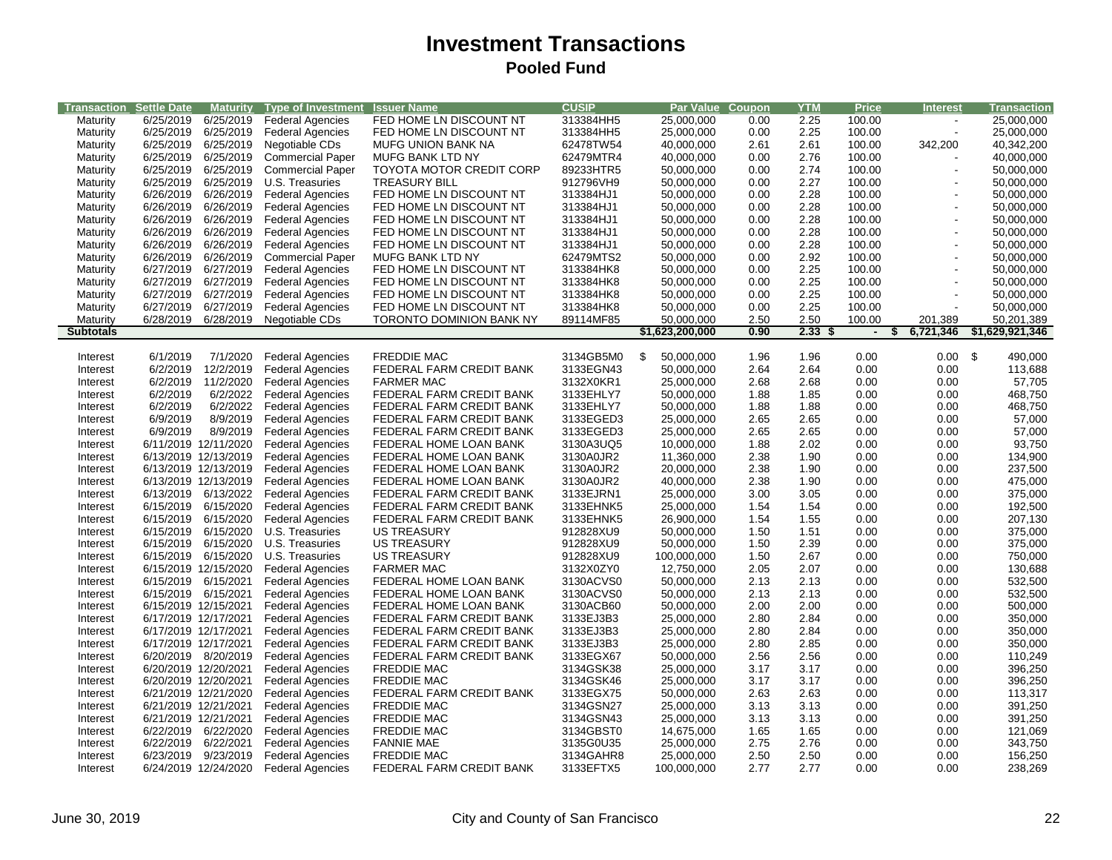| <b>Transaction Settle Date</b> |                      | <b>Maturity</b>      | <b>Type of Investment</b> | <b>Issuer Name</b>              | <b>CUSIP</b> | Par Value Coupon |      | <b>YTM</b> | Price                         | <b>Interest</b> | Transaction     |
|--------------------------------|----------------------|----------------------|---------------------------|---------------------------------|--------------|------------------|------|------------|-------------------------------|-----------------|-----------------|
| Maturity                       | 6/25/2019            | 6/25/2019            | <b>Federal Agencies</b>   | FED HOME LN DISCOUNT NT         | 313384HH5    | 25,000,000       | 0.00 | 2.25       | 100.00                        |                 | 25,000,000      |
| Maturity                       | 6/25/2019            | 6/25/2019            | <b>Federal Agencies</b>   | FED HOME LN DISCOUNT NT         | 313384HH5    | 25,000,000       | 0.00 | 2.25       | 100.00                        |                 | 25,000,000      |
| Maturity                       | 6/25/2019            | 6/25/2019            | Negotiable CDs            | <b>MUFG UNION BANK NA</b>       | 62478TW54    | 40,000,000       | 2.61 | 2.61       | 100.00                        | 342,200         | 40,342,200      |
| Maturity                       | 6/25/2019            | 6/25/2019            | <b>Commercial Paper</b>   | MUFG BANK LTD NY                | 62479MTR4    | 40,000,000       | 0.00 | 2.76       | 100.00                        |                 | 40,000,000      |
| Maturity                       | 6/25/2019            | 6/25/2019            | <b>Commercial Paper</b>   | <b>TOYOTA MOTOR CREDIT CORP</b> | 89233HTR5    | 50,000,000       | 0.00 | 2.74       | 100.00                        |                 | 50,000,000      |
|                                | 6/25/2019            | 6/25/2019            |                           | <b>TREASURY BILL</b>            | 912796VH9    | 50,000,000       | 0.00 | 2.27       | 100.00                        |                 | 50,000,000      |
| Maturity                       | 6/26/2019            | 6/26/2019            | U.S. Treasuries           |                                 | 313384HJ1    |                  |      |            |                               |                 |                 |
| Maturity                       |                      |                      | <b>Federal Agencies</b>   | FED HOME LN DISCOUNT NT         |              | 50,000,000       | 0.00 | 2.28       | 100.00                        |                 | 50,000,000      |
| Maturity                       | 6/26/2019            | 6/26/2019            | <b>Federal Agencies</b>   | FED HOME LN DISCOUNT NT         | 313384HJ1    | 50,000,000       | 0.00 | 2.28       | 100.00                        |                 | 50,000,000      |
| Maturity                       | 6/26/2019            | 6/26/2019            | <b>Federal Agencies</b>   | FED HOME LN DISCOUNT NT         | 313384HJ1    | 50,000,000       | 0.00 | 2.28       | 100.00                        |                 | 50,000,000      |
| Maturity                       | 6/26/2019            | 6/26/2019            | <b>Federal Agencies</b>   | FED HOME LN DISCOUNT NT         | 313384HJ1    | 50,000,000       | 0.00 | 2.28       | 100.00                        |                 | 50,000,000      |
| Maturity                       | 6/26/2019            | 6/26/2019            | <b>Federal Agencies</b>   | FED HOME LN DISCOUNT NT         | 313384HJ1    | 50,000,000       | 0.00 | 2.28       | 100.00                        |                 | 50,000,000      |
| Maturity                       | 6/26/2019            | 6/26/2019            | <b>Commercial Paper</b>   | MUFG BANK LTD NY                | 62479MTS2    | 50,000,000       | 0.00 | 2.92       | 100.00                        |                 | 50,000,000      |
| Maturity                       | 6/27/2019            | 6/27/2019            | <b>Federal Agencies</b>   | FED HOME LN DISCOUNT NT         | 313384HK8    | 50,000,000       | 0.00 | 2.25       | 100.00                        |                 | 50,000,000      |
| Maturity                       | 6/27/2019            | 6/27/2019            | <b>Federal Agencies</b>   | FED HOME LN DISCOUNT NT         | 313384HK8    | 50,000,000       | 0.00 | 2.25       | 100.00                        |                 | 50,000,000      |
| Maturity                       | 6/27/2019            | 6/27/2019            | <b>Federal Agencies</b>   | FED HOME LN DISCOUNT NT         | 313384HK8    | 50,000,000       | 0.00 | 2.25       | 100.00                        |                 | 50,000,000      |
| Maturity                       | 6/27/2019            | 6/27/2019            | <b>Federal Agencies</b>   | FED HOME LN DISCOUNT NT         | 313384HK8    | 50,000,000       | 0.00 | 2.25       | 100.00                        |                 | 50,000,000      |
| Maturity                       | 6/28/2019            | 6/28/2019            | Negotiable CDs            | TORONTO DOMINION BANK NY        | 89114MF85    | 50,000,000       | 2.50 | 2.50       | 100.00                        | 201,389         | 50,201,389      |
| <b>Subtotals</b>               |                      |                      |                           |                                 |              | \$1,623,200,000  | 0.90 | 2.33       | $\overline{\phantom{a}}$<br>S | 6,721,346       | \$1,629,921,346 |
|                                |                      |                      |                           |                                 |              |                  |      |            |                               |                 |                 |
| Interest                       | 6/1/2019             | 7/1/2020             | <b>Federal Agencies</b>   | <b>FREDDIE MAC</b>              | 3134GB5M0    | \$<br>50,000,000 | 1.96 | 1.96       | 0.00                          | $0.00\quad$ \$  | 490,000         |
| Interest                       | 6/2/2019             | 12/2/2019            | <b>Federal Agencies</b>   | FEDERAL FARM CREDIT BANK        | 3133EGN43    | 50,000,000       | 2.64 | 2.64       | 0.00                          | 0.00            | 113,688         |
| Interest                       | 6/2/2019             | 11/2/2020            | <b>Federal Agencies</b>   | <b>FARMER MAC</b>               | 3132X0KR1    | 25,000,000       | 2.68 | 2.68       | 0.00                          | 0.00            | 57,705          |
| Interest                       | 6/2/2019             | 6/2/2022             | <b>Federal Agencies</b>   | FEDERAL FARM CREDIT BANK        | 3133EHLY7    | 50,000,000       | 1.88 | 1.85       | 0.00                          | 0.00            | 468,750         |
| Interest                       | 6/2/2019             | 6/2/2022             | <b>Federal Agencies</b>   | FEDERAL FARM CREDIT BANK        | 3133EHLY7    | 50,000,000       | 1.88 | 1.88       | 0.00                          | 0.00            | 468,750         |
| Interest                       | 6/9/2019             | 8/9/2019             | <b>Federal Agencies</b>   | FEDERAL FARM CREDIT BANK        | 3133EGED3    | 25,000,000       | 2.65 | 2.65       | 0.00                          | 0.00            | 57,000          |
| Interest                       | 6/9/2019             | 8/9/2019             | <b>Federal Agencies</b>   | FEDERAL FARM CREDIT BANK        | 3133EGED3    | 25,000,000       | 2.65 | 2.65       | 0.00                          | 0.00            | 57,000          |
| Interest                       | 6/11/2019 12/11/2020 |                      | <b>Federal Agencies</b>   | FEDERAL HOME LOAN BANK          | 3130A3UQ5    | 10,000,000       | 1.88 | 2.02       | 0.00                          | 0.00            | 93,750          |
| Interest                       |                      | 6/13/2019 12/13/2019 | <b>Federal Agencies</b>   | FEDERAL HOME LOAN BANK          | 3130A0JR2    | 11,360,000       | 2.38 | 1.90       | 0.00                          | 0.00            | 134,900         |
| Interest                       |                      | 6/13/2019 12/13/2019 | <b>Federal Agencies</b>   | FEDERAL HOME LOAN BANK          | 3130A0JR2    | 20,000,000       | 2.38 | 1.90       | 0.00                          | 0.00            | 237,500         |
| Interest                       | 6/13/2019 12/13/2019 |                      | <b>Federal Agencies</b>   | FEDERAL HOME LOAN BANK          | 3130A0JR2    | 40,000,000       | 2.38 | 1.90       | 0.00                          | 0.00            | 475,000         |
| Interest                       | 6/13/2019 6/13/2022  |                      | <b>Federal Agencies</b>   | FEDERAL FARM CREDIT BANK        | 3133EJRN1    | 25,000,000       | 3.00 | 3.05       | 0.00                          | 0.00            | 375,000         |
| Interest                       | 6/15/2019            | 6/15/2020            | <b>Federal Agencies</b>   | FEDERAL FARM CREDIT BANK        | 3133EHNK5    | 25,000,000       | 1.54 | 1.54       | 0.00                          | 0.00            | 192,500         |
| Interest                       | 6/15/2019            | 6/15/2020            | <b>Federal Agencies</b>   | FEDERAL FARM CREDIT BANK        | 3133EHNK5    | 26,900,000       | 1.54 | 1.55       | 0.00                          | 0.00            | 207,130         |
| Interest                       | 6/15/2019            | 6/15/2020            | U.S. Treasuries           | <b>US TREASURY</b>              | 912828XU9    | 50,000,000       | 1.50 | 1.51       | 0.00                          | 0.00            | 375,000         |
| Interest                       | 6/15/2019            | 6/15/2020            | U.S. Treasuries           | <b>US TREASURY</b>              | 912828XU9    | 50,000,000       | 1.50 | 2.39       | 0.00                          | 0.00            | 375,000         |
| Interest                       |                      | 6/15/2019 6/15/2020  | U.S. Treasuries           | <b>US TREASURY</b>              | 912828XU9    | 100,000,000      | 1.50 | 2.67       | 0.00                          | 0.00            | 750,000         |
| Interest                       | 6/15/2019 12/15/2020 |                      | <b>Federal Agencies</b>   | <b>FARMER MAC</b>               | 3132X0ZY0    | 12,750,000       | 2.05 | 2.07       | 0.00                          | 0.00            | 130,688         |
| Interest                       | 6/15/2019 6/15/2021  |                      | <b>Federal Agencies</b>   | FEDERAL HOME LOAN BANK          | 3130ACVS0    | 50,000,000       | 2.13 | 2.13       | 0.00                          | 0.00            | 532,500         |
| Interest                       | 6/15/2019 6/15/2021  |                      | <b>Federal Agencies</b>   | FEDERAL HOME LOAN BANK          | 3130ACVS0    | 50,000,000       | 2.13 | 2.13       | 0.00                          | 0.00            | 532,500         |
| Interest                       | 6/15/2019 12/15/2021 |                      | <b>Federal Agencies</b>   | FEDERAL HOME LOAN BANK          | 3130ACB60    | 50,000,000       | 2.00 | 2.00       | 0.00                          | 0.00            | 500,000         |
| Interest                       | 6/17/2019 12/17/2021 |                      | <b>Federal Agencies</b>   | FEDERAL FARM CREDIT BANK        | 3133EJ3B3    | 25,000,000       | 2.80 | 2.84       | 0.00                          | 0.00            | 350,000         |
| Interest                       | 6/17/2019 12/17/2021 |                      | <b>Federal Agencies</b>   | FEDERAL FARM CREDIT BANK        | 3133EJ3B3    | 25,000,000       | 2.80 | 2.84       | 0.00                          | 0.00            | 350,000         |
| Interest                       | 6/17/2019 12/17/2021 |                      | <b>Federal Agencies</b>   | FEDERAL FARM CREDIT BANK        | 3133EJ3B3    | 25,000,000       | 2.80 | 2.85       | 0.00                          | 0.00            | 350,000         |
| Interest                       |                      | 6/20/2019 8/20/2019  | <b>Federal Agencies</b>   | FEDERAL FARM CREDIT BANK        | 3133EGX67    | 50,000,000       | 2.56 | 2.56       | 0.00                          | 0.00            | 110,249         |
| Interest                       | 6/20/2019 12/20/2021 |                      | <b>Federal Agencies</b>   | <b>FREDDIE MAC</b>              | 3134GSK38    | 25,000,000       | 3.17 | 3.17       | 0.00                          | 0.00            | 396,250         |
| Interest                       | 6/20/2019 12/20/2021 |                      | <b>Federal Agencies</b>   | <b>FREDDIE MAC</b>              | 3134GSK46    | 25,000,000       | 3.17 | 3.17       | 0.00                          | 0.00            | 396,250         |
| Interest                       |                      | 6/21/2019 12/21/2020 | <b>Federal Agencies</b>   | FEDERAL FARM CREDIT BANK        | 3133EGX75    | 50,000,000       | 2.63 | 2.63       | 0.00                          | 0.00            | 113,317         |
| Interest                       | 6/21/2019 12/21/2021 |                      | <b>Federal Agencies</b>   | <b>FREDDIE MAC</b>              | 3134GSN27    | 25,000,000       | 3.13 | 3.13       | 0.00                          | 0.00            | 391,250         |
| Interest                       | 6/21/2019 12/21/2021 |                      | <b>Federal Agencies</b>   | <b>FREDDIE MAC</b>              | 3134GSN43    | 25,000,000       | 3.13 | 3.13       | 0.00                          | 0.00            | 391,250         |
| Interest                       | 6/22/2019            | 6/22/2020            | <b>Federal Agencies</b>   | <b>FREDDIE MAC</b>              | 3134GBST0    | 14,675,000       | 1.65 | 1.65       | 0.00                          | 0.00            | 121,069         |
| Interest                       | 6/22/2019            | 6/22/2021            | <b>Federal Agencies</b>   | <b>FANNIE MAE</b>               | 3135G0U35    | 25,000,000       | 2.75 | 2.76       | 0.00                          | 0.00            | 343,750         |
| Interest                       |                      | 6/23/2019 9/23/2019  | <b>Federal Agencies</b>   | <b>FREDDIE MAC</b>              | 3134GAHR8    | 25,000,000       | 2.50 | 2.50       | 0.00                          | 0.00            | 156,250         |
| Interest                       |                      | 6/24/2019 12/24/2020 | <b>Federal Agencies</b>   | FEDERAL FARM CREDIT BANK        | 3133EFTX5    | 100,000,000      | 2.77 | 2.77       | 0.00                          | 0.00            | 238,269         |
|                                |                      |                      |                           |                                 |              |                  |      |            |                               |                 |                 |